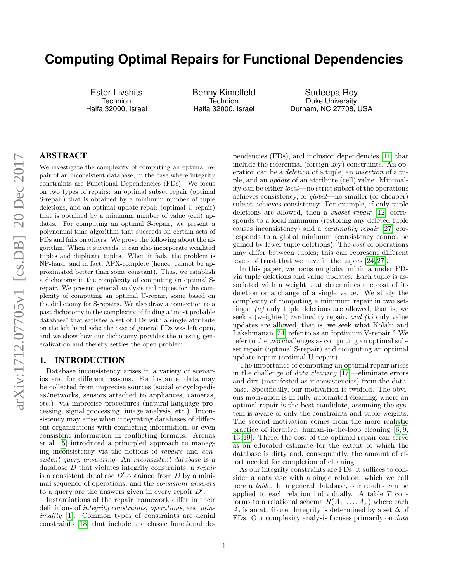# **Computing Optimal Repairs for Functional Dependencies**

Ester Livshits **Technion** Haifa 32000, Israel Benny Kimelfeld **Technion** Haifa 32000, Israel

Sudeepa Roy Duke University Durham, NC 27708, USA

#### ABSTRACT

We investigate the complexity of computing an optimal repair of an inconsistent database, in the case where integrity constraints are Functional Dependencies (FDs). We focus on two types of repairs: an optimal subset repair (optimal S-repair) that is obtained by a minimum number of tuple deletions, and an optimal update repair (optimal U-repair) that is obtained by a minimum number of value (cell) updates. For computing an optimal S-repair, we present a polynomial-time algorithm that succeeds on certain sets of FDs and fails on others. We prove the following about the algorithm. When it succeeds, it can also incorporate weighted tuples and duplicate tuples. When it fails, the problem is NP-hard, and in fact, APX-complete (hence, cannot be approximated better than some constant). Thus, we establish a dichotomy in the complexity of computing an optimal Srepair. We present general analysis techniques for the complexity of computing an optimal U-repair, some based on the dichotomy for S-repairs. We also draw a connection to a past dichotomy in the complexity of finding a "most probable database" that satisfies a set of FDs with a single attribute on the left hand side; the case of general FDs was left open, and we show how our dichotomy provides the missing generalization and thereby settles the open problem.

#### 1. INTRODUCTION

Database inconsistency arises in a variety of scenarios and for different reasons. For instance, data may be collected from imprecise sources (social encyclopedias/networks, sensors attached to appliances, cameras, etc.) via imprecise procedures (natural-language processing, signal processing, image analysis, etc.). Inconsistency may arise when integrating databases of different organizations with conflicting information, or even consistent information in conflicting formats. Arenas et al. [\[5\]](#page-12-0) introduced a principled approach to managing inconsistency via the notions of repairs and consistent query answering. An inconsistent database is a database D that violates integrity constraints, a repair is a consistent database  $D'$  obtained from  $D$  by a minimal sequence of operations, and the consistent answers to a query are the answers given in every repair  $D'$ .

Instantiations of the repair framework differ in their definitions of integrity constraints, operations, and min-imality [\[1\]](#page-12-1). Common types of constraints are denial constraints [\[18\]](#page-12-2) that include the classic functional dependencies (FDs), and inclusion dependencies [\[11\]](#page-12-3) that include the referential (foreign-key) constraints. An operation can be a deletion of a tuple, an insertion of a tuple, and an update of an attribute (cell) value. Minimality can be either local—no strict subset of the operations achieves consistency, or global—no smaller (or cheaper) subset achieves consistency. For example, if only tuple deletions are allowed, then a subset repair [\[12\]](#page-12-4) corresponds to a local minimum (restoring any deleted tuple causes inconsistency) and a cardinality repair [\[27\]](#page-12-5) corresponds to a global minimum (consistency cannot be gained by fewer tuple deletions). The cost of operations may differ between tuples; this can represent different levels of trust that we have in the tuples [\[24,](#page-12-6) [27\]](#page-12-5).

In this paper, we focus on global minima under FDs via tuple deletions and value updates. Each tuple is associated with a weight that determines the cost of its deletion or a change of a single value. We study the complexity of computing a minimum repair in two settings: (a) only tuple deletions are allowed, that is, we seek a (weighted) cardinality repair, and (b) only value updates are allowed, that is, we seek what Kolahi and Lakshmanan [\[24\]](#page-12-6) refer to as an "optimum V-repair." We refer to the two challenges as computing an optimal subset repair (optimal S-repair) and computing an optimal update repair (optimal U-repair).

The importance of computing an optimal repair arises in the challenge of data cleaning [\[17\]](#page-12-7)—eliminate errors and dirt (manifested as inconsistencies) from the database. Specifically, our motivation is twofold. The obvious motivation is in fully automated cleaning, where an optimal repair is the best candidate, assuming the system is aware of only the constraints and tuple weights. The second motivation comes from the more realistic practice of iterative, human-in-the-loop cleaning [\[6,](#page-12-8) [9,](#page-12-9) [13,](#page-12-10) [19\]](#page-12-11). There, the cost of the optimal repair can serve as an educated estimate for the extent to which the database is dirty and, consequently, the amount of effort needed for completion of cleaning.

As our integrity constraints are FDs, it suffices to consider a database with a single relation, which we call here a table. In a general database, our results can be applied to each relation individually. A table  $T$  conforms to a relational schema  $R(A_1, \ldots, A_k)$  where each  $A_i$  is an attribute. Integrity is determined by a set  $\Delta$  of FDs. Our complexity analysis focuses primarily on data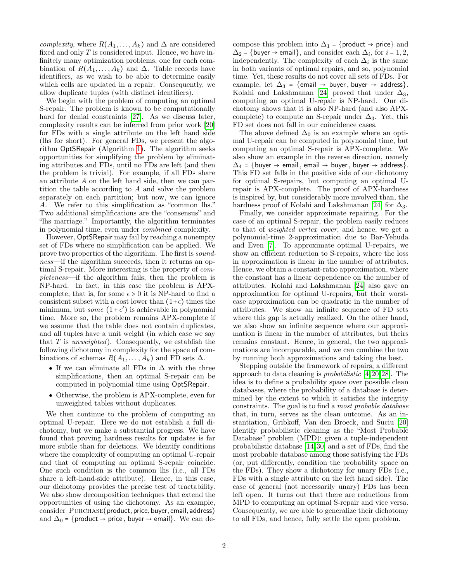complexity, where  $R(A_1, \ldots, A_k)$  and  $\Delta$  are considered fixed and only  $T$  is considered input. Hence, we have infinitely many optimization problems, one for each combination of  $R(A_1, \ldots, A_k)$  and  $\Delta$ . Table records have identifiers, as we wish to be able to determine easily which cells are updated in a repair. Consequently, we allow duplicate tuples (with distinct identifiers).

We begin with the problem of computing an optimal S-repair. The problem is known to be computationally hard for denial constraints [\[27\]](#page-12-5). As we discuss later, complexity results can be inferred from prior work [\[20\]](#page-12-12) for FDs with a single attribute on the left hand side (lhs for short). For general FDs, we present the algorithm OptSRepair (Algorithm [1\)](#page-5-0). The algorithm seeks opportunities for simplifying the problem by eliminating attributes and FDs, until no FDs are left (and then the problem is trivial). For example, if all FDs share an attribute A on the left hand side, then we can partition the table according to A and solve the problem separately on each partition; but now, we can ignore A. We refer to this simplification as "common lhs." Two additional simplifications are the "consensus" and "lhs marriage." Importantly, the algorithm terminates in polynomial time, even under combined complexity.

However, OptSRepair may fail by reaching a nonempty set of FDs where no simplification can be applied. We prove two properties of the algorithm. The first is soundness—if the algorithm succeeds, then it returns an optimal S-repair. More interesting is the property of completeness—if the algorithm fails, then the problem is NP-hard. In fact, in this case the problem is APXcomplete, that is, for some  $\epsilon > 0$  it is NP-hard to find a consistent subset with a cost lower than  $(1+\epsilon)$  times the minimum, but *some*  $(1+\epsilon')$  is achievable in polynomial time. More so, the problem remains APX-complete if we assume that the table does not contain duplicates, and all tuples have a unit weight (in which case we say that  $T$  is unweighted). Consequently, we establish the following dichotomy in complexity for the space of combinations of schemas  $R(A_1, \ldots, A_k)$  and FD sets  $\Delta$ .

- If we can eliminate all FDs in  $\Delta$  with the three simplifications, then an optimal S-repair can be computed in polynomial time using OptSRepair.
- Otherwise, the problem is APX-complete, even for unweighted tables without duplicates.

We then continue to the problem of computing an optimal U-repair. Here we do not establish a full dichotomy, but we make a substantial progress. We have found that proving hardness results for updates is far more subtle than for deletions. We identify conditions where the complexity of computing an optimal U-repair and that of computing an optimal S-repair coincide. One such condition is the common lhs (i.e., all FDs share a left-hand-side attribute). Hence, in this case, our dichotomy provides the precise test of tractability. We also show decomposition techniques that extend the opportunities of using the dichotomy. As an example, consider Purchase(product, price, buyer, email, address) and  $\Delta_0$  = {product → price, buyer → email}. We can decompose this problem into  $\Delta_1$  = {product → price} and  $\Delta_2$  = {buyer → email}, and consider each  $\Delta_i$ , for  $i = 1, 2$ , independently. The complexity of each  $\Delta_i$  is the same in both variants of optimal repairs, and so, polynomial time. Yet, these results do not cover all sets of FDs. For example, let  $\Delta_3$  = {email → buyer, buyer → address}. Kolahi and Lakshmanan [\[24\]](#page-12-6) proved that under  $\Delta_3$ , computing an optimal U-repair is NP-hard. Our dichotomy shows that it is also NP-hard (and also APXcomplete) to compute an S-repair under  $\Delta_3$ . Yet, this FD set does not fall in our coincidence cases.

The above defined  $\Delta_0$  is an example where an optimal U-repair can be computed in polynomial time, but computing an optimal S-repair is APX-complete. We also show an example in the reverse direction, namely  $\Delta_4$  = {buyer → email, email → buyer, buyer → address}. This FD set falls in the positive side of our dichotomy for optimal S-repairs, but computing an optimal Urepair is APX-complete. The proof of APX-hardness is inspired by, but considerably more involved than, the hardness proof of Kolahi and Lakshmanan [\[24\]](#page-12-6) for  $\Delta_3$ .

Finally, we consider approximate repairing. For the case of an optimal S-repair, the problem easily reduces to that of weighted vertex cover, and hence, we get a polynomial-time 2-approximation due to Bar-Yehuda and Even [\[7\]](#page-12-13). To approximate optimal U-repairs, we show an efficient reduction to S-repairs, where the loss in approximation is linear in the number of attributes. Hence, we obtain a constant-ratio approximation, where the constant has a linear dependence on the number of attributes. Kolahi and Lakshmanan [\[24\]](#page-12-6) also gave an approximation for optimal U-repairs, but their worstcase approximation can be quadratic in the number of attributes. We show an infinite sequence of FD sets where this gap is actually realized. On the other hand, we also show an infinite sequence where our approximation is linear in the number of attributes, but theirs remains constant. Hence, in general, the two approximations are incomparable, and we can combine the two by running both approximations and taking the best.

Stepping outside the framework of repairs, a different approach to data cleaning is probabilistic [\[4,](#page-12-14)[20,](#page-12-12)[28\]](#page-12-15). The idea is to define a probability space over possible clean databases, where the probability of a database is determined by the extent to which it satisfies the integrity constraints. The goal is to find a most probable database that, in turn, serves as the clean outcome. As an instantiation, Gribkoff, Van den Broeck, and Suciu [\[20\]](#page-12-12) identify probabilistic cleaning as the "Most Probable Database" problem (MPD): given a tuple-independent probabilistic database [\[14,](#page-12-16)[30\]](#page-12-17) and a set of FDs, find the most probable database among those satisfying the FDs (or, put differently, condition the probability space on the FDs). They show a dichotomy for unary FDs (i.e., FDs with a single attribute on the left hand side). The case of general (not necessarily unary) FDs has been left open. It turns out that there are reductions from MPD to computing an optimal S-repair and vice versa. Consequently, we are able to generalize their dichotomy to all FDs, and hence, fully settle the open problem.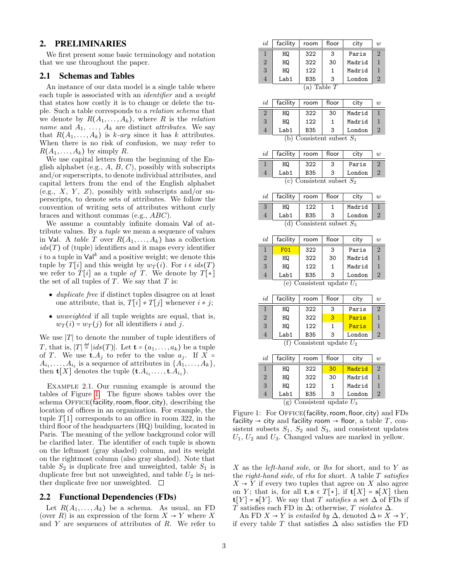# 2. PRELIMINARIES

We first present some basic terminology and notation that we use throughout the paper.

#### 2.1 Schemas and Tables

An instance of our data model is a single table where each tuple is associated with an identifier and a weight that states how costly it is to change or delete the tuple. Such a table corresponds to a relation schema that we denote by  $R(A_1, \ldots, A_k)$ , where R is the *relation* name and  $A_1, \ldots, A_k$  are distinct *attributes*. We say that  $R(A_1, \ldots, A_k)$  is k-ary since it has k attributes. When there is no risk of confusion, we may refer to  $R(A_1, \ldots, A_k)$  by simply R.

We use capital letters from the beginning of the English alphabet (e.g.,  $A, B, C$ ), possibly with subscripts and/or superscripts, to denote individual attributes, and capital letters from the end of the English alphabet (e.g.,  $X$ ,  $Y$ ,  $Z$ ), possibly with subscripts and/or superscripts, to denote sets of attributes. We follow the convention of writing sets of attributes without curly braces and without commas (e.g., ABC).

We assume a countably infinite domain Val of attribute values. By a tuple we mean a sequence of values in Val. A table T over  $R(A_1, \ldots, A_k)$  has a collection  $ids(T)$  of (tuple) identifiers and it maps every identifier i to a tuple in  $Val^k$  and a positive weight; we denote this tuple by  $T[i]$  and this weight by  $w_T(i)$ . For  $i \in ids(T)$ we refer to  $T[i]$  as a tuple of T. We denote by  $T[*]$ the set of all tuples of  $T$ . We say that  $T$  is:

- duplicate free if distinct tuples disagree on at least one attribute, that is,  $T[i] \neq T[j]$  whenever  $i \neq j$ ;
- *unweighted* if all tuple weights are equal, that is,  $w_T(i) = w_T(j)$  for all identifiers i and j.

We use  $|T|$  to denote the number of tuple identifiers of T, that is,  $|T| \stackrel{\text{def}}{=} |ids(T)|$ . Let  $\mathbf{t} = (a_1, \ldots, a_k)$  be a tuple of T. We use **t**.  $A_i$  to refer to the value  $a_i$ . If  $\overline{X}$  =  $A_{i_1}, \ldots, A_{i_\ell}$  is a sequence of attributes in  $\{A_1, \ldots, A_k\},\$ then  $\mathbf{t}[X]$  denotes the tuple  $(\mathbf{t}.A_{i_1}.\ldots,\mathbf{t}.A_{i_1}).$ 

Example 2.1. Our running example is around the tables of Figure [1.](#page-2-0) The figure shows tables over the schema OFFICE(facility, room, floor, city), describing the location of offices in an organization. For example, the tuple  $T[1]$  corresponds to an office in room 322, in the third floor of the headquarters (HQ) building, located in Paris. The meaning of the yellow background color will be clarified later. The identifier of each tuple is shown on the leftmost (gray shaded) column, and its weight on the rightmost column (also gray shaded). Note that table  $S_2$  is duplicate free and unweighted, table  $S_1$  is duplicate free but not unweighted, and table  $U_2$  is neither duplicate free nor unweighted.  $\square$ 

#### 2.2 Functional Dependencies (FDs)

Let  $R(A_1, \ldots, A_k)$  be a schema. As usual, an FD (over  $R$ ) is an expression of the form  $X \to Y$  where X and  $Y$  are sequences of attributes of  $R$ . We refer to

<span id="page-2-2"></span><span id="page-2-1"></span><span id="page-2-0"></span>

| id                                                        | facility | room                        | floor        | city              | $\overline{w}$   |
|-----------------------------------------------------------|----------|-----------------------------|--------------|-------------------|------------------|
| $\mathbf{1}$                                              | HQ       | 322                         | 3            | Paris             | $\overline{2}$   |
| $\overline{2}$                                            | HQ       | 322                         | 30           | Madrid            | $\mathbf{1}$     |
| $\boldsymbol{3}$                                          | HQ       | 122                         | 1            | Madrid            | $\mathbf{1}$     |
| $\overline{4}$                                            | Lab1     | <b>B35</b>                  | 3            | London            | $\overline{2}$   |
| $(a)$ Table T                                             |          |                             |              |                   |                  |
| id                                                        | facility | room                        | floor        | city              | $\overline{w}$   |
| $\overline{2}$                                            | HQ       | 322                         | 30           | Madrid            | 1                |
| 3                                                         | HQ       | 122                         | 1            | Madrid            | $\mathbf{1}$     |
| $\overline{4}$                                            | Lab1     | <b>B35</b>                  | 3            | London            | $\overline{2}$   |
|                                                           |          | (b) Consistent subset $S_1$ |              |                   |                  |
|                                                           |          |                             |              |                   |                  |
| id                                                        | facility | room                        | floor        | city              | $\boldsymbol{w}$ |
| $\mathbf{1}$                                              | HQ       | 322                         | 3            | Paris             | $\overline{2}$   |
| $\overline{4}$                                            | Lab1     | <b>B35</b>                  | 3            | London            | $\overline{2}$   |
|                                                           |          | (c) Consistent subset $S_2$ |              |                   |                  |
|                                                           |          |                             |              |                   |                  |
| id                                                        | facility | room                        | floor        | city              | $\overline{w}$   |
| $\overline{3}$                                            | HQ       | 122                         | $\mathbf{1}$ | Madrid            | 1                |
| $\overline{4}$                                            | Lab1     | <b>B35</b>                  | 3            | London            | $\overline{2}$   |
|                                                           |          | (d) Consistent subset $S_3$ |              |                   |                  |
| id                                                        | facility | room                        | floor        | city              | $\overline{w}$   |
| $\overline{1}$                                            | F01      | 322                         | 3            | Paris             | $\overline{2}$   |
| $\overline{2}$                                            | HQ       | 322                         | 30           | Madrid            | $\mathbf{1}$     |
| 3                                                         | HQ       | 122                         | 1            | Madrid            | $\mathbf{1}$     |
| $\overline{4}$                                            | Lab1     | <b>B35</b>                  | 3            | London            | $\overline{2}$   |
|                                                           |          | (e) Consistent update $U_1$ |              |                   |                  |
|                                                           |          |                             |              |                   |                  |
| id                                                        | facility | room                        | floor        | $\overline{city}$ | $\overline{w}$   |
| $\mathbf{1}$                                              | HQ       | 322                         | 3            | Paris             | $\overline{2}$   |
| $\overline{2}$                                            | HQ       | 322                         | 3            | Paris             | $\mathbf{1}$     |
| 3                                                         | HQ       | 122                         | $\mathbf 1$  | Paris             | $\mathbf{1}$     |
| $\overline{4}$                                            | Lab1     | <b>B35</b>                  | 3            | London            | $\overline{2}$   |
|                                                           |          | (f) Consistent update $U_2$ |              |                   |                  |
| id                                                        | facility | room                        | floor        | $\overline{city}$ | $\overline{w}$   |
| $\mathbf{1}$                                              | HQ       | 322                         | 30           | Madrid            | $\overline{2}$   |
| $\overline{2}$                                            | HQ       | 322                         | 30           | Madrid            | $\mathbf{1}$     |
| 3                                                         | HQ       | 122                         | $\mathbf{1}$ | Madrid            | $\mathbf{1}$     |
| $\overline{4}$                                            | Lab1     | <b>B35</b>                  | 3            | London            | $\overline{2}$   |
| $(g)$ Consistent update $U_3$                             |          |                             |              |                   |                  |
| $\Gamma_{\alpha r}$ OEFICE (facility room floor city) and |          |                             |              |                   |                  |

<span id="page-2-4"></span><span id="page-2-3"></span>Figure 1: For OFFICE(facility, room, floor, city) and FDs facility  $\rightarrow$  city and facility room  $\rightarrow$  floor, a table T, consistent subsets  $S_1$ ,  $S_2$  and  $S_3$ , and consistent updates  $U_1, U_2$  and  $U_3$ . Changed values are marked in yellow.

 $X$  as the *left-hand side*, or *lhs* for short, and to  $Y$  as the *right-hand side*, of *rhs* for short. A table  $T$  *satisfies*  $X \rightarrow Y$  if every two tuples that agree on X also agree on Y; that is, for all  $\mathbf{t}, \mathbf{s} \in T[*]$ , if  $\mathbf{t}[X] = \mathbf{s}[X]$  then  $t[Y] = s[Y]$ . We say that T *satisfies* a set  $\Delta$  of FDs if T satisfies each FD in  $\Delta$ ; otherwise, T violates  $\Delta$ .

An FD  $X \to Y$  is entailed by  $\Delta$ , denoted  $\Delta \vDash X \to Y$ , if every table T that satisfies  $\Delta$  also satisfies the FD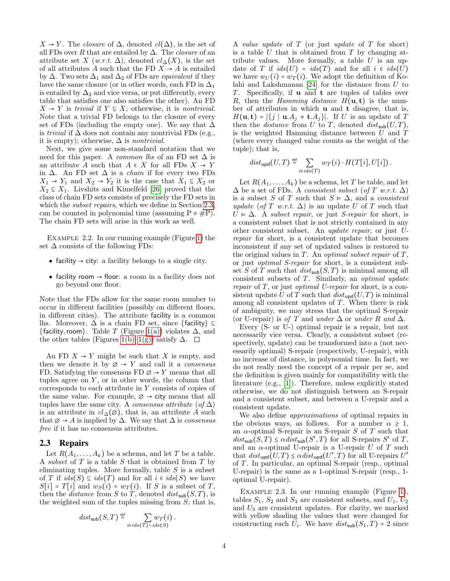$X \to Y$ . The *closure* of  $\Delta$ , denoted  $cl(\Delta)$ , is the set of all FDs over R that are entailed by  $\Delta$ . The *closure* of an attribute set X (w.r.t.  $\Delta$ ), denoted  $cl_{\Delta}(X)$ , is the set of all attributes A such that the FD  $X \rightarrow A$  is entailed by  $\Delta$ . Two sets  $\Delta_1$  and  $\Delta_2$  of FDs are *equivalent* if they have the same closure (or in other words, each FD in  $\Delta_1$ ) is entailed by  $\Delta_2$  and vice versa, or put differently, every table that satisfies one also satisfies the other). An FD  $X \to Y$  is trivial if  $Y \subseteq X$ ; otherwise, it is nontrivial. Note that a trivial FD belongs to the closure of every set of FDs (including the empty one). We say that  $\Delta$ is *trivial* if  $\Delta$  does not contain any nontrivial FDs (e.g., it is empty); otherwise,  $\Delta$  is *nontrivial*.

Next, we give some non-standard notation that we need for this paper. A *common lhs* of an FD set  $\Delta$  is an attribute A such that  $A \in X$  for all FDs  $X \to Y$ in ∆. An FD set ∆ is a chain if for every two FDs  $X_1 \rightarrow Y_1$  and  $X_2 \rightarrow Y_2$  it is the case that  $X_1 \subseteq X_2$  or  $X_2 \subseteq X_1$ . Livshits and Kimelfeld [\[26\]](#page-12-18) proved that the class of chain FD sets consists of precisely the FD sets in which the *subset repairs*, which we define in Section [2.3,](#page-3-0) can be counted in polynomial time (assuming  $P \neq \#P$ ). The chain FD sets will arise in this work as well.

Example 2.2. In our running example (Figure [1\)](#page-2-0) the set  $\Delta$  consists of the following FDs:

- facility  $\rightarrow$  city: a facility belongs to a single city.
- facility room  $\rightarrow$  floor: a room in a facility does not go beyond one floor.

Note that the FDs allow for the same room number to occur in different facilities (possibly on different floors, in different cities). The attribute facility is a common lhs. Moreover,  $\Delta$  is a chain FD set, since {facility} ⊆ {facility, room}. Table T (Figure [1\(a\)\)](#page-2-1) violates  $\Delta$ , and the other tables (Figures [1\(b\)](#page-2-2)[–1\(g\)\)](#page-2-3) satisfy  $\Delta$ . □

An FD  $X \to Y$  might be such that X is empty, and then we denote it by  $\varnothing \to Y$  and call it a *consensus* FD. Satisfying the consensus FD  $\emptyset \rightarrow Y$  means that all tuples agree on  $Y$ , or in other words, the column that corresponds to each attribute in Y consists of copies of the same value. For example,  $\varnothing \rightarrow$  city means that all tuples have the same city. A consensus attribute (of  $\Delta$ ) is an attribute in  $cl_(\emptyset)$ , that is, an attribute A such that  $\emptyset \to A$  is implied by  $\Delta$ . We say that  $\Delta$  is consensus free if it has no consensus attributes.

#### <span id="page-3-0"></span>2.3 Repairs

Let  $R(A_1, \ldots, A_k)$  be a schema, and let T be a table. A subset of T is a table S that is obtained from T by eliminating tuples. More formally, table  $S$  is a subset of T if  $ids(S) \subseteq is(S)$  and for all  $i \in is(S)$  we have  $S[i] = T[i]$  and  $w_S(i) = w_T(i)$ . If S is a subset of T, then the *distance* from S to T, denoted  $dist_{sub}(S, T)$ , is the weighted sum of the tuples missing from  $S$ ; that is,

$$
dist_{\text{sub}}(S,T) \stackrel{\text{def}}{=} \sum_{i \in ids(T) \setminus ids(S)} w_T(i).
$$

A value update of T (or just update of T for short) is a table  $U$  that is obtained from  $T$  by changing attribute values. More formally, a table  $U$  is an update of T if  $ids(U) =ids(T)$  and for all  $i \in is(S(U))$ we have  $w_U(i) = w_T(i)$ . We adopt the definition of Kolahi and Lakshmanan  $[24]$  for the distance from  $U$  to T. Specifically, if u and t are tuples of tables over R, then the *Hamming distance*  $H(\mathbf{u}, \mathbf{t})$  is the number of attributes in which u and t disagree, that is,  $H(\mathbf{u}, \mathbf{t}) = |\{j \mid \mathbf{u}.A_j \neq \mathbf{t}.A_j\}|.$  If U is an update of T then the *distance* from U to T, denoted  $dist_{sub}(U, T)$ , is the weighted Hamming distance between U and T (where every changed value counts as the weight of the tuple); that is,

$$
dist_{\text{upd}}(U,T) \stackrel{\text{def}}{=} \sum_{i \in ids(T)} w_T(i) \cdot H(T[i],U[i]) .
$$

Let  $R(A_1, \ldots, A_k)$  be a schema, let T be table, and let  $\Delta$  be a set of FDs. A consistent subset (of T w.r.t.  $\Delta$ ) is a subset S of T such that  $S \models \Delta$ , and a consistent update (of T w.r.t.  $\Delta$ ) is an update U of T such that  $U \models \Delta$ . A subset repair, or just S-repair for short, is a consistent subset that is not strictly contained in any other consistent subset. An update repair, or just Urepair for short, is a consistent update that becomes inconsistent if any set of updated values is restored to the original values in  $T$ . An *optimal subset repair* of  $T$ , or just optimal S-repair for short, is a consistent subset S of T such that  $dist_{sub}(S, T)$  is minimal among all consistent subsets of T. Similarly, an optimal update repair of  $T$ , or just *optimal U-repair* for short, is a consistent update U of T such that  $dist_{\text{upd}}(U, T)$  is minimal among all consistent updates of T. When there is risk of ambiguity, we may stress that the optimal S-repair (or U-repair) is of T and under  $\Delta$  or under R and  $\Delta$ .

Every (S- or U-) optimal repair is a repair, but not necessarily vice versa. Clearly, a consistent subset (respectively, update) can be transformed into a (not necessarily optimal) S-repair (respectively, U-repair), with no increase of distance, in polynomial time. In fact, we do not really need the concept of a repair per se, and the definition is given mainly for compatibility with the literature (e.g., [\[1\]](#page-12-1)). Therefore, unless explicitly stated otherwise, we do not distinguish between an S-repair and a consistent subset, and between a U-repair and a consistent update.

We also define *approximations* of optimal repairs in the obvious ways, as follows. For a number  $\alpha \geq 1$ , an  $\alpha$ -optimal S-repair is an S-repair S of T such that  $dist_{\text{sub}}(S,T) \leq \alpha dist_{\text{sub}}(S',T)$  for all S-repairs S' of T, and an  $\alpha$ -optimal U-repair is a U-repair U of T such that  $dist_{\text{upd}}(U, T) \leq \alpha dist_{\text{upd}}(U', T)$  for all U-repairs  $U'$ of T. In particular, an optimal S-repair (resp., optimal U-repair) is the same as a 1-optimal S-repair (resp., 1 optimal U-repair).

Example 2.3. In our running example (Figure [1\)](#page-2-0), tables  $S_1$ ,  $S_2$  and  $S_3$  are consistent subsets, and  $U_1$ ,  $U_2$ and  $U_3$  are consistent updates. For clarity, we marked with yellow shading the values that were changed for constructing each  $U_i$ . We have  $dist_{sub}(S_1, T) = 2$  since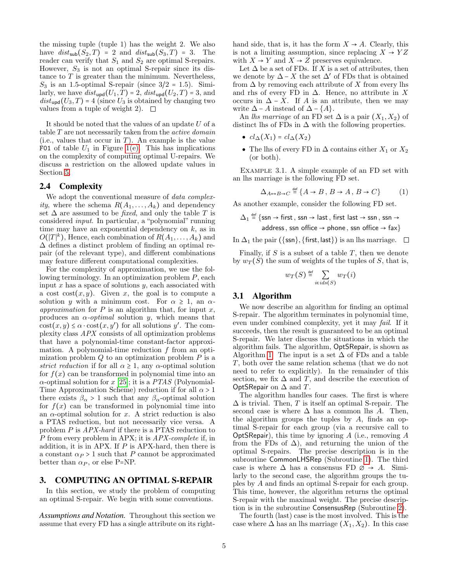the missing tuple (tuple 1) has the weight 2. We also have  $dist_{sub}(S_2, T) = 2$  and  $dist_{sub}(S_3, T) = 3$ . The reader can verify that  $S_1$  and  $S_2$  are optimal S-repairs. However,  $S_3$  is not an optimal S-repair since its distance to  $T$  is greater than the minimum. Nevertheless,  $S_3$  is an 1.5-optimal S-repair (since  $3/2 = 1.5$ ). Similarly, we have  $dist_{\text{upd}}(U_1, T) = 2$ ,  $dist_{\text{upd}}(U_2, T) = 3$ , and  $dist_{\text{upd}}(U_3, T) = 4$  (since  $U_3$  is obtained by changing two values from a tuple of weight 2).  $\square$ 

It should be noted that the values of an update  $U$  of a table  $T$  are not necessarily taken from the *active domain* (i.e., values that occur in  $T$ ). An example is the value F01 of table  $U_1$  in Figure [1\(e\).](#page-2-4) This has implications on the complexity of computing optimal U-repairs. We discuss a restriction on the allowed update values in Section [5.](#page-11-0)

## 2.4 Complexity

We adopt the conventional measure of *data complex*ity, where the schema  $R(A_1, \ldots, A_k)$  and dependency set  $\Delta$  are assumed to be *fixed*, and only the table T is considered input. In particular, a "polynomial" running time may have an exponential dependency on  $k$ , as in  $O(|T|^k)$ , Hence, each combination of  $R(A_1, \ldots, A_k)$  and ∆ defines a distinct problem of finding an optimal repair (of the relevant type), and different combinations may feature different computational complexities.

For the complexity of approximation, we use the following terminology. In an optimization problem P, each input  $x$  has a space of solutions  $y$ , each associated with a cost  $cost(x, y)$ . Given x, the goal is to compute a solution y with a minimum cost. For  $\alpha \geq 1$ , an  $\alpha$ approximation for  $P$  is an algorithm that, for input  $x$ , produces an  $\alpha$ -*optimal* solution y, which means that  $cost(x, y) \leq \alpha \cdot cost(x, y')$  for all solutions y'. The complexity class APX consists of all optimization problems that have a polynomial-time constant-factor approximation. A polynomial-time reduction  $f$  from an optimization problem  $Q$  to an optimization problem  $P$  is a strict reduction if for all  $\alpha \geq 1$ , any  $\alpha$ -optimal solution for  $f(x)$  can be transformed in polynomial time into an  $\alpha$ -optimal solution for x [\[25\]](#page-12-19); it is a *PTAS* (Polynomial-Time Approximation Scheme) reduction if for all  $\alpha > 1$ there exists  $\beta_{\alpha} > 1$  such that any  $\beta_{\alpha}$ -optimal solution for  $f(x)$  can be transformed in polynomial time into an  $\alpha$ -optimal solution for x. A strict reduction is also a PTAS reduction, but not necessarily vice versa. A problem P is APX-hard if there is a PTAS reduction to P from every problem in APX; it is APX-complete if, in addition, it is in APX. If  $P$  is APX-hard, then there is a constant  $\alpha_P > 1$  such that P cannot be approximated better than  $\alpha_P$ , or else P=NP.

# <span id="page-4-2"></span>3. COMPUTING AN OPTIMAL S-REPAIR

In this section, we study the problem of computing an optimal S-repair. We begin with some conventions.

*Assumptions and Notation.* Throughout this section we assume that every FD has a single attribute on its righthand side, that is, it has the form  $X \rightarrow A$ . Clearly, this is not a limiting assumption, since replacing  $X \rightarrow YZ$ with  $X \to Y$  and  $X \to Z$  preserves equivalence.

Let  $\Delta$  be a set of FDs. If X is a set of attributes, then we denote by  $\Delta$  – X the set  $\Delta'$  of FDs that is obtained from  $\Delta$  by removing each attribute of X from every lhs and rhs of every FD in  $\Delta$ . Hence, no attribute in X occurs in  $\Delta$  – X. If A is an attribute, then we may write  $\Delta - A$  instead of  $\Delta - \{A\}$ .

An lhs marriage of an FD set  $\Delta$  is a pair  $(X_1, X_2)$  of distinct lhs of FDs in  $\Delta$  with the following properties.

- $\bullet$   $cl_{\Delta}(X_1) = cl_{\Delta}(X_2)$
- The lhs of every FD in  $\Delta$  contains either  $X_1$  or  $X_2$ (or both).

<span id="page-4-0"></span>Example 3.1. A simple example of an FD set with an lhs marriage is the following FD set.

<span id="page-4-1"></span>
$$
\Delta_{A \leftrightarrow B \to C} \stackrel{\text{def}}{=} \{A \to B \mid B \to A \mid B \to C\} \tag{1}
$$

As another example, consider the following FD set.

$$
\Delta_1 \stackrel{\text{def}}{=} \{ \text{ssn} \to \text{first, ssn} \to \text{last, first last} \to \text{ssn, ssn} \to \text{address, ssn office} \to \text{phone, ssn office} \to \text{fax} \}
$$

In  $\Delta_1$  the pair ({ssn}, {first, last}) is an lhs marriage.  $\square$ 

Finally, if  $S$  is a subset of a table  $T$ , then we denote by  $w_T(S)$  the sum of weights of the tuples of S, that is,

$$
w_T(S) \stackrel{\text{def}}{=} \sum_{i \in i ds(S)} w_T(i)
$$

#### 3.1 Algorithm

def

We now describe an algorithm for finding an optimal S-repair. The algorithm terminates in polynomial time, even under combined complexity, yet it may fail. If it succeeds, then the result is guaranteed to be an optimal S-repair. We later discuss the situations in which the algorithm fails. The algorithm, OptSRepair, is shown as Algorithm [1.](#page-5-0) The input is a set  $\Delta$  of FDs and a table T, both over the same relation schema (that we do not need to refer to explicitly). In the remainder of this section, we fix  $\Delta$  and T, and describe the execution of OptSRepair on  $\Delta$  and T.

The algorithm handles four cases. The first is where  $\Delta$  is trivial. Then, T is itself an optimal S-repair. The second case is where  $\Delta$  has a common lhs A. Then, the algorithm groups the tuples by  $A$ , finds an optimal S-repair for each group (via a recursive call to OptSRepair), this time by ignoring  $A$  (i.e., removing  $A$ from the FDs of  $\Delta$ ), and returning the union of the optimal S-repairs. The precise description is in the subroutine CommonLHSRep (Subroutine [1\)](#page-5-0). The third case is where  $\Delta$  has a consensus FD  $\varnothing \to A$ . Similarly to the second case, the algorithm groups the tuples by A and finds an optimal S-repair for each group. This time, however, the algorithm returns the optimal S-repair with the maximal weight. The precise description is in the subroutine ConsensusRep (Subroutine [2\)](#page-5-0).

The fourth (last) case is the most involved. This is the case where  $\Delta$  has an lhs marriage  $(X_1, X_2)$ . In this case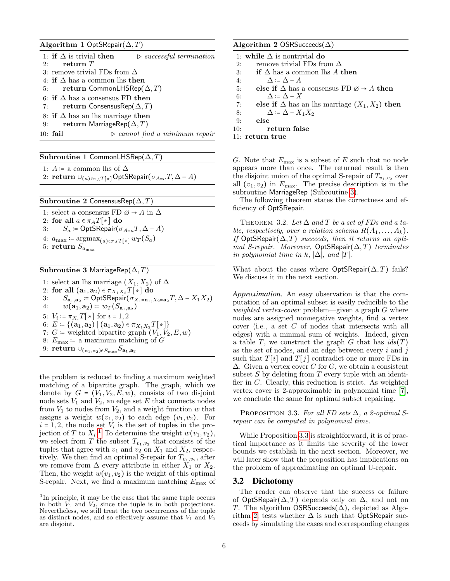#### <span id="page-5-0"></span>Algorithm 1 OptSRepair $(\Delta, T)$

| 1: if $\Delta$ is trivial then<br>$\triangleright$ successful termination |  |  |
|---------------------------------------------------------------------------|--|--|
| 2: return $T$                                                             |  |  |
| 3: remove trivial FDs from $\Delta$                                       |  |  |
| 4: if $\Delta$ has a common lhs then                                      |  |  |
| 5: return CommonLHSRep $(\Delta, T)$                                      |  |  |
| 6: if $\Delta$ has a consensus FD then                                    |  |  |
| 7: return ConsensusRep $(\Delta, T)$                                      |  |  |
| 8: if $\Delta$ has an lhs marriage then                                   |  |  |
| 9: return MarriageRep $(\Delta, T)$                                       |  |  |
| $\triangleright$ cannot find a minimum repair<br>$10:$ fail               |  |  |
|                                                                           |  |  |

| Subroutine 1 CommonLHSRep $(\Delta, T)$ |                                                                                        |  |  |  |
|-----------------------------------------|----------------------------------------------------------------------------------------|--|--|--|
|                                         | 1: $A \coloneqq a$ common lhs of $\Delta$                                              |  |  |  |
|                                         | 2: return $\cup_{(a)\in \pi_A T[\ast]} \mathsf{OptSRepair}(\sigma_{A=a}T, \Delta - A)$ |  |  |  |

| Subroutine 2 Consensus $\mathsf{Rep}(\Delta,T)$             |  |  |  |
|-------------------------------------------------------------|--|--|--|
| 1: select a consensus FD $\varnothing \to A$ in $\Delta$    |  |  |  |
| 2: for all $a \in \pi_A T[*]$ do                            |  |  |  |
| $S_a$ := OptSRepair( $\sigma_{A=a}T$ , $\Delta - A$ )<br>3: |  |  |  |
| 4: $a_{\max}$ := $\arg\max_{(a)\in \pi_A T[*]} w_T(S_a)$    |  |  |  |
| 5: return $S_{a_{\text{max}}}$                              |  |  |  |

#### Subroutine 3 MarriageRep( $\Delta$ , T)

1: select an lhs marriage  $(X_1, X_2)$  of  $\Delta$ 2: for all  $(\mathbf{a}_1, \mathbf{a}_2) \in \pi_{X_1 X_2} T[*]$  do 3:  $S_{\mathbf{a}_1,\mathbf{a}_2} \coloneqq \mathsf{OptSRepair}(\sigma_{X_1=\mathbf{a}_1,X_2=\mathbf{a}_2}T,\Delta-X_1X_2)$ 4:  $w(\mathbf{a}_1, \mathbf{a}_2) = w_T(S_{\mathbf{a}_1, \mathbf{a}_2})$ 5:  $V_i := \pi_{X_i} T[*]$  for  $i = 1, 2$ 6:  $E = \{(\mathbf{a}_1, \mathbf{a}_2) | (\mathbf{a}_1, \mathbf{a}_2) \in \pi_{X_1 X_2} T[*]\}$ 7: G := weighted bipartite graph  $(V_1, V_2, E, w)$ 8:  $E_{\text{max}}$  := a maximum matching of G 9: return ∪<sub>(a<sub>1</sub>,a<sub>2</sub>)∈ $E_{\text{max}}$ S<sub>a<sub>1</sub>,a<sub>2</sub></sub></sub>

the problem is reduced to finding a maximum weighted matching of a bipartite graph. The graph, which we denote by  $G = (V_1, V_2, E, w)$ , consists of two disjoint node sets  $V_1$  and  $V_2$ , an edge set E that connects nodes from  $V_1$  to nodes from  $V_2$ , and a weight function w that assigns a weight  $w(v_1, v_2)$  to each edge  $(v_1, v_2)$ . For  $i = 1, 2$ , the node set  $V_i$  is the set of tuples in the projection of T to  $X_i$ .<sup>[1](#page-5-1)</sup> To determine the weight  $w(v_1, v_2)$ , we select from T the subset  $T_{v_1,v_2}$  that consists of the tuples that agree with  $v_1$  and  $v_2$  on  $X_1$  and  $X_2$ , respectively. We then find an optimal S-repair for  $T_{v_1,v_2}$ , after we remove from  $\Delta$  every attribute in either  $X_1$  or  $X_2$ . Then, the weight  $w(v_1, v_2)$  is the weight of this optimal S-repair. Next, we find a maximum matching  $E_{\text{max}}$  of

#### <span id="page-5-3"></span>Algorithm 2 OSRSucceeds( $\Delta$ )

|                   | 1: while $\Delta$ is nontrivial do                                 |  |
|-------------------|--------------------------------------------------------------------|--|
| 2:                | remove trivial FDs from $\Delta$                                   |  |
| 3:                | if $\Delta$ has a common lhs A then                                |  |
| 4:                | $\Lambda := \Lambda - A$                                           |  |
| 5:                | else if $\Delta$ has a consensus FD $\emptyset \rightarrow A$ then |  |
| 6:                | $\Lambda := \Lambda - X$                                           |  |
| 7:                | else if $\Delta$ has an lhs marriage $(X_1, X_2)$ then             |  |
| 8:                | $\Delta \coloneqq \Delta - X_1 X_2$                                |  |
| 9:                | else                                                               |  |
| 10:               | return false                                                       |  |
| $11:$ return true |                                                                    |  |

G. Note that  $E_{\text{max}}$  is a subset of E such that no node appears more than once. The returned result is then the disjoint union of the optimal S-repair of  $T_{v_1,v_2}$  over all  $(v_1, v_2)$  in  $E_{\text{max}}$ . The precise description is in the subroutine MarriageRep (Subroutine [3\)](#page-5-0).

The following theorem states the correctness and efficiency of OptSRepair.

<span id="page-5-4"></span>THEOREM 3.2. Let  $\Delta$  and T be a set of FDs and a table, respectively, over a relation schema  $R(A_1, \ldots, A_k)$ . If OptSRepair $(\Delta, T)$  succeeds, then it returns an optimal S-repair. Moreover, OptSRepair $(\Delta, T)$  terminates in polynomial time in k,  $|\Delta|$ , and |T|.

What about the cases where OptSRepair( $\Delta$ , T) fails? We discuss it in the next section.

*Approximation.* An easy observation is that the computation of an optimal subset is easily reducible to the weighted vertex-cover problem—given a graph  $G$  where nodes are assigned nonnegative weights, find a vertex cover (i.e., a set C of nodes that intersects with all edges) with a minimal sum of weights. Indeed, given a table T, we construct the graph G that has  $ids(T)$ as the set of nodes, and an edge between every  $i$  and  $j$ such that  $T[i]$  and  $T[j]$  contradict one or more FDs in  $\Delta$ . Given a vertex cover C for G, we obtain a consistent subset  $S$  by deleting from  $T$  every tuple with an identifier in C. Clearly, this reduction is strict. As weighted vertex cover is 2-approximable in polynomial time [\[7\]](#page-12-13), we conclude the same for optimal subset repairing.

<span id="page-5-2"></span>PROPOSITION 3.3. For all FD sets  $\Delta$ , a 2-optimal Srepair can be computed in polynomial time.

While Proposition [3.3](#page-5-2) is straightforward, it is of practical importance as it limits the severity of the lower bounds we establish in the next section. Moreover, we will later show that the proposition has implications on the problem of approximating an optimal U-repair.

#### 3.2 Dichotomy

The reader can observe that the success or failure of OptSRepair $(\Delta, T)$  depends only on  $\Delta$ , and not on T. The algorithm OSRSucceeds( $\Delta$ ), depicted as Algo-rithm [2,](#page-5-3) tests whether  $\Delta$  is such that OptSRepair succeeds by simulating the cases and corresponding changes

<span id="page-5-1"></span><sup>&</sup>lt;sup>1</sup>In principle, it may be the case that the same tuple occurs in both  $V_1$  and  $V_2$ , since the tuple is in both projections. Nevertheless, we still treat the two occurrences of the tuple as distinct nodes, and so effectively assume that  $V_1$  and  $V_2$ are disjoint.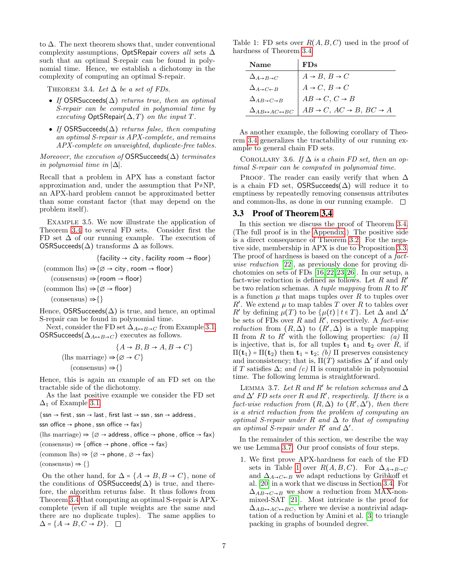to  $\Delta$ . The next theorem shows that, under conventional complexity assumptions, OptSRepair covers all sets  $\Delta$ such that an optimal S-repair can be found in polynomial time. Hence, we establish a dichotomy in the complexity of computing an optimal S-repair.

<span id="page-6-0"></span>THEOREM 3.4. Let  $\Delta$  be a set of FDs.

- If OSRSucceeds( $\Delta$ ) returns true, then an optimal S-repair can be computed in polynomial time by executing OptSRepair $(\Delta, T)$  on the input T.
- If OSRSucceeds( $\Delta$ ) returns false, then computing an optimal S-repair is APX-complete, and remains APX-complete on unweighted, duplicate-free tables.

Moreover, the execution of OSRSucceeds( $\Delta$ ) terminates in polynomial time in  $|\Delta|$ .

Recall that a problem in APX has a constant factor approximation and, under the assumption that P≠NP, an APX-hard problem cannot be approximated better than some constant factor (that may depend on the problem itself).

<span id="page-6-3"></span>Example 3.5. We now illustrate the application of Theorem [3.4](#page-6-0) to several FD sets. Consider first the FD set  $\Delta$  of our running example. The execution of OSRSucceeds( $\Delta$ ) transforms  $\Delta$  as follows.

$$
{\begin{aligned}\n\{{\begin{aligned}\n\{{\begin{aligned}\n\{{\begin{aligned}\n\{{\begin{aligned}\n\{{\begin{aligned}\n\{{\begin{aligned}\n\{{\begin{aligned}\n\{{\begin{aligned}\n\{{\begin{aligned}\n\{{\begin{aligned}\n\{{\begin{aligned}\n\{{\begin{aligned}\n\{{\begin{aligned}\n\{{\begin{aligned}\n\{{\begin{aligned}\n\{{\begin{aligned}\n\{{\begin{aligned}\n\{{\begin{aligned}\n\{{\begin{aligned}\n\{{\begin{aligned}\n\{{\begin{aligned}\n\{{\begin{aligned}\n\{{\begin{aligned}\n\{{\begin{aligned}\n\{{\begin{aligned}\n\{{\begin{aligned}\n\{{\begin{aligned}\n\{{\begin{aligned}\n\{{\begin{aligned}\n\{{\begin{aligned}\n\{{\begin{aligned}\n\{{\begin{aligned}\n\{{\begin{aligned}\n\{{\begin{aligned}\n\{{\begin{aligned}\n\{{\begin{aligned}\n\{{\begin{aligned}\n\{{\begin{aligned}\n\{{\begin{aligned}\n\{{\begin{aligned}\n\{{\begin{aligned}\n\{{\begin{aligned}\n\{{\begin{aligned}\n\{{\begin{aligned}\n\{{\begin{aligned}\n\{{\begin{aligned}\n\{{\begin{aligned}\n\{{\begin{aligned}\n\{{\begin{aligned}\n\{{\begin{aligned}\n\{{\begin{aligned}\n\{{\begin{aligned}\n\{{\begin{aligned}\n\{{\begin{aligned}\n\{{\begin{aligned}\n\{{\begin{aligned}\n\{{\begin{aligned}\n\{{\begin{aligned}\n\{{\begin{aligned}\n\{{\begin{aligned}\n\{{\begin{aligned}\n\{{\begin{aligned}\n\{{\begin{aligned}\n\{{\begin{aligned}\n\{{\begin{aligned}\n\{{\begin{aligned}\n\{{\begin{aligned}\n\{{\begin{aligned}\n\{{\begin{aligned}\n\{{\begin{aligned}\n\{{\begin{aligned}\n\{{\begin{aligned}\n\{{\begin{aligned}\n\{{\begin{aligned}\n\{{\begin{aligned}\n\{{\begin{aligned}\n\{{\begin{aligned}\n\{{\begin{aligned}\n\{{\begin{aligned}\n\{{\begin{aligned}\n\{{\begin{aligned}\n\{{\begin{aligned}\n\{{\begin{aligned}\n\{{\begin{aligned}\n\{{\begin{aligned}\n\{{\begin{aligned}\n\{{\begin{aligned}\n\{{\begin{aligned}\n\{{\begin{aligned}\n\{{\begin{aligned}\n\{{\begin{aligned}\n\{{\begin{aligned}\n\{{\begin{aligned}\n\{{\begin{aligned}
$$

Hence, OSRSucceeds( $\Delta$ ) is true, and hence, an optimal S-repair can be found in polynomial time.

Next, consider the FD set  $\Delta_{A \leftrightarrow B \to C}$  from Example [3.1.](#page-4-0) OSRSucceeds( $\Delta_{A \leftrightarrow B \to C}$ ) executes as follows.

$$
\{A \to B, B \to A, B \to C\}
$$
  
(lhs marriage)  $\Rightarrow \{\emptyset \to C\}$   
(consensus)  $\Rightarrow \{\}$ 

Hence, this is again an example of an FD set on the tractable side of the dichotomy.

As the last positive example we consider the FD set  $\Delta_1$  of Example [3.1.](#page-4-0)

 ${ssn \rightarrow first, ssn \rightarrow last, first last \rightarrow ssn, ssn \rightarrow address,$ 

ssn office  $\rightarrow$  phone, ssn office  $\rightarrow$  fax}

(lhs marriage)  $\Rightarrow$  { $\emptyset \rightarrow$  address, office  $\rightarrow$  phone, office  $\rightarrow$  fax}

$$
(\text{consensus}) \Rightarrow \{\text{oflice} \rightarrow \text{phone}, \text{oflice} \rightarrow \text{fax}\}
$$

$$
(\text{common lhs}) \Rightarrow \{\emptyset \to \text{phone}, \emptyset \to \text{fax}\}
$$

$$
(\text{consensus}) \Rightarrow \{\}
$$

On the other hand, for  $\Delta = \{A \rightarrow B, B \rightarrow C\}$ , none of the conditions of  $OSRS$ ucceeds( $\Delta$ ) is true, and therefore, the algorithm returns false. It thus follows from Theorem [3.4](#page-6-0) that computing an optimal S-repair is APXcomplete (even if all tuple weights are the same and there are no duplicate tuples). The same applies to  $\Delta = \{A \rightarrow B, C \rightarrow D\}.$ 

<span id="page-6-2"></span>Table 1: FD sets over  $R(A, B, C)$  used in the proof of hardness of Theorem [3.4.](#page-6-0)

| <b>Name</b>                                         | FDs                                                          |  |
|-----------------------------------------------------|--------------------------------------------------------------|--|
| $\Delta$ A $\rightarrow$ B $\rightarrow$ C          | $A \rightarrow B, B \rightarrow C$                           |  |
| $\Delta_{A\to C\leftarrow B}$                       | $A \rightarrow C, B \rightarrow C$                           |  |
| $\Delta_{AB\rightarrow C\rightarrow B}$             | $AB \rightarrow C, C \rightarrow B$                          |  |
| $\Delta_{AB \leftrightarrow AC \leftrightarrow BC}$ | $AB \rightarrow C$ , $AC \rightarrow B$ , $BC \rightarrow A$ |  |

As another example, the following corollary of Theorem [3.4](#page-6-0) generalizes the tractability of our running example to general chain FD sets.

<span id="page-6-4"></span>COROLLARY 3.6. If  $\Delta$  is a chain FD set, then an optimal S-repair can be computed in polynomial time.

PROOF. The reader can easily verify that when  $\Delta$ is a chain FD set, OSRSucceeds( $\Delta$ ) will reduce it to emptiness by repeatedly removing consensus attributes and common-lhs, as done in our running example.  $\Box$ 

## 3.3 Proof of Theorem [3.4](#page-6-0)

In this section we discuss the proof of Theorem [3.4.](#page-6-0) (The full proof is in the [Appendix.](#page-13-0)) The positive side is a direct consequence of Theorem [3.2.](#page-5-4) For the negative side, membership in APX is due to Proposition [3.3.](#page-5-2) The proof of hardness is based on the concept of a fact-wise reduction [\[22\]](#page-12-20), as previously done for proving dichotomies on sets of FDs [\[16,](#page-12-21) [22,](#page-12-20) [23,](#page-12-22) [26\]](#page-12-18). In our setup, a fact-wise reduction is defined as follows. Let  $R$  and  $R'$ be two relation schemas. A *tuple mapping* from  $R$  to  $R'$ is a function  $\mu$  that maps tuples over R to tuples over  $R'$ . We extend  $\mu$  to map tables T over R to tables over R' by defining  $\mu(T)$  to be  $\{\mu(t) | t \in T\}$ . Let  $\Delta$  and  $\Delta'$ be sets of FDs over R and  $R'$ , respectively. A fact-wise *reduction* from  $(R, \Delta)$  to  $(R', \Delta)$  is a tuple mapping Π from R to R' with the following properties: (a)  $\Pi$ is injective, that is, for all tuples  $t_1$  and  $t_2$  over R, if  $\Pi(\mathbf{t}_1) = \Pi(\mathbf{t}_2)$  then  $\mathbf{t}_1 = \mathbf{t}_2$ ; (b)  $\Pi$  preserves consistency and inconsistency; that is,  $\Pi(T)$  satisfies  $\Delta'$  if and only if T satisfies  $\Delta$ ; and (c)  $\Pi$  is computable in polynomial time. The following lemma is straightforward.

<span id="page-6-1"></span>LEMMA 3.7. Let R and R' be relation schemas and  $\Delta$ and  $\Delta'$  FD sets over R and R', respectively. If there is a  $\textit{fact-wise reduction from} (R, \Delta) \textit{ to } (R', \Delta'), \textit{then there}$ is a strict reduction from the problem of computing an optimal S-repair under R and  $\Delta$  to that of computing an optimal S-repair under  $R'$  and  $\Delta'$ .

In the remainder of this section, we describe the way we use Lemma [3.7.](#page-6-1) Our proof consists of four steps.

1. We first prove APX-hardness for each of the FD sets in Table [1](#page-6-2) over  $R(A, B, C)$ . For  $\Delta_{A\rightarrow B\rightarrow C}$ and  $\Delta_{A\to C\leftarrow B}$  we adapt reductions by Gribkoff et al. [\[20\]](#page-12-12) in a work that we discuss in Section [3.4.](#page-7-0) For  $\Delta_{AB\rightarrow C\rightarrow B}$  we show a reduction from MAX-nonmixed-SAT [\[21\]](#page-12-23). Most intricate is the proof for  $\Delta_{AB \leftrightarrow AC \leftrightarrow BC}$ , where we devise a nontrivial adaptation of a reduction by Amini et al. [\[3\]](#page-12-24) to triangle packing in graphs of bounded degree.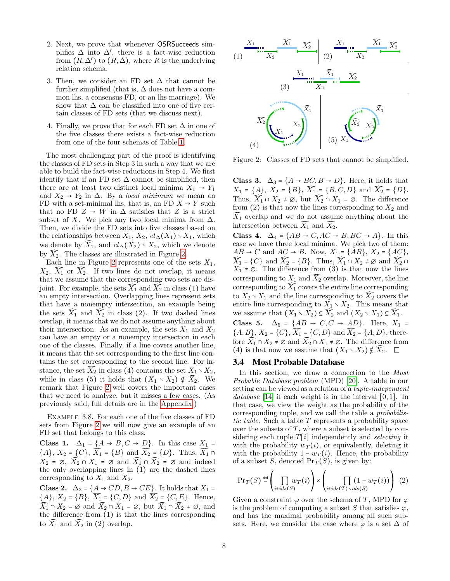- 2. Next, we prove that whenever OSRSucceeds simplifies  $\Delta$  into  $\Delta'$ , there is a fact-wise reduction from  $(R, \Delta')$  to  $(R, \Delta)$ , where R is the underlying relation schema.
- 3. Then, we consider an FD set  $\Delta$  that cannot be further simplified (that is,  $\Delta$  does not have a common lhs, a consensus FD, or an lhs marriage). We show that  $\Delta$  can be classified into one of five certain classes of FD sets (that we discuss next).
- 4. Finally, we prove that for each FD set  $\Delta$  in one of the five classes there exists a fact-wise reduction from one of the four schemas of Table [1.](#page-6-2)

The most challenging part of the proof is identifying the classes of FD sets in Step 3 in such a way that we are able to build the fact-wise reductions in Step 4. We first identify that if an FD set  $\Delta$  cannot be simplified, then there are at least two distinct local minima  $X_1 \rightarrow Y_1$ and  $X_2 \rightarrow Y_2$  in  $\Delta$ . By a *local minimum* we mean an FD with a set-minimal lhs, that is, an FD  $X \rightarrow Y$  such that no FD  $Z \rightarrow W$  in  $\Delta$  satisfies that Z is a strict subset of X. We pick any two local minima from  $\Delta$ . Then, we divide the FD sets into five classes based on the relationships between  $X_1, X_2, cl_\Delta(X_1) \setminus X_1$ , which we denote by  $\overline{X}_1$ , and  $cl_{\Delta}(X_2) \setminus X_2$ , which we denote by  $\widehat{X}_2$ . The classes are illustrated in Figure [2.](#page-7-1)

Each line in Figure [2](#page-7-1) represents one of the sets  $X_1$ ,  $X_2, \widehat{X_1}$  or  $\widehat{X_2}$ . If two lines do not overlap, it means that we assume that the corresponding two sets are disjoint. For example, the sets  $X_1$  and  $X_2$  in class (1) have an empty intersection. Overlapping lines represent sets that have a nonempty intersection, an example being the sets  $\widehat{X}_1$  and  $\widehat{X}_2$  in class (2). If two dashed lines overlap, it means that we do not assume anything about their intersection. As an example, the sets  $X_1$  and  $X_2$ can have an empty or a nonempty intersection in each one of the classes. Finally, if a line covers another line, it means that the set corresponding to the first line contains the set corresponding to the second line. For instance, the set  $\overline{X_2}$  in class (4) contains the set  $X_1 \setminus X_2$ , while in class (5) it holds that  $(X_1 \,\setminus X_2) \notin \widehat{X_2}$ . We remark that Figure [2](#page-7-1) well covers the important cases that we need to analyze, but it misses a few cases. (As previously said, full details are in the [Appendix.](#page-13-0))

Example 3.8. For each one of the five classes of FD sets from Figure [2](#page-7-1) we will now give an example of an FD set that belongs to this class.

**Class 1.**  $\Delta_1 = \{A \rightarrow B, C \rightarrow D\}$ . In this case  $X_1 =$  $\{A\}, X_2 = \{C\}, \ \widehat{X_1} = \{B\} \text{ and } \widehat{X_2} = \{D\}. \text{ Thus, } \widehat{X_1} \cap$  $X_2 = \emptyset$ ,  $\widehat{X_2} \cap X_1 = \emptyset$  and  $\widehat{X_1} \cap \widehat{X_2} = \emptyset$  and indeed the only overlapping lines in (1) are the dashed lines corresponding to  $X_1$  and  $X_2$ .

**Class 2.**  $\Delta_2 = \{A \rightarrow CD, B \rightarrow CE\}$ . It holds that  $X_1 =$  ${A}, X_2 = {B}, \overline{X_1} = {C, D}$  and  $\overline{X_2} = {C, E}.$  Hence,  $\widehat{X}_1 \cap X_2 = \emptyset$  and  $\widehat{X}_2 \cap X_1 = \emptyset$ , but  $\widehat{X}_1 \cap \widehat{X}_2 \neq \emptyset$ , and the difference from (1) is that the lines corresponding to  $\widehat{X}_1$  and  $\widehat{X}_2$  in (2) overlap.

<span id="page-7-1"></span>

Figure 2: Classes of FD sets that cannot be simplified.

**Class 3.**  $\Delta_3 = \{A \rightarrow BC, B \rightarrow D\}$ . Here, it holds that  $X_1 = \{A\}, X_2 = \{B\}, \ \widehat{X_1} = \{B, C, D\} \text{ and } \widehat{X_2} = \{D\}.$ Thus,  $\widehat{X}_1 \cap X_2 \neq \emptyset$ , but  $\widehat{X}_2 \cap X_1 = \emptyset$ . The difference from  $(2)$  is that now the lines corresponding to  $X_2$  and  $\overline{X}_1$  overlap and we do not assume anything about the intersection between  $\widehat{X}_1$  and  $\widehat{X}_2$ .

**Class 4.**  $\Delta_4 = \{AB \rightarrow C, AC \rightarrow B, BC \rightarrow A\}$ . In this case we have three local minima. We pick two of them:  $AB \rightarrow C$  and  $AC \rightarrow B$ . Now,  $X_1 = \{AB\}$ ,  $X_2 = \{AC\}$ ,  $\widehat{X}_1$  = {C} and  $\widehat{X}_2$  = {B}. Thus,  $\widehat{X}_1 \cap X_2 \neq \emptyset$  and  $\widehat{X}_2 \cap$  $X_1 \neq \emptyset$ . The difference from (3) is that now the lines corresponding to  $X_1$  and  $\widehat{X_2}$  overlap. Moreover, the line corresponding to  $\widehat{X}_1$  covers the entire line corresponding to  $X_2 \setminus X_1$  and the line corresponding to  $\widehat{X}_2$  covers the entire line corresponding to  $X_1 \setminus X_2$ . This means that we assume that  $(X_1 \setminus X_2) \subseteq \widehat{X_2}$  and  $(X_2 \setminus X_1) \subseteq \widehat{X_1}$ . Class 5.  $\Delta_5 = \{AB \rightarrow C, C \rightarrow AD\}$ . Here,  $X_1 =$  ${A, B}, X_2 = {C}, \overline{X_1} = {C, D}$  and  $\overline{X_2} = {A, D}$ , therefore  $\widehat{X}_1 \cap X_2 \neq \emptyset$  and  $\widehat{X}_2 \cap X_1 \neq \emptyset$ . The difference from

# (4) is that now we assume that  $(X_1 \setminus X_2) \notin \widehat{X_2}$ . 3.4 Most Probable Database

<span id="page-7-0"></span>In this section, we draw a connection to the Most Probable Database problem (MPD) [\[20\]](#page-12-12). A table in our setting can be viewed as a relation of a tuple-independent database [\[14\]](#page-12-16) if each weight is in the interval [0, 1]. In that case, we view the weight as the probability of the corresponding tuple, and we call the table a probabilistic table. Such a table T represents a probability space over the subsets of T, where a subset is selected by considering each tuple  $T[i]$  independently and selecting it with the probability  $w_T(i)$ , or equivalently, deleting it with the probability  $1 - w_T(i)$ . Hence, the probability of a subset S, denoted  $Pr_T(S)$ , is given by:

<span id="page-7-2"></span>
$$
\Pr_T(S) \stackrel{\text{def}}{=} \left( \prod_{i \in id_S(S)} w_T(i) \right) \times \left( \prod_{i \in id_S(T) \setminus id_S(S)} (1 - w_T(i)) \right) (2)
$$

Given a constraint  $\varphi$  over the schema of  $T,$  MPD for  $\varphi$ is the problem of computing a subset S that satisfies  $\varphi$ , and has the maximal probability among all such subsets. Here, we consider the case where  $\varphi$  is a set  $\Delta$  of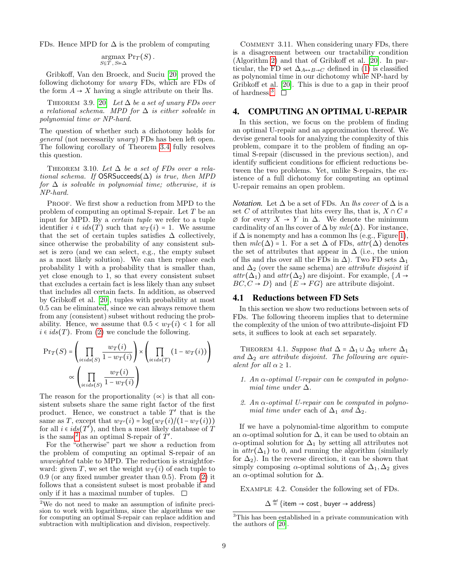FDs. Hence MPD for  $\Delta$  is the problem of computing

$$
\underset{S \subseteq T, S \models \Delta}{\operatorname{argmax}} \, \Pr_T(S).
$$

Gribkoff, Van den Broeck, and Suciu [\[20\]](#page-12-12) proved the following dichotomy for unary FDs, which are FDs of the form  $A \rightarrow X$  having a single attribute on their lhs.

THEOREM 3.9. [\[20\]](#page-12-12) Let  $\Delta$  be a set of unary FDs over a relational schema. MPD for  $\Delta$  is either solvable in polynomial time or NP-hard.

The question of whether such a dichotomy holds for general (not necessarily unary) FDs has been left open. The following corollary of Theorem [3.4](#page-6-0) fully resolves this question.

THEOREM 3.10. Let  $\Delta$  be a set of FDs over a relational schema. If OSRSucceeds( $\Delta$ ) is true, then MPD for  $\Delta$  is solvable in polynomial time; otherwise, it is NP-hard.

PROOF. We first show a reduction from MPD to the problem of computing an optimal S-repair. Let T be an input for MPD. By a certain tuple we refer to a tuple identifier  $i \in ids(T)$  such that  $w_T(i) = 1$ . We assume that the set of certain tuples satisfies  $\Delta$  collectively, since otherwise the probability of any consistent subset is zero (and we can select, e.g., the empty subset as a most likely solution). We can then replace each probability 1 with a probability that is smaller than, yet close enough to 1, so that every consistent subset that excludes a certain fact is less likely than any subset that includes all certain facts. In addition, as observed by Gribkoff et al. [\[20\]](#page-12-12), tuples with probability at most 0.5 can be eliminated, since we can always remove them from any (consistent) subset without reducing the probability. Hence, we assume that  $0.5 < w_T(i) < 1$  for all  $i \in ids(T)$ . From [\(2\)](#page-7-2) we conclude the following.

$$
\Pr_T(S) = \left(\prod_{i \in ids(S)} \frac{w_T(i)}{1 - w_T(i)}\right) \times \left(\prod_{i \in ids(T)} (1 - w_T(i))\right)
$$

$$
\propto \left(\prod_{i \in ids(S)} \frac{w_T(i)}{1 - w_T(i)}\right)
$$

The reason for the proportionality  $(\infty)$  is that all consistent subsets share the same right factor of the first product. Hence, we construct a table  $T'$  that is the same as T, except that  $w_{T}(i) = \log(w_T(i)/(1-w_T(i)))$ for all  $i \in ids(T')$ , and then a most likely database of T is the same<sup>[2](#page-8-0)</sup> as an optimal S-repair of  $T'$ .

For the "otherwise" part we show a reduction from the problem of computing an optimal S-repair of an unweighted table to MPD. The reduction is straightforward: given T, we set the weight  $w_T(i)$  of each tuple to 0.9 (or any fixed number greater than 0.5). From [\(2\)](#page-7-2) it follows that a consistent subset is most probable if and only if it has a maximal number of tuples.  $\Box$ 

Comment 3.11. When considering unary FDs, there is a disagreement between our tractability condition (Algorithm [2\)](#page-5-3) and that of Gribkoff et al. [\[20\]](#page-12-12). In particular, the FD set  $\Delta_{A \leftrightarrow B \to C}$  defined in [\(1\)](#page-4-1) is classified as polynomial time in our dichotomy while NP-hard by Gribkoff et al. [\[20\]](#page-12-12). This is due to a gap in their proof of hardness.<sup>[3](#page-8-1)</sup>  $\Box$ 

#### <span id="page-8-4"></span>4. COMPUTING AN OPTIMAL U-REPAIR

In this section, we focus on the problem of finding an optimal U-repair and an approximation thereof. We devise general tools for analyzing the complexity of this problem, compare it to the problem of finding an optimal S-repair (discussed in the previous section), and identify sufficient conditions for efficient reductions between the two problems. Yet, unlike S-repairs, the existence of a full dichotomy for computing an optimal U-repair remains an open problem.

*Notation.* Let  $\Delta$  be a set of FDs. An lhs cover of  $\Delta$  is a set C of attributes that hits every lhs, that is,  $X \cap C \neq$  $\varnothing$  for every  $X \to Y$  in  $\Delta$ . We denote the minimum cardinality of an lhs cover of  $\Delta$  by  $mlc(\Delta)$ . For instance, if  $\Delta$  is nonempty and has a common lhs (e.g., Figure [1\)](#page-2-0), then  $mlc(\Delta) = 1$ . For a set  $\Delta$  of FDs,  $attr(\Delta)$  denotes the set of attributes that appear in  $\Delta$  (i.e., the union of lhs and rhs over all the FDs in  $\Delta$ ). Two FD sets  $\Delta_1$ and  $\Delta_2$  (over the same schema) are *attribute disjoint* if  $attr(\Delta_1)$  and  $attr(\Delta_2)$  are disjoint. For example, {A →  $BC, C \rightarrow D$  and  $\{E \rightarrow FG\}$  are attribute disjoint.

# 4.1 Reductions between FD Sets

In this section we show two reductions between sets of FDs. The following theorem implies that to determine the complexity of the union of two attribute-disjoint FD sets, it suffices to look at each set separately.

<span id="page-8-2"></span>THEOREM 4.1. Suppose that  $\Delta = \Delta_1 \cup \Delta_2$  where  $\Delta_1$ and  $\Delta_2$  are attribute disjoint. The following are equivalent for all  $\alpha \geq 1$ .

- 1. An  $\alpha$ -optimal U-repair can be computed in polynomial time under  $\Delta$ .
- 2. An  $\alpha$ -optimal U-repair can be computed in polynomial time under each of  $\Delta_1$  and  $\Delta_2$ .

If we have a polynomial-time algorithm to compute an  $\alpha$ -optimal solution for  $\Delta$ , it can be used to obtain an  $\alpha$ -optimal solution for  $\Delta_1$  by setting all attributes not in  $attr(\Delta_1)$  to 0, and running the algorithm (similarly for  $\Delta_2$ ). In the reverse direction, it can be shown that simply composing  $\alpha$ -optimal solutions of  $\Delta_1, \Delta_2$  gives an  $\alpha$ -optimal solution for  $\Delta$ .

Example 4.2. Consider the following set of FDs.

<span id="page-8-3"></span> $\Delta \stackrel{\scriptscriptstyle{\mathsf{def}}}{=} \{\mathsf{item} \to \mathsf{cost}\,,\, \mathsf{buyer} \to \mathsf{address}\}$ 

<span id="page-8-0"></span><sup>2</sup>We do not need to make an assumption of infinite precision to work with logarithms, since the algorithms we use for computing an optimal S-repair can replace addition and subtraction with multiplication and division, respectively.

<span id="page-8-1"></span> $3$ This has been established in a private communication with the authors of [\[20\]](#page-12-12).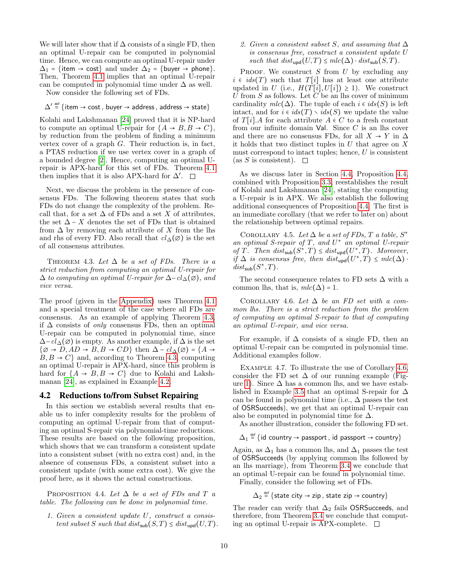We will later show that if  $\Delta$  consists of a single FD, then an optimal U-repair can be computed in polynomial time. Hence, we can compute an optimal U-repair under  $\Delta_1$  = {item → cost} and under  $\Delta_2$  = {buyer → phone}. Then, Theorem [4.1](#page-8-2) implies that an optimal U-repair can be computed in polynomial time under  $\Delta$  as well.

Now consider the following set of FDs.

# $\Delta' \stackrel{\scriptscriptstyle{\mathsf{def}}}{=} \{\mathsf{item} \to \mathsf{cost}\,,\, \mathsf{buyer} \to \mathsf{address}\,,\, \mathsf{address} \to \mathsf{state}\}$

Kolahi and Lakshmanan [\[24\]](#page-12-6) proved that it is NP-hard to compute an optimal U-repair for  $\{A \rightarrow B, B \rightarrow C\},\$ by reduction from the problem of finding a minimum vertex cover of a graph G. Their reduction is, in fact, a PTAS reduction if we use vertex cover in a graph of a bounded degree [\[2\]](#page-12-25). Hence, computing an optimal Urepair is APX-hard for this set of FDs. Theorem [4.1](#page-8-2) then implies that it is also APX-hard for  $\Delta'$ .

Next, we discuss the problem in the presence of consensus FDs. The following theorem states that such FDs do not change the complexity of the problem. Recall that, for a set  $\Delta$  of FDs and a set X of attributes, the set  $\Delta$  − X denotes the set of FDs that is obtained from  $\Delta$  by removing each attribute of X from the lhs and rhs of every FD. Also recall that  $cl_{\Delta}(\emptyset)$  is the set of all consensus attributes.

<span id="page-9-0"></span>THEOREM 4.3. Let  $\Delta$  be a set of FDs. There is a strict reduction from computing an optimal U-repair for  $\Delta$  to computing an optimal U-repair for  $\Delta$ -cl<sub> $\Delta$ </sub>( $\varnothing$ ), and vice versa.

The proof (given in the [Appendix\)](#page-26-0) uses Theorem [4.1](#page-8-2) and a special treatment of the case where all FDs are consensus. As an example of applying Theorem [4.3,](#page-9-0) if ∆ consists of only consensus FDs, then an optimal U-repair can be computed in polynomial time, since  $\Delta - cl_{\Delta}(\emptyset)$  is empty. As another example, if  $\Delta$  is the set  $\{\emptyset \to D, AD \to B, B \to CD\}$  then  $\Delta - cl_{\Delta}(\emptyset) = \{A \to$  $B, B \rightarrow C$  and, according to Theorem [4.3,](#page-9-0) computing an optimal U-repair is APX-hard, since this problem is hard for  $\{A \rightarrow B, B \rightarrow C\}$  due to Kolahi and Lakshmanan [\[24\]](#page-12-6), as explained in Example [4.2.](#page-8-3)

#### 4.2 Reductions to/from Subset Repairing

In this section we establish several results that enable us to infer complexity results for the problem of computing an optimal U-repair from that of computing an optimal S-repair via polynomial-time reductions. These results are based on the following proposition, which shows that we can transform a consistent update into a consistent subset (with no extra cost) and, in the absence of consensus FDs, a consistent subset into a consistent update (with some extra cost). We give the proof here, as it shows the actual constructions.

<span id="page-9-1"></span>PROPOSITION 4.4. Let  $\Delta$  be a set of FDs and T a table. The following can be done in polynomial time.

1. Given a consistent update U, construct a consistent subset S such that  $dist_{sub}(S, T) \leq dist_{upd}(U, T)$ .

#### 2. Given a consistent subset S, and assuming that  $\Delta$ is consensus free, construct a consistent update U such that  $dist_{\text{upd}}(U, T) \leq mlc(\Delta) \cdot dist_{\text{sub}}(S, T)$ .

PROOF. We construct  $S$  from  $U$  by excluding any  $i \in ids(T)$  such that  $T[i]$  has at least one attribute updated in U (i.e.,  $H(T[i], U[i]) \geq 1$ ). We construct U from S as follows. Let  $\overline{C}$  be an lhs cover of minimum cardinality  $mlc(\Delta)$ . The tuple of each  $i \in ids(S)$  is left intact, and for  $i \in ids(T) \setminus ids(S)$  we update the value of  $T[i].A$  for each attribute  $A \in C$  to a fresh constant from our infinite domain Val. Since  $C$  is an lhs cover and there are no consensus FDs, for all  $X \rightarrow Y$  in  $\Delta$ it holds that two distinct tuples in  $U$  that agree on  $X$ must correspond to intact tuples; hence,  $U$  is consistent (as S is consistent).  $\square$ 

As we discuss later in Section [4.4,](#page-10-0) Proposition [4.4,](#page-9-1) combined with Proposition [3.3,](#page-5-2) reestablishes the result of Kolahi and Lakshmanan [\[24\]](#page-12-6), stating the computing a U-repair is in APX. We also establish the following additional consequences of Proposition [4.4.](#page-9-1) The first is an immediate corollary (that we refer to later on) about the relationship between optimal repairs.

<span id="page-9-3"></span>COROLLARY 4.5. Let  $\Delta$  be a set of FDs, T a table,  $S^*$ an optimal S-repair of T, and  $U^*$  an optimal U-repair of T. Then  $dist_{sub}(S^*,T) \leq dist_{upd}(U^*,T)$ . Moreover, if  $\Delta$  is consensus free, then dist<sub>upd</sub> $(U^*,T) \leq mlc(\Delta)$ .  $dist_{\textsf{sub}}(S^*, T)$ .

The second consequence relates to FD sets  $\Delta$  with a common lhs, that is,  $mlc(\Delta) = 1$ .

<span id="page-9-2"></span>COROLLARY 4.6. Let  $\Delta$  be an FD set with a common lhs. There is a strict reduction from the problem of computing an optimal S-repair to that of computing an optimal U-repair, and vice versa.

For example, if  $\Delta$  consists of a single FD, then an optimal U-repair can be computed in polynomial time. Additional examples follow.

Example 4.7. To illustrate the use of Corollary [4.6,](#page-9-2) consider the FD set  $\Delta$  of our running example (Fig-ure [1\)](#page-2-0). Since  $\Delta$  has a common lhs, and we have estab-lished in Example [3.5](#page-6-3) that an optimal S-repair for  $\Delta$ can be found in polynomial time (i.e.,  $\Delta$  passes the test of OSRSucceeds), we get that an optimal U-repair can also be computed in polynomial time for  $\Delta$ .

As another illustration, consider the following FD set.

 $\Delta_1 \stackrel{\scriptscriptstyle{\mathsf{def}}}{=} \{\mathsf{id} \text{ country} \rightarrow \mathsf{passport} \, , \, \mathsf{id} \text{ passport} \rightarrow \mathsf{country}\}$ 

Again, as  $\Delta_1$  has a common lhs, and  $\Delta_1$  passes the test of OSRSucceeds (by applying common lhs followed by an lhs marriage), from Theorem [3.4](#page-6-0) we conclude that an optimal U-repair can be found in polynomial time.

Finally, consider the following set of FDs.

 $\Delta_2\stackrel{\scriptscriptstyle\rm def}{=}\{\text{state city}\rightarrow\text{zip},\,\text{state zip}\rightarrow\text{country}\}$ 

The reader can verify that  $\Delta_2$  fails OSRSucceeds, and therefore, from Theorem [3.4](#page-6-0) we conclude that computing an optimal U-repair is APX-complete.  $\square$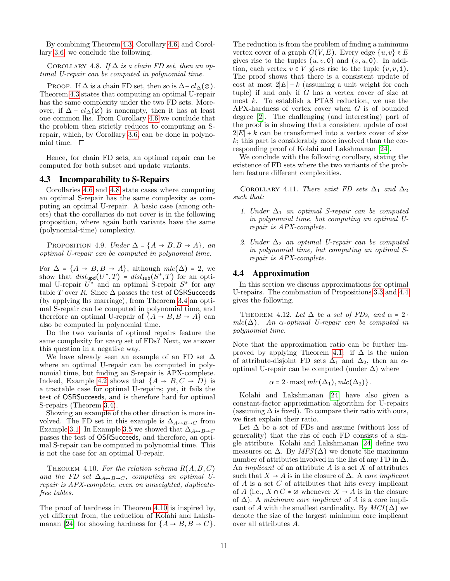By combining Theorem [4.3,](#page-9-0) Corollary [4.6,](#page-9-2) and Corollary [3.6,](#page-6-4) we conclude the following.

COROLLARY 4.8. If  $\Delta$  is a chain FD set, then an optimal U-repair can be computed in polynomial time.

PROOF. If  $\Delta$  is a chain FD set, then so is  $\Delta - cl_{\Delta}(\emptyset)$ . Theorem [4.3](#page-9-0) states that computing an optimal U-repair has the same complexity under the two FD sets. Moreover, if  $\Delta - cl_{\Delta}(\emptyset)$  is nonempty, then it has at least one common lhs. From Corollary [4.6](#page-9-2) we conclude that the problem then strictly reduces to computing an Srepair, which, by Corollary [3.6,](#page-6-4) can be done in polynomial time.  $\square$ 

Hence, for chain FD sets, an optimal repair can be computed for both subset and update variants.

#### <span id="page-10-6"></span>4.3 Incomparability to S-Repairs

Corollaries [4.6](#page-9-2) and [4.8](#page-10-1) state cases where computing an optimal S-repair has the same complexity as computing an optimal U-repair. A basic case (among others) that the corollaries do not cover is in the following proposition, where again both variants have the same (polynomial-time) complexity.

<span id="page-10-5"></span>PROPOSITION 4.9. Under  $\Delta = \{A \rightarrow B, B \rightarrow A\}$ , an optimal U-repair can be computed in polynomial time.

For  $\Delta = \{A \rightarrow B, B \rightarrow A\}$ , although  $mlc(\Delta) = 2$ , we show that  $dist_{\text{upd}}(U^*,T) = dist_{\text{sub}}(S^*,T)$  for an optimal U-repair  $U^*$  and an optimal S-repair  $S^*$  for any table T over R. Since  $\Delta$  passes the test of OSRSucceeds (by applying lhs marriage), from Theorem [3.4](#page-6-0) an optimal S-repair can be computed in polynomial time, and therefore an optimal U-repair of  $\{A \rightarrow B, B \rightarrow A\}$  can also be computed in polynomial time.

Do the two variants of optimal repairs feature the same complexity for every set of FDs? Next, we answer this question in a negative way.

We have already seen an example of an FD set  $\Delta$ where an optimal U-repair can be computed in polynomial time, but finding an S-repair is APX-complete. Indeed, Example [4.2](#page-8-3) shows that  $\{A \rightarrow B, C \rightarrow D\}$  is a tractable case for optimal U-repairs; yet, it fails the test of OSRSucceeds, and is therefore hard for optimal S-repairs (Theorem [3.4\)](#page-6-0).

Showing an example of the other direction is more involved. The FD set in this example is  $\Delta_{A \leftrightarrow B \to C}$  from Example [3.1.](#page-4-0) In Example [3.5](#page-6-3) we showed that  $\Delta_{A \leftrightarrow B \to C}$ passes the test of OSRSucceeds, and therefore, an optimal S-repair can be computed in polynomial time. This is not the case for an optimal U-repair.

<span id="page-10-2"></span>THEOREM 4.10. For the relation schema  $R(A, B, C)$ and the FD set  $\Delta_{A \leftrightarrow B \to C}$ , computing an optimal Urepair is APX-complete, even on unweighted, duplicatefree tables.

The proof of hardness in Theorem [4.10](#page-10-2) is inspired by, yet different from, the reduction of Kolahi and Laksh-manan [\[24\]](#page-12-6) for showing hardness for  $\{A \rightarrow B, B \rightarrow C\}$ . <span id="page-10-1"></span>The reduction is from the problem of finding a minimum vertex cover of a graph  $G(V, E)$ . Every edge  $\{u, v\} \in E$ gives rise to the tuples  $(u, v, 0)$  and  $(v, u, 0)$ . In addition, each vertex  $v \in V$  gives rise to the tuple  $(v, v, 1)$ . The proof shows that there is a consistent update of cost at most  $2|E| + k$  (assuming a unit weight for each tuple) if and only if G has a vertex cover of size at most  $k$ . To establish a PTAS reduction, we use the APX-hardness of vertex cover when G is of bounded degree [\[2\]](#page-12-25). The challenging (and interesting) part of the proof is in showing that a consistent update of cost  $2|E| + k$  can be transformed into a vertex cover of size k; this part is considerably more involved than the corresponding proof of Kolahi and Lakshmanan [\[24\]](#page-12-6).

We conclude with the following corollary, stating the existence of FD sets where the two variants of the problem feature different complexities.

COROLLARY 4.11. There exist FD sets  $\Delta_1$  and  $\Delta_2$ such that:

- 1. Under  $\Delta_1$  an optimal S-repair can be computed in polynomial time, but computing an optimal Urepair is APX-complete.
- 2. Under  $\Delta_2$  an optimal U-repair can be computed in polynomial time, but computing an optimal Srepair is APX-complete.

#### <span id="page-10-0"></span>4.4 Approximation

<span id="page-10-3"></span>In this section we discuss approximations for optimal U-repairs. The combination of Propositions [3.3](#page-5-2) and [4.4](#page-9-1) gives the following.

THEOREM 4.12. Let  $\Delta$  be a set of FDs, and  $\alpha = 2 \cdot$ mlc( $\Delta$ ). An  $\alpha$ -optimal U-repair can be computed in polynomial time.

Note that the approximation ratio can be further im-proved by applying Theorem [4.1:](#page-8-2) if  $\Delta$  is the union of attribute-disjoint FD sets  $\Delta_1$  and  $\Delta_2$ , then an  $\alpha$ optimal U-repair can be computed (under  $\Delta$ ) where

$$
\alpha = 2 \cdot \max\{mlc(\Delta_1),mlc(\Delta_2)\}.
$$

Kolahi and Lakshmanan [\[24\]](#page-12-6) have also given a constant-factor approximation algorithm for U-repairs (assuming  $\Delta$  is fixed). To compare their ratio with ours, we first explain their ratio.

<span id="page-10-4"></span>Let  $\Delta$  be a set of FDs and assume (without loss of generality) that the rhs of each FD consists of a single attribute. Kolahi and Lakshmanan [\[24\]](#page-12-6) define two measures on  $\Delta$ . By  $MFS(\Delta)$  we denote the maximum number of attributes involved in the lhs of any FD in  $\Delta$ . An *implicant* of an attribute  $A$  is a set  $X$  of attributes such that  $X \to A$  is in the closure of  $\Delta$ . A *core implicant* of  $A$  is a set  $C$  of attributes that hits every implicant of A (i.e.,  $X \cap C \neq \emptyset$  whenever  $X \to A$  is in the closure of  $\Delta$ ). A minimum core implicant of A is a core implicant of A with the smallest cardinality. By  $MCI(\Delta)$  we denote the size of the largest minimum core implicant over all attributes A.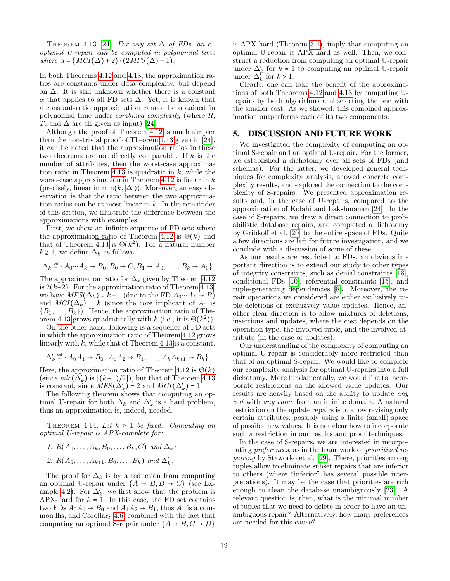THEOREM 4.13. [\[24\]](#page-12-6) For any set  $\Delta$  of FDs, an  $\alpha$ optimal U-repair can be computed in polynomial time where  $\alpha = (MCI(\Delta) + 2) \cdot (2MFS(\Delta) - 1)$ .

In both Theorems [4.12](#page-10-3) and [4.13,](#page-10-4) the approximation ratios are constants under data complexity, but depend on  $\Delta$ . It is still unknown whether there is a constant  $\alpha$  that applies to all FD sets  $\Delta$ . Yet, it is known that a constant-ratio approximation cannot be obtained in polynomial time under combined complexity (where R, T, and  $\Delta$  are all given as input) [\[24\]](#page-12-6).

Although the proof of Theorem [4.12](#page-10-3) is much simpler than the non-trivial proof of Theorem [4.13](#page-10-4) given in [\[24\]](#page-12-6), it can be noted that the approximation ratios in these two theorems are not directly comparable. If  $k$  is the number of attributes, then the worst-case approxima-tion ratio in Theorem [4.13](#page-10-4) is quadratic in  $k$ , while the worst-case approximation in Theorem [4.12](#page-10-3) is linear in  $k$ (precisely, linear in min $(k, |\Delta|)$ ). Moreover, an easy observation is that the ratio between the two approximation ratios can be at most linear in  $k$ . In the remainder of this section, we illustrate the difference between the approximations with examples.

First, we show an infinite sequence of FD sets where the approximation ratio of Theorem [4.12](#page-10-3) is  $\Theta(k)$  and that of Theorem [4.13](#page-10-4) is  $\Theta(k^2)$ . For a natural number  $k \geq 1$ , we define  $\Delta_k$  as follows.

$$
\Delta_k \stackrel{\text{def}}{=} \{A_0 \cdots A_k \to B_0, B_0 \to C, B_1 \to A_0, \dots, B_k \to A_0\}
$$

The approximation ratio for  $\Delta_k$  given by Theorem [4.12](#page-10-3) is  $2(k+2)$ . For the approximation ratio of Theorem [4.13,](#page-10-4) we have  $MFS(\Delta_k) = k+1$  (due to the FD  $A_0 \cdots A_k \rightarrow B$ ) and  $MCI(\Delta_k) = k$  (since the core implicant of  $A_0$  is  ${B_1, \ldots, B_k}$ . Hence, the approximation ratio of The-orem [4.13](#page-10-4) grows quadratically with k (i.e., it is  $\Theta(k^2)$ ).

On the other hand, following is a sequence of FD sets in which the approximation ratio of Theorem [4.12](#page-10-3) grows linearly with k, while that of Theorem [4.13](#page-10-4) is a constant.

$$
\Delta'_k \stackrel{\text{def}}{=} \{A_0A_1 \to B_0, A_1A_2 \to B_1, \dots, A_kA_{k+1} \to B_k\}
$$

Here, the approximation ratio of Theorem [4.12](#page-10-3) is  $\Theta(k)$ (since  $mlc(\overline{\Delta'_k})$  is  $[(k+1)/2]$ ), but that of Theorem [4.13](#page-10-4) is constant, since  $MFS(\Delta'_{k}) = 2$  and  $MCI(\Delta'_{k}) = 1$ .

The following theorem shows that computing an optimal U-repair for both  $\Delta_k$  and  $\Delta'_k$  is a hard problem, thus an approximation is, indeed, needed.

<span id="page-11-1"></span>THEOREM 4.14. Let  $k \geq 1$  be fixed. Computing an optimal U-repair is APX-complete for:

1. 
$$
R(A_0, \ldots, A_k, B_0, \ldots, B_k, C)
$$
 and  $\Delta_k$ ;

2. 
$$
R(A_0,\ldots,A_{k+1},B_0,\ldots,B_k)
$$
 and  $\Delta'_k$ .

The proof for  $\Delta_k$  is by a reduction from computing an optimal U-repair under  $\{A \rightarrow B, B \rightarrow C\}$  (see Ex-ample [4.2\)](#page-8-3). For  $\Delta'_{k}$ , we first show that the problem is APX-hard for  $k = 1$ . In this case, the FD set contains two FDs  $A_0A_1 \rightarrow B_0$  and  $A_1A_2 \rightarrow B_1$ , thus  $A_1$  is a common lhs, and Corollary [4.6,](#page-9-2) combined with the fact that computing an optimal S-repair under  $\{A \rightarrow B, C \rightarrow D\}$ 

is APX-hard (Theorem [3.4\)](#page-6-0), imply that computing an optimal U-repair is APX-hard as well. Then, we construct a reduction from computing an optimal U-repair under  $\Delta'_{k}$  for  $k = 1$  to computing an optimal U-repair under  $\Delta_k^{\prime}$  for  $k > 1$ .

Clearly, one can take the benefit of the approximations of both Theorems [4.12](#page-10-3) and [4.13](#page-10-4) by computing Urepairs by both algorithms and selecting the one with the smaller cost. As we showed, this combined approximation outperforms each of its two components.

#### <span id="page-11-0"></span>5. DISCUSSION AND FUTURE WORK

We investigated the complexity of computing an optimal S-repair and an optimal U-repair. For the former, we established a dichotomy over all sets of FDs (and schemas). For the latter, we developed general techniques for complexity analysis, showed concrete complexity results, and explored the connection to the complexity of S-repairs. We presented approximation results and, in the case of U-repairs, compared to the approximation of Kolahi and Lakshmanan [\[24\]](#page-12-6). In the case of S-repairs, we drew a direct connection to probabilistic database repairs, and completed a dichotomy by Gribkoff et al. [\[20\]](#page-12-12) to the entire space of FDs. Quite a few directions are left for future investigation, and we conclude with a discussion of some of these.

As our results are restricted to FDs, an obvious important direction is to extend our study to other types of integrity constraints, such as denial constraints [\[18\]](#page-12-2), conditional FDs [\[10\]](#page-12-26), referential constraints [\[15\]](#page-12-27), and tuple-generating dependencies [\[8\]](#page-12-28). Moreover, the repair operations we considered are either exclusively tuple deletions or exclusively value updates. Hence, another clear direction is to allow mixtures of deletions, insertions and updates, where the cost depends on the operation type, the involved tuple, and the involved attribute (in the case of updates).

Our understanding of the complexity of computing an optimal U-repair is considerably more restricted than that of an optimal S-repair. We would like to complete our complexity analysis for optimal U-repairs into a full dichotomy. More fundamentally, we would like to incorporate restrictions on the allowed value updates. Our results are heavily based on the ability to update any cell with any value from an infinite domain. A natural restriction on the update repairs is to allow revising only certain attributes, possibly using a finite (small) space of possible new values. It is not clear how to incorporate such a restriction in our results and proof techniques.

In the case of S-repairs, we are interested in incorporating preferences, as in the framework of prioritized repairing by Staworko et al. [\[29\]](#page-12-29). There, priorities among tuples allow to eliminate subset repairs that are inferior to others (where "inferior" has several possible interpretations). It may be the case that priorities are rich enough to clean the database unambiguously [\[23\]](#page-12-22). A relevant question is, then, what is the minimal number of tuples that we need to delete in order to have an unambiguous repair? Alternatively, how many preferences are needed for this cause?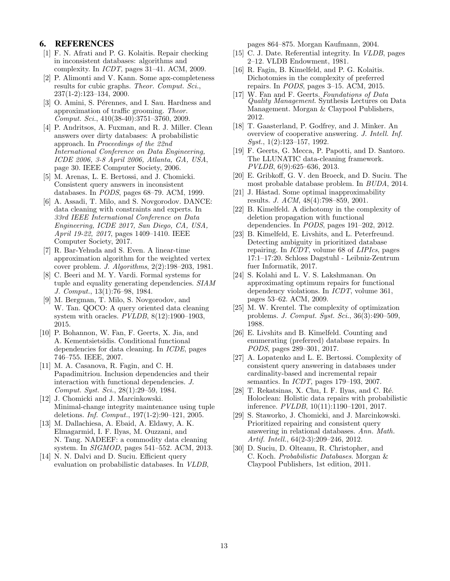# 6. REFERENCES

- <span id="page-12-1"></span>[1] F. N. Afrati and P. G. Kolaitis. Repair checking in inconsistent databases: algorithms and complexity. In ICDT, pages 31–41. ACM, 2009.
- <span id="page-12-25"></span>[2] P. Alimonti and V. Kann. Some apx-completeness results for cubic graphs. Theor. Comput. Sci., 237(1-2):123–134, 2000.
- <span id="page-12-24"></span>[3] O. Amini, S. Pérennes, and I. Sau. Hardness and approximation of traffic grooming. Theor. Comput. Sci., 410(38-40):3751–3760, 2009.
- <span id="page-12-14"></span>[4] P. Andritsos, A. Fuxman, and R. J. Miller. Clean answers over dirty databases: A probabilistic approach. In Proceedings of the 22nd International Conference on Data Engineering, ICDE 2006, 3-8 April 2006, Atlanta, GA, USA, page 30. IEEE Computer Society, 2006.
- <span id="page-12-0"></span>[5] M. Arenas, L. E. Bertossi, and J. Chomicki. Consistent query answers in inconsistent databases. In PODS, pages 68–79. ACM, 1999.
- <span id="page-12-8"></span>[6] A. Assadi, T. Milo, and S. Novgorodov. DANCE: data cleaning with constraints and experts. In 33rd IEEE International Conference on Data Engineering, ICDE 2017, San Diego, CA, USA, April 19-22, 2017, pages 1409–1410. IEEE Computer Society, 2017.
- <span id="page-12-13"></span>[7] R. Bar-Yehuda and S. Even. A linear-time approximation algorithm for the weighted vertex cover problem. J. Algorithms, 2(2):198–203, 1981.
- <span id="page-12-28"></span>[8] C. Beeri and M. Y. Vardi. Formal systems for tuple and equality generating dependencies. SIAM J. Comput., 13(1):76–98, 1984.
- <span id="page-12-9"></span>[9] M. Bergman, T. Milo, S. Novgorodov, and W. Tan. QOCO: A query oriented data cleaning system with oracles. PVLDB, 8(12):1900–1903, 2015.
- <span id="page-12-26"></span>[10] P. Bohannon, W. Fan, F. Geerts, X. Jia, and A. Kementsietsidis. Conditional functional dependencies for data cleaning. In ICDE, pages 746–755. IEEE, 2007.
- <span id="page-12-3"></span>[11] M. A. Casanova, R. Fagin, and C. H. Papadimitriou. Inclusion dependencies and their interaction with functional dependencies. J. Comput. Syst. Sci., 28(1):29–59, 1984.
- <span id="page-12-4"></span>[12] J. Chomicki and J. Marcinkowski. Minimal-change integrity maintenance using tuple deletions. Inf. Comput., 197(1-2):90–121, 2005.
- <span id="page-12-10"></span>[13] M. Dallachiesa, A. Ebaid, A. Eldawy, A. K. Elmagarmid, I. F. Ilyas, M. Ouzzani, and N. Tang. NADEEF: a commodity data cleaning system. In SIGMOD, pages 541–552. ACM, 2013.
- <span id="page-12-16"></span>[14] N. N. Dalvi and D. Suciu. Efficient query evaluation on probabilistic databases. In VLDB,

pages 864–875. Morgan Kaufmann, 2004.

- <span id="page-12-27"></span>[15] C. J. Date. Referential integrity. In VLDB, pages 2–12. VLDB Endowment, 1981.
- <span id="page-12-21"></span>[16] R. Fagin, B. Kimelfeld, and P. G. Kolaitis. Dichotomies in the complexity of preferred repairs. In PODS, pages 3–15. ACM, 2015.
- <span id="page-12-7"></span>[17] W. Fan and F. Geerts. Foundations of Data Quality Management. Synthesis Lectures on Data Management. Morgan & Claypool Publishers, 2012.
- <span id="page-12-2"></span>[18] T. Gaasterland, P. Godfrey, and J. Minker. An overview of cooperative answering. J. Intell. Inf. Syst., 1(2):123–157, 1992.
- <span id="page-12-11"></span>[19] F. Geerts, G. Mecca, P. Papotti, and D. Santoro. The LLUNATIC data-cleaning framework. PVLDB, 6(9):625–636, 2013.
- <span id="page-12-12"></span>[20] E. Gribkoff, G. V. den Broeck, and D. Suciu. The most probable database problem. In BUDA, 2014.
- <span id="page-12-23"></span>[21] J. Håstad. Some optimal inapproximability results. J. ACM, 48(4):798–859, 2001.
- <span id="page-12-20"></span>[22] B. Kimelfeld. A dichotomy in the complexity of deletion propagation with functional dependencies. In PODS, pages 191–202, 2012.
- <span id="page-12-22"></span>[23] B. Kimelfeld, E. Livshits, and L. Peterfreund. Detecting ambiguity in prioritized database repairing. In ICDT, volume 68 of LIPIcs, pages 17:1–17:20. Schloss Dagstuhl - Leibniz-Zentrum fuer Informatik, 2017.
- <span id="page-12-6"></span>[24] S. Kolahi and L. V. S. Lakshmanan. On approximating optimum repairs for functional dependency violations. In ICDT, volume 361, pages 53–62. ACM, 2009.
- <span id="page-12-19"></span>[25] M. W. Krentel. The complexity of optimization problems. J. Comput. Syst. Sci., 36(3):490–509, 1988.
- <span id="page-12-18"></span>[26] E. Livshits and B. Kimelfeld. Counting and enumerating (preferred) database repairs. In PODS, pages 289–301, 2017.
- <span id="page-12-5"></span>[27] A. Lopatenko and L. E. Bertossi. Complexity of consistent query answering in databases under cardinality-based and incremental repair semantics. In *ICDT*, pages 179–193, 2007.
- <span id="page-12-15"></span>[ $28$ ] T. Rekatsinas, X. Chu, I. F. Ilyas, and C. Ré. Holoclean: Holistic data repairs with probabilistic inference. PVLDB, 10(11):1190–1201, 2017.
- <span id="page-12-29"></span>[29] S. Staworko, J. Chomicki, and J. Marcinkowski. Prioritized repairing and consistent query answering in relational databases. Ann. Math. Artif. Intell., 64(2-3):209–246, 2012.
- <span id="page-12-17"></span>[30] D. Suciu, D. Olteanu, R. Christopher, and C. Koch. Probabilistic Databases. Morgan & Claypool Publishers, 1st edition, 2011.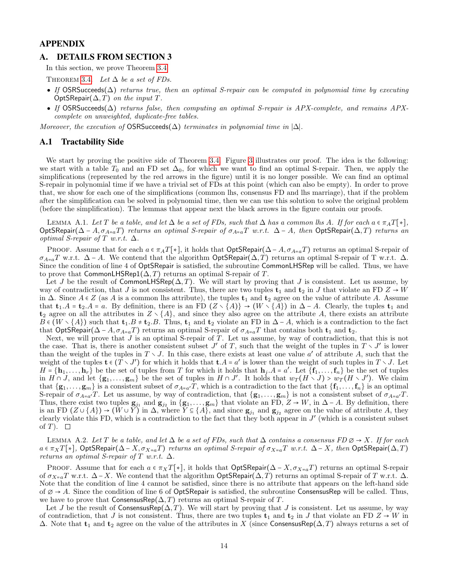## APPENDIX

#### <span id="page-13-0"></span>A. DETAILS FROM SECTION 3

In this section, we prove Theorem [3.4.](#page-6-0)

THEOREM [3.4.](#page-6-0) Let  $\Delta$  be a set of FDs.

- If OSRSucceeds( $\Delta$ ) returns true, then an optimal S-repair can be computed in polynomial time by executing OptSRepair $(\Delta, T)$  on the input T.
- If OSRSucceeds( $\Delta$ ) returns false, then computing an optimal S-repair is APX-complete, and remains APXcomplete on unweighted, duplicate-free tables.

Moreover, the execution of OSRSucceeds( $\Delta$ ) terminates in polynomial time in  $|\Delta|$ .

# A.1 Tractability Side

We start by proving the positive side of Theorem [3.4.](#page-6-0) Figure [3](#page-14-0) illustrates our proof. The idea is the following: we start with a table  $T_0$  and an FD set  $\Delta_0$ , for which we want to find an optimal S-repair. Then, we apply the simplifications (represented by the red arrows in the figure) until it is no longer possible. We can find an optimal S-repair in polynomial time if we have a trivial set of FDs at this point (which can also be empty). In order to prove that, we show for each one of the simplifications (common lhs, consensus FD and lhs marriage), that if the problem after the simplification can be solved in polynomial time, then we can use this solution to solve the original problem (before the simplification). The lemmas that appear next the black arrows in the figure contain our proofs.

<span id="page-13-1"></span>LEMMA A.1. Let T be a table, and let  $\Delta$  be a set of FDs, such that  $\Delta$  has a common lhs A. If for each a  $\epsilon \pi_A T[*]$ , OptSRepair( $\Delta - A$ ,  $\sigma_{A=a}T$ ) returns an optimal S-repair of  $\sigma_{A=a}T$  w.r.t.  $\Delta - A$ , then OptSRepair( $\Delta$ , T) returns an optimal S-repair of T w.r.t.  $\Delta$ .

PROOF. Assume that for each  $a \in \pi_A T[*]$ , it holds that OptSRepair( $\Delta - A$ ,  $\sigma_{A=a}T$ ) returns an optimal S-repair of  $\sigma_{A=a}T$  w.r.t.  $\Delta - A$ . We contend that the algorithm OptSRepair( $\Delta, T$ ) returns an optimal S-repair of T w.r.t.  $\Delta$ . Since the condition of line 4 of OptSRepair is satisfied, the subroutine CommonLHSRep will be called. Thus, we have to prove that CommonLHSRep1( $\Delta$ , T) returns an optimal S-repair of T.

Let J be the result of CommonLHSRep( $\Delta$ , T). We will start by proving that J is consistent. Let us assume, by way of contradiction, that J is not consistent. Thus, there are two tuples  $t_1$  and  $t_2$  in J that violate an FD  $Z \to W$ in  $\Delta$ . Since  $A \in \mathbb{Z}$  (as A is a common lhs attribute), the tuples  $t_1$  and  $t_2$  agree on the value of attribute A. Assume that  $t_1.A = t_2.A = a$ . By definition, there is an FD  $(Z \setminus \{A\}) \rightarrow (W \setminus \{A\})$  in  $\Delta - A$ . Clearly, the tuples  $t_1$  and  $t_2$  agree on all the attributes in  $Z \setminus \{A\}$ , and since they also agree on the attribute A, there exists an attribute  $B \in (W \setminus \{A\})$  such that  $\mathbf{t}_1.B \neq \mathbf{t}_2.B$ . Thus,  $\mathbf{t}_1$  and  $\mathbf{t}_2$  violate an FD in  $\Delta - A$ , which is a contradiction to the fact that OptSRepair( $\Delta - A$ ,  $\sigma_{A=a}T$ ) returns an optimal S-repair of  $\sigma_{A=a}T$  that contains both  $t_1$  and  $t_2$ .

Next, we will prove that  $J$  is an optimal S-repair of  $T$ . Let us assume, by way of contradiction, that this is not the case. That is, there is another consistent subset  $J'$  of T, such that the weight of the tuples in  $T \setminus J'$  is lower than the weight of the tuples in  $T \setminus J$ . In this case, there exists at least one value a' of attribute A, such that the weight of the tuples  $\mathbf{t} \in (T \setminus J')$  for which it holds that  $\mathbf{t} \cdot A = a'$  is lower than the weight of such tuples in  $T \setminus J$ . Let  $H = {\mathbf{h}_1, \ldots, \mathbf{h}_r}$  be the set of tuples from T for which it holds that  $\mathbf{h}_j A = a'$ . Let  $\{f_1, \ldots, f_n\}$  be the set of tuples in  $H \cap J$ , and let  $\{g_1, \ldots, g_m\}$  be the set of tuples in  $H \cap J'$ . It holds that  $w_T(H \setminus J) > w_T(H \setminus J')$ . We claim that  $\{g_1, \ldots, g_m\}$  is a consistent subset of  $\sigma_{A=a'}T$ , which is a contradiction to the fact that  $\{f_1, \ldots, f_n\}$  is an optimal S-repair of  $\sigma_{A=a'}T$ . Let us assume, by way of contradiction, that  $\{g_1, \ldots, g_m\}$  is not a consistent subset of  $\sigma_{A=a'}T$ . Thus, there exist two tuples  $g_{j_1}$  and  $g_{j_2}$  in  $\{g_1, \ldots, g_m\}$  that violate an FD,  $Z \to W$ , in  $\Delta - A$ . By definition, there is an FD  $(Z \cup \{A\}) \to (W \cup Y)$  in  $\Delta$ , where  $Y \subseteq \{A\}$ , and since  $\mathbf{g}_{j_1}$  and  $\mathbf{g}_{j_2}$  agree on the value of attribute A, they clearly violate this FD, which is a contradiction to the fact that they both appear in  $J'$  (which is a consistent subset of  $T$ ).  $\Box$ 

<span id="page-13-2"></span>LEMMA A.2. Let T be a table, and let  $\Delta$  be a set of FDs, such that  $\Delta$  contains a consensus FD  $\emptyset \to X$ . If for each  $a \in \pi_X T[*]$ , OptSRepair $(\Delta - X, \sigma_{X=a}T)$  returns an optimal S-repair of  $\sigma_{X=a}T$  w.r.t.  $\Delta - X$ , then OptSRepair $(\Delta, T)$ returns an optimal S-repair of T w.r.t.  $\Delta$ .

PROOF. Assume that for each  $a \in \pi_X T[*]$ , it holds that OptSRepair( $\Delta - X$ ,  $\sigma_{X=a}T$ ) returns an optimal S-repair of  $\sigma_{X=a}T$  w.r.t.  $\Delta$  – X. We contend that the algorithm OptSRepair( $\Delta$ , T) returns an optimal S-repair of T w.r.t.  $\Delta$ . Note that the condition of line 4 cannot be satisfied, since there is no attribute that appears on the left-hand side of  $\emptyset \to A$ . Since the condition of line 6 of OptSRepair is satisfied, the subroutine ConsensusRep will be called. Thus, we have to prove that ConsensusRep( $\Delta$ , T) returns an optimal S-repair of T.

Let J be the result of ConsensusRep( $\Delta$ , T). We will start by proving that J is consistent. Let us assume, by way of contradiction, that J is not consistent. Thus, there are two tuples  $\mathbf{t}_1$  and  $\mathbf{t}_2$  in J that violate an FD  $Z \to W$  in  $\Delta$ . Note that  $t_1$  and  $t_2$  agree on the value of the attributes in X (since ConsensusRep( $\Delta$ , T) always returns a set of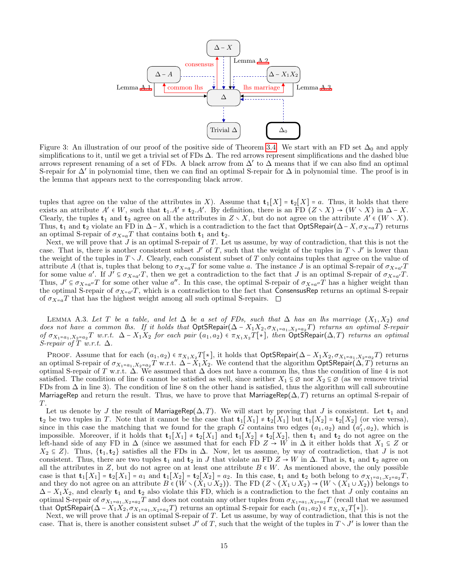<span id="page-14-0"></span>

Figure 3: An illustration of our proof of the positive side of Theorem [3.4.](#page-6-0) We start with an FD set  $\Delta_0$  and apply simplifications to it, until we get a trivial set of FDs ∆. The red arrows represent simplifications and the dashed blue arrows represent renaming of a set of FDs. A black arrow from  $\Delta'$  to  $\Delta$  means that if we can also find an optimal S-repair for  $\Delta'$  in polynomial time, then we can find an optimal S-repair for  $\Delta$  in polynomial time. The proof is in the lemma that appears next to the corresponding black arrow.

tuples that agree on the value of the attributes in X). Assume that  $\mathbf{t}_1[X] = \mathbf{t}_2[X] = a$ . Thus, it holds that there exists an attribute  $A' \in W$ , such that  $\mathbf{t}_1.A' \neq \mathbf{t}_2.A'$ . By definition, there is an FD  $(Z \setminus X) \to (W \setminus X)$  in  $\Delta - X$ . Clearly, the tuples  $t_1$  and  $t_2$  agree on all the attributes in  $Z \setminus X$ , but do not agree on the attribute  $A' \in (W \setminus X)$ . Thus,  $t_1$  and  $t_2$  violate an FD in  $\Delta$  – X, which is a contradiction to the fact that OptSRepair( $\Delta$  –  $X, \sigma_{X=a}T$ ) returns an optimal S-repair of  $\sigma_{X=a}T$  that contains both  $t_1$  and  $t_2$ .

Next, we will prove that  $J$  is an optimal S-repair of  $T$ . Let us assume, by way of contradiction, that this is not the case. That is, there is another consistent subset  $J'$  of T, such that the weight of the tuples in  $T \setminus J'$  is lower than the weight of the tuples in  $T \setminus J$ . Clearly, each consistent subset of T only contains tuples that agree on the value of attribute A (that is, tuples that belong to  $\sigma_{X=a}T$  for some value a. The instance J is an optimal S-repair of  $\sigma_{X=a'}T$ for some value a'. If  $J' \subseteq \sigma_{X=a'}T$ , then we get a contradiction to the fact that J is an optimal S-repair of  $\sigma_{X=a'}T$ . Thus,  $J' \subseteq \sigma_{X=a''}T$  for some other value a''. In this case, the optimal S-repair of  $\sigma_{X=a''}T$  has a higher weight than the optimal S-repair of  $\sigma_{X=a'}T$ , which is a contradiction to the fact that ConsensusRep returns an optimal S-repair of  $\sigma_{X=a}T$  that has the highest weight among all such optimal S-repairs.  $\Box$ 

<span id="page-14-1"></span>LEMMA A.3. Let T be a table, and let  $\Delta$  be a set of FDs, such that  $\Delta$  has an lhs marriage  $(X_1, X_2)$  and does not have a common lhs. If it holds that  $\mathsf{OptSRepair}(\Delta - X_1X_2, \sigma_{X_1=a_1,X_2=a_2}T)$  returns an optimal S-repair of  $\sigma_{X_1=a_1,X_2=a_2}T$  w.r.t.  $\Delta$  –  $X_1X_2$  for each pair  $(a_1,a_2) \in \pi_{X_1X_2}T[*]$ , then  $\textsf{OptSRepair}(\Delta,T)$  returns an optimal S-repair of T w.r.t.  $\Delta$ .

PROOF. Assume that for each  $(a_1, a_2) \in \pi_{X_1 X_2} T[*]$ , it holds that  $\mathsf{OptSRepair}(\Delta - X_1 X_2, \sigma_{X_1=a_1, X_2=a_2} T)$  returns an optimal S-repair of  $\sigma_{X_1=a_1,X_2=a_2}T$  w.r.t.  $\Delta - X_1X_2$ . We contend that the algorithm OptSRepair( $\Delta, T$ ) returns an optimal S-repair of T w.r.t.  $\Delta$ . We assumed that  $\Delta$  does not have a common lhs, thus the condition of line 4 is not satisfied. The condition of line 6 cannot be satisfied as well, since neither  $X_1 \subseteq \emptyset$  nor  $X_2 \subseteq \emptyset$  (as we remove trivial FDs from  $\Delta$  in line 3). The condition of line 8 on the other hand is satisfied, thus the algorithm will call subroutine MarriageRep and return the result. Thus, we have to prove that MarriageRep( $\Delta$ , T) returns an optimal S-repair of T.

Let us denote by J the result of MarriageRep( $\Delta$ , T). We will start by proving that J is consistent. Let  $t_1$  and  $t_2$  be two tuples in T. Note that it cannot be the case that  $t_1[X_1] \neq t_2[X_1]$  but  $t_1[X_2] = t_2[X_2]$  (or vice versa), since in this case the matching that we found for the graph G contains two edges  $(a_1, a_2)$  and  $(a'_1, a_2)$ , which is impossible. Moreover, if it holds that  $\mathbf{t}_1[X_1] \neq \mathbf{t}_2[X_1]$  and  $\mathbf{t}_1[X_2] \neq \mathbf{t}_2[X_2]$ , then  $\mathbf{t}_1$  and  $\mathbf{t}_2$  do not agree on the left-hand side of any FD in  $\Delta$  (since we assumed that for each FD  $Z \to W$  in  $\Delta$  it either holds that  $X_1 \subseteq Z$  or  $X_2 \subseteq Z$ ). Thus,  $\{t_1, t_2\}$  satisfies all the FDs in  $\Delta$ . Now, let us assume, by way of contradiction, that J is not consistent. Thus, there are two tuples  $t_1$  and  $t_2$  in J that violate an FD  $Z \to W$  in  $\Delta$ . That is,  $t_1$  and  $t_2$  agree on all the attributes in Z, but do not agree on at least one attribute  $B \in W$ . As mentioned above, the only possible case is that  $\mathbf{t}_1[X_1] = \mathbf{t}_2[X_1] = a_1$  and  $\mathbf{t}_1[X_2] = \mathbf{t}_2[X_2] = a_2$ . In this case,  $\mathbf{t}_1$  and  $\mathbf{t}_2$  both belong to  $\sigma_{X_1=a_1,X_2=a_2}T$ , and they do not agree on an attribute  $B \in (W \setminus (X_1 \cup X_2))$ . The FD  $(Z \setminus (X_1 \cup X_2) \to (W \setminus (X_1 \cup X_2))$  belongs to  $\Delta$  −  $X_1X_2$ , and clearly  $t_1$  and  $t_2$  also violate this FD, which is a contradiction to the fact that J only contains an optimal S-repair of  $\sigma_{X_1=a_1,X_2=a_2}T$  and does not contain any other tuples from  $\sigma_{X_1=a_1,X_2=a_2}T$  (recall that we assumed that OptSRepair( $\Delta - X_1X_2, \sigma_{X_1=a_1,X_2=a_2}T$ ) returns an optimal S-repair for each  $(a_1,a_2) \in \pi_{X_1X_2}T[*]$ ).

Next, we will prove that  $J$  is an optimal S-repair of  $T$ . Let us assume, by way of contradiction, that this is not the case. That is, there is another consistent subset  $J'$  of T, such that the weight of the tuples in  $T \setminus J'$  is lower than the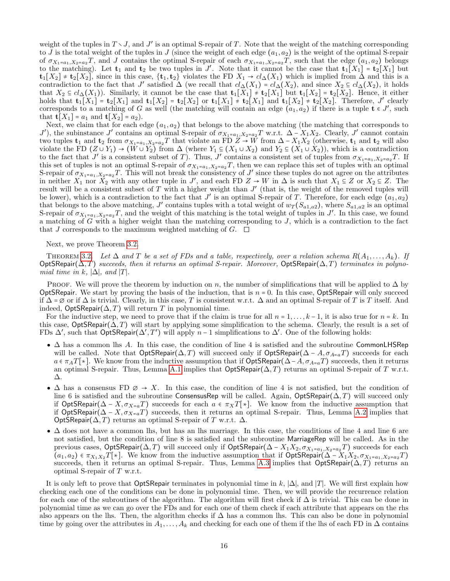weight of the tuples in  $T \setminus J$ , and  $J'$  is an optimal S-repair of T. Note that the weight of the matching corresponding to J is the total weight of the tuples in J (since the weight of each edge  $(a_1, a_2)$ ) is the weight of the optimal S-repair of  $\sigma_{X_1=a_1,X_2=a_2}$  and J contains the optimal S-repair of each  $\sigma_{X_1=a_1,X_2=a_2}$ , such that the edge  $(a_1,a_2)$  belongs to the matching). Let  $t_1$  and  $t_2$  be two tuples in J'. Note that it cannot be the case that  $t_1[X_1] = t_2[X_1]$  but  $t_1[X_2] \neq t_2[X_2]$ , since in this case,  $\{t_1, t_2\}$  violates the FD  $X_1 \to cl_{\Delta}(X_1)$  which is implied from  $\Delta$  and this is a contradiction to the fact that J' satisfied  $\Delta$  (we recall that  $cl_{\Delta}(X_1) = cl_{\Delta}(X_2)$ , and since  $X_2 \subseteq cl_{\Delta}(X_2)$ , it holds that  $X_2 \subseteq cl_{\Delta}(X_1)$ . Similarly, it cannot be the case that  $\mathbf{t}_1[X_1] \neq \mathbf{t}_2[X_1]$  but  $\mathbf{t}_1[X_2] = \mathbf{t}_2[X_2]$ . Hence, it either holds that  $\mathbf{t}_1[X_1] = \mathbf{t}_2[X_1]$  and  $\mathbf{t}_1[X_2] = \mathbf{t}_2[X_2]$  or  $\mathbf{t}_1[X_1] \neq \mathbf{t}_2[X_1]$  and  $\mathbf{t}_1[X_2] \neq \mathbf{t}_2[X_2]$ . Therefore, J' clearly corresponds to a matching of G as well (the matching will contain an edge  $(a_1, a_2)$ ) if there is a tuple  $\mathbf{t} \in J'$ , such that  $t[X_1] = a_1$  and  $t[X_2] = a_2$ .

Next, we claim that for each edge  $(a_1, a_2)$  that belongs to the above matching (the matching that corresponds to J'), the subinstance J' contains an optimal S-repair of  $\sigma_{X_1=a_1,X_2=a_2}T$  w.r.t.  $\Delta - X_1X_2$ . Clearly, J' cannot contain two tuples  $t_1$  and  $t_2$  from  $\sigma_{X_1=a_1,X_2=a_2}T$  that violate an FD  $Z \to W$  from  $\Delta - X_1X_2$  (otherwise,  $t_1$  and  $t_2$  will also violate the FD  $(Z \cup Y_1) \to (W \cup Y_2)$  from  $\Delta$  (where  $Y_1 \subseteq (X_1 \cup X_2)$  and  $Y_2 \subseteq (X_1 \cup X_2)$ ), which is a contradiction to the fact that J' is a consistent subset of T). Thus, J' contains a consistent set of tuples from  $\sigma_{X_1=a_1,X_2=a_2}T$ . If this set of tuples is not an optimal S-repair of  $\sigma_{X_1=a_1,X_2=a_2}T$ , then we can replace this set of tuples with an optimal S-repair of  $\sigma_{X_1=a_1,X_2=a_2}T$ . This will not break the consistency of J' since these tuples do not agree on the attributes in neither  $X_1$  nor  $X_2$  with any other tuple in J', and each FD  $Z \to W$  in  $\Delta$  is such that  $X_1 \subseteq Z$  or  $X_2 \subseteq Z$ . The result will be a consistent subset of  $T$  with a higher weight than  $J'$  (that is, the weight of the removed tuples will be lower), which is a contradiction to the fact that  $J'$  is an optimal S-repair of T. Therefore, for each edge  $(a_1, a_2)$ that belongs to the above matching, J' contains tuples with a total weight of  $w_T(S_{a1,a2})$ , where  $S_{a1,a2}$  is an optimal S-repair of  $\sigma_{X_1=a_1,X_2=a_2}T$ , and the weight of this matching is the total weight of tuples in J'. In this case, we found a matching of  $G$  with a higher weight than the matching corresponding to  $J$ , which is a contradiction to the fact that J corresponds to the maximum weighted matching of  $G$ .  $\Box$ 

Next, we prove Theorem [3.2.](#page-5-4)

THEOREM [3.2.](#page-5-4) Let  $\Delta$  and T be a set of FDs and a table, respectively, over a relation schema  $R(A_1, \ldots, A_k)$ . If OptSRepair( $\Delta$ , T) succeeds, then it returns an optimal S-repair. Moreover, OptSRepair( $\Delta$ , T) terminates in polynomial time in k,  $|\Delta|$ , and |T|.

PROOF. We will prove the theorem by induction on n, the number of simplifications that will be applied to  $\Delta$  by OptSRepair. We start by proving the basis of the induction, that is  $n = 0$ . In this case, OptSRepair will only succeed if  $\Delta = \emptyset$  or if  $\Delta$  is trivial. Clearly, in this case, T is consistent w.r.t.  $\Delta$  and an optimal S-repair of T is T itself. And indeed, OptSRepair $(\Delta, T)$  will return T in polynomial time.

For the inductive step, we need to prove that if the claim is true for all  $n = 1, \ldots, k - 1$ , it is also true for  $n = k$ . In this case, OptSRepair $(\Delta, T)$  will start by applying some simplification to the schema. Clearly, the result is a set of FDs  $\Delta'$ , such that OptSRepair $(\Delta', T')$  will apply  $n-1$  simplifications to  $\Delta'$ . One of the following holds:

- $\Delta$  has a common lhs A. In this case, the condition of line 4 is satisfied and the subroutine CommonLHSRep will be called. Note that  $\text{OptSRepair}(\Delta, T)$  will succeed only if  $\text{OptSRepair}(\Delta - A, \sigma_{A=a}T)$  succeeds for each  $a \in \pi_A T[*]$ . We know from the inductive assumption that if OptSRepair( $\Delta - A$ ,  $\sigma_{A=a}T$ ) succeeds, then it returns an optimal S-repair. Thus, Lemma [A.1](#page-13-1) implies that  $OptSRepair(\Delta, T)$  returns an optimal S-repair of T w.r.t. ∆.
- $\Delta$  has a consensus FD  $\emptyset \to X$ . In this case, the condition of line 4 is not satisfied, but the condition of line 6 is satisfied and the subroutine ConsensusRep will be called. Again, OptSRepair( $\Delta$ , T) will succeed only if OptSRepair( $\Delta - X$ ,  $\sigma_{X=a}T$ ) succeeds for each  $a \in \pi_X T[*]$ . We know from the inductive assumption that if OptSRepair $(\Delta - X, \sigma_{X=a}T)$  succeeds, then it returns an optimal S-repair. Thus, Lemma [A.2](#page-13-2) implies that OptSRepair $(\Delta, T)$  returns an optimal S-repair of T w.r.t.  $\Delta$ .
- $\Delta$  does not have a common lhs, but has an lhs marriage. In this case, the conditions of line 4 and line 6 are not satisfied, but the condition of line 8 is satisfied and the subroutine MarriageRep will be called. As in the previous cases, OptSRepair( $\Delta$ , T) will succeed only if OptSRepair( $\Delta - X_1X_2$ ,  $\sigma_{X_1=a_1,X_2=a_2}$ T) succeeds for each  $(a_1, a_2) \in \pi_{X_1X_2}T[*]$ . We know from the inductive assumption that if OptSRepair $(\Delta - X_1X_2, \sigma_{X_1=a_1,X_2=a_2}T)$ succeeds, then it returns an optimal S-repair. Thus, Lemma [A.3](#page-14-1) implies that OptSRepair $(\Delta, T)$  returns an optimal S-repair of  $T$  w.r.t.

It is only left to prove that OptSRepair terminates in polynomial time in k, | $\Delta$ |, and |T|. We will first explain how checking each one of the conditions can be done in polynomial time. Then, we will provide the recurrence relation for each one of the subroutines of the algorithm. The algorithm will first check if ∆ is trivial. This can be done in polynomial time as we can go over the FDs and for each one of them check if each attribute that appears on the rhs also appears on the lhs. Then, the algorithm checks if  $\Delta$  has a common lhs. This can also be done in polynomial time by going over the attributes in  $A_1, \ldots, A_k$  and checking for each one of them if the lhs of each FD in  $\Delta$  contains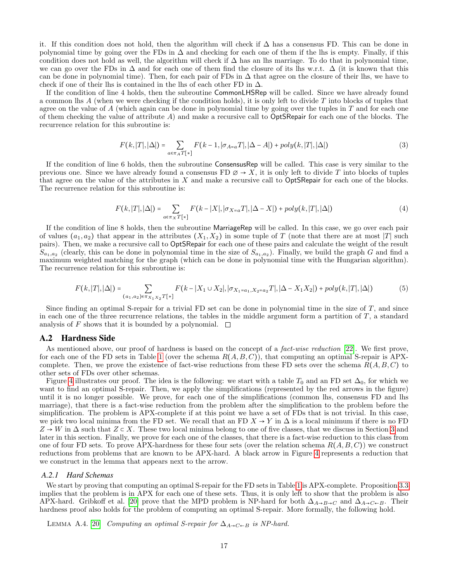it. If this condition does not hold, then the algorithm will check if ∆ has a consensus FD. This can be done in polynomial time by going over the FDs in  $\Delta$  and checking for each one of them if the lhs is empty. Finally, if this condition does not hold as well, the algorithm will check if  $\Delta$  has an lhs marriage. To do that in polynomial time, we can go over the FDs in  $\Delta$  and for each one of them find the closure of its lhs w.r.t.  $\Delta$  (it is known that this can be done in polynomial time). Then, for each pair of FDs in  $\Delta$  that agree on the closure of their lhs, we have to check if one of their lhs is contained in the lhs of each other FD in  $\Delta$ .

If the condition of line 4 holds, then the subroutine CommonLHSRep will be called. Since we have already found a common lhs  $A$  (when we were checking if the condition holds), it is only left to divide  $T$  into blocks of tuples that agree on the value of  $A$  (which again can be done in polynomial time by going over the tuples in  $T$  and for each one of them checking the value of attribute A) and make a recursive call to OptSRepair for each one of the blocks. The recurrence relation for this subroutine is:

$$
F(k,|T|,|\Delta|) = \sum_{a \in \pi_A T[\ast]} F(k-1,|\sigma_{A=a}T|,|\Delta-A|) + poly(k,|T|,|\Delta|)
$$
\n(3)

If the condition of line 6 holds, then the subroutine ConsensusRep will be called. This case is very similar to the previous one. Since we have already found a consensus FD  $\emptyset \to X$ , it is only left to divide T into blocks of tuples that agree on the value of the attributes in  $X$  and make a recursive call to OptSRepair for each one of the blocks. The recurrence relation for this subroutine is:

$$
F(k,|T|,|\Delta|) = \sum_{a \in \pi_X} F(k-|X|,|\sigma_{X=a}T|,|\Delta-X|) + poly(k,|T|,|\Delta|)
$$
\n(4)

If the condition of line 8 holds, then the subroutine MarriageRep will be called. In this case, we go over each pair of values  $(a_1, a_2)$  that appear in the attributes  $(X_1, X_2)$  in some tuple of T (note that there are at most |T| such pairs). Then, we make a recursive call to OptSRepair for each one of these pairs and calculate the weight of the result  $S_{a_1,a_2}$  (clearly, this can be done in polynomial time in the size of  $S_{a_1,a_2}$ ). Finally, we build the graph G and find a maximum weighted matching for the graph (which can be done in polynomial time with the Hungarian algorithm). The recurrence relation for this subroutine is:

$$
F(k,|T|,|\Delta|) = \sum_{(a_1,a_2)\in\pi_{X_1X_2}T[*]} F(k-|X_1\cup X_2|,|\sigma_{X_1=a_1,X_2=a_2}T|,|\Delta-X_1X_2|) + poly(k,|T|,|\Delta|)
$$
(5)

Since finding an optimal S-repair for a trivial FD set can be done in polynomial time in the size of  $T$ , and since in each one of the three recurrence relations, the tables in the middle argument form a partition of  $T$ , a standard analysis of F shows that it is bounded by a polynomial.  $\square$ 

#### A.2 Hardness Side

As mentioned above, our proof of hardness is based on the concept of a *fact-wise reduction* [\[22\]](#page-12-20). We first prove, for each one of the FD sets in Table [1](#page-6-2) (over the schema  $R(A, B, C)$ ), that computing an optimal S-repair is APXcomplete. Then, we prove the existence of fact-wise reductions from these FD sets over the schema  $R(A, B, C)$  to other sets of FDs over other schemas.

Figure [4](#page-17-0) illustrates our proof. The idea is the following: we start with a table  $T_0$  and an FD set  $\Delta_0$ , for which we want to find an optimal S-repair. Then, we apply the simplifications (represented by the red arrows in the figure) until it is no longer possible. We prove, for each one of the simplifications (common lhs, consensus FD and lhs marriage), that there is a fact-wise reduction from the problem after the simplification to the problem before the simplification. The problem is APX-complete if at this point we have a set of FDs that is not trivial. In this case, we pick two local minima from the FD set. We recall that an FD  $X \to Y$  in  $\Delta$  is a local minimum if there is no FD  $Z \to W$  in  $\Delta$  such that  $Z \subset X$ . These two local minima belong to one of five classes, that we discuss in Section [3](#page-4-2) and later in this section. Finally, we prove for each one of the classes, that there is a fact-wise reduction to this class from one of four FD sets. To prove APX-hardness for these four sets (over the relation schema  $R(A, B, C)$ ) we construct reductions from problems that are known to be APX-hard. A black arrow in Figure [4](#page-17-0) represents a reduction that we construct in the lemma that appears next to the arrow.

#### *A.2.1 Hard Schemas*

We start by proving that computing an optimal S-repair for the FD sets in Table [1](#page-6-2) is APX-complete. Proposition [3.3](#page-5-2) implies that the problem is in APX for each one of these sets. Thus, it is only left to show that the problem is also APX-hard. Gribkoff et al. [\[20\]](#page-12-12) prove that the MPD problem is NP-hard for both  $\Delta_{A\to B\to C}$  and  $\Delta_{A\to C\leftarrow B}$ . Their hardness proof also holds for the problem of computing an optimal S-repair. More formally, the following hold.

<span id="page-16-1"></span><span id="page-16-0"></span>LEMMA A.4. [\[20\]](#page-12-12) Computing an optimal S-repair for  $\Delta_{A\rightarrow C\leftarrow B}$  is NP-hard.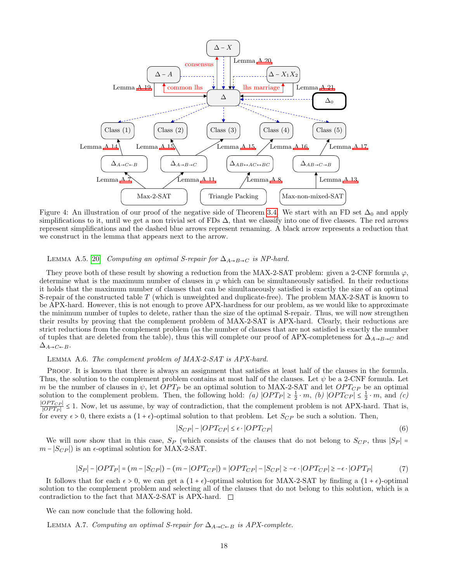<span id="page-17-0"></span>

Figure 4: An illustration of our proof of the negative side of Theorem [3.4.](#page-6-0) We start with an FD set  $\Delta_0$  and apply simplifications to it, until we get a non trivial set of FDs  $\Delta$ , that we classify into one of five classes. The red arrows represent simplifications and the dashed blue arrows represent renaming. A black arrow represents a reduction that we construct in the lemma that appears next to the arrow.

LEMMA A.5. [\[20\]](#page-12-12) Computing an optimal S-repair for  $\Delta_{A\rightarrow B\rightarrow C}$  is NP-hard.

They prove both of these result by showing a reduction from the MAX-2-SAT problem: given a 2-CNF formula  $\varphi$ . determine what is the maximum number of clauses in  $\varphi$  which can be simultaneously satisfied. In their reductions it holds that the maximum number of clauses that can be simultaneously satisfied is exactly the size of an optimal S-repair of the constructed table T (which is unweighted and duplicate-free). The problem MAX-2-SAT is known to be APX-hard. However, this is not enough to prove APX-hardness for our problem, as we would like to approximate the minimum number of tuples to delete, rather than the size of the optimal S-repair. Thus, we will now strengthen their results by proving that the complement problem of MAX-2-SAT is APX-hard. Clearly, their reductions are strict reductions from the complement problem (as the number of clauses that are not satisfied is exactly the number of tuples that are deleted from the table), thus this will complete our proof of APX-completeness for  $\Delta_{A\to B\to C}$  and  $\Delta_{A\to C\leftarrow B}$ .

#### <span id="page-17-2"></span>Lemma A.6. The complement problem of MAX-2-SAT is APX-hard.

Proof. It is known that there is always an assignment that satisfies at least half of the clauses in the formula. Thus, the solution to the complement problem contains at most half of the clauses. Let  $\psi$  be a 2-CNF formula. Let m be the number of clauses in  $\psi$ , let  $OPT_P$  be an optimal solution to MAX-2-SAT and let  $OPT_{CP}$  be an optimal solution to the complement problem. Then, the following hold: (a)  $|OPT_P| \geq \frac{1}{2} \cdot m$ , (b)  $|OPT_{CP}| \leq \frac{1}{2} \cdot m$ , and (c)  $|OPT_{CP}|$  $\frac{OPT_{CP}}{|OPT_P|} \leq 1$ . Now, let us assume, by way of contradiction, that the complement problem is not APX-hard. That is, for every  $\epsilon > 0$ , there exists a  $(1 + \epsilon)$ -optimal solution to that problem. Let  $S_{CP}$  be such a solution. Then,

$$
|S_{CP}| - |OPT_{CP}| \le \epsilon \cdot |OPT_{CP}| \tag{6}
$$

We will now show that in this case,  $S_P$  (which consists of the clauses that do not belong to  $S_{CP}$ , thus  $|S_P|$  =  $m - |S_{CP}|\rangle$  is an  $\epsilon$ -optimal solution for MAX-2-SAT.

$$
|S_P| - |OPT_P| = (m - |S_{CP}|) - (m - |OPT_{CP}|) = |OPT_{CP}| - |S_{CP}| \ge -\epsilon \cdot |OPT_{CP}| \ge -\epsilon \cdot |OPT_P| \tag{7}
$$

It follows that for each  $\epsilon > 0$ , we can get a  $(1 + \epsilon)$ -optimal solution for MAX-2-SAT by finding a  $(1 + \epsilon)$ -optimal solution to the complement problem and selecting all of the clauses that do not belong to this solution, which is a contradiction to the fact that MAX-2-SAT is APX-hard.  $\Box$ 

<span id="page-17-1"></span>We can now conclude that the following hold.

LEMMA A.7. Computing an optimal S-repair for  $\Delta_{A\rightarrow C\leftarrow B}$  is APX-complete.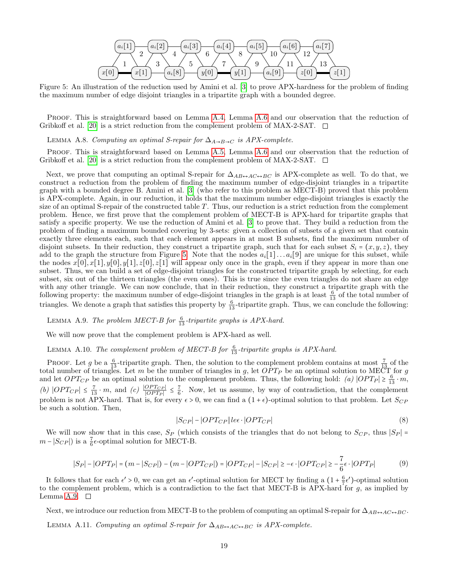

<span id="page-18-2"></span>Figure 5: An illustration of the reduction used by Amini et al. [\[3\]](#page-12-24) to prove APX-hardness for the problem of finding the maximum number of edge disjoint triangles in a tripartite graph with a bounded degree.

PROOF. This is straightforward based on Lemma [A.4,](#page-16-0) Lemma [A.6](#page-17-2) and our observation that the reduction of Gribkoff et al. [\[20\]](#page-12-12) is a strict reduction from the complement problem of MAX-2-SAT.  $\Box$ 

<span id="page-18-1"></span>LEMMA A.8. Computing an optimal S-repair for  $\Delta_{A\rightarrow B\rightarrow C}$  is APX-complete.

PROOF. This is straightforward based on Lemma [A.5,](#page-16-1) Lemma [A.6](#page-17-2) and our observation that the reduction of Gribkoff et al. [\[20\]](#page-12-12) is a strict reduction from the complement problem of MAX-2-SAT.  $\square$ 

Next, we prove that computing an optimal S-repair for  $\Delta_{AB \leftrightarrow AC \leftrightarrow BC}$  is APX-complete as well. To do that, we construct a reduction from the problem of finding the maximum number of edge-disjoint triangles in a tripartite graph with a bounded degree B. Amini et al. [\[3\]](#page-12-24) (who refer to this problem as MECT-B) proved that this problem is APX-complete. Again, in our reduction, it holds that the maximum number edge-disjoint triangles is exactly the size of an optimal S-repair of the constructed table  $T$ . Thus, our reduction is a strict reduction from the complement problem. Hence, we first prove that the complement problem of MECT-B is APX-hard for tripartite graphs that satisfy a specific property. We use the reduction of Amini et al. [\[3\]](#page-12-24) to prove that. They build a reduction from the problem of finding a maximum bounded covering by 3-sets: given a collection of subsets of a given set that contain exactly three elements each, such that each element appears in at most B subsets, find the maximum number of disjoint subsets. In their reduction, they construct a tripartite graph, such that for each subset  $S_i = (x, y, z)$ , they add to the graph the structure from Figure [5.](#page-18-2) Note that the nodes  $a_i[1] \ldots a_i[9]$  are unique for this subset, while the nodes  $x[0], x[1], y[0], y[1], z[0], z[1]$  will appear only once in the graph, even if they appear in more than one subset. Thus, we can build a set of edge-disjoint triangles for the constructed tripartite graph by selecting, for each subset, six out of the thirteen triangles (the even ones). This is true since the even triangles do not share an edge with any other triangle. We can now conclude, that in their reduction, they construct a tripartite graph with the following property: the maximum number of edge-disjoint triangles in the graph is at least  $\frac{6}{13}$  of the total number of triangles. We denote a graph that satisfies this property by  $\frac{6}{13}$ -tripartite graph. Thus, we can conclude the following:

<span id="page-18-3"></span>LEMMA A.9. The problem MECT-B for  $\frac{6}{13}$ -tripartite graphs is APX-hard.

We will now prove that the complement problem is APX-hard as well.

<span id="page-18-4"></span>LEMMA A.10. The complement problem of MECT-B for  $\frac{6}{13}$ -tripartite graphs is APX-hard.

PROOF. Let g be a  $\frac{6}{13}$ -tripartite graph. Then, the solution to the complement problem contains at most  $\frac{7}{13}$  of the total number of triangles. Let m be the number of triangles in g, let  $OPT_P$  be an optimal solution to MECT for g and let  $OPT_{CP}$  be an optimal solution to the complement problem. Thus, the following hold: (a)  $|OPT_P| \ge \frac{6}{13} \cdot m$ , (b)  $|OPT_{CP}| \leq \frac{7}{13} \cdot m$ , and  $(c) \frac{|OPT_{CP}|}{|OPT_P|} \leq \frac{7}{6}$ . Now, let us assume, by way of contradiction, that the complement problem is not APX-hard. That is, for every  $\epsilon > 0$ , we can find a  $(1 + \epsilon)$ -optimal solution to that problem. Let  $S_{CP}$ be such a solution. Then,

$$
|S_{CP}| - |OPT_{CP}||le \epsilon \cdot |OPT_{CP}| \tag{8}
$$

We will now show that in this case,  $S_P$  (which consists of the triangles that do not belong to  $S_{CP}$ , thus  $|S_P|$  =  $m - |S_{CP}|$ ) is a  $\frac{7}{6} \epsilon$ -optimal solution for MECT-B.

$$
|S_P| - |OPT_P| = (m - |S_{CP}|) - (m - |OPT_{CP}|) = |OPT_{CP}| - |S_{CP}| \ge -\epsilon \cdot |OPT_{CP}| \ge -\frac{7}{6}\epsilon \cdot |OPT_P|
$$
(9)

It follows that for each  $\epsilon' > 0$ , we can get an  $\epsilon'$ -optimal solution for MECT by finding a  $(1 + \frac{6}{7}\epsilon')$ -optimal solution to the complement problem, which is a contradiction to the fact that MECT-B is APX-hard for  $g$ , as implied by Lemma [A.9.](#page-18-3)  $\square$ 

<span id="page-18-0"></span>Next, we introduce our reduction from MECT-B to the problem of computing an optimal S-repair for  $\Delta_{AB\leftrightarrow AC\leftrightarrow BC}$ .

LEMMA A.11. Computing an optimal S-repair for  $\Delta_{AB\leftrightarrow AC\leftrightarrow BC}$  is APX-complete.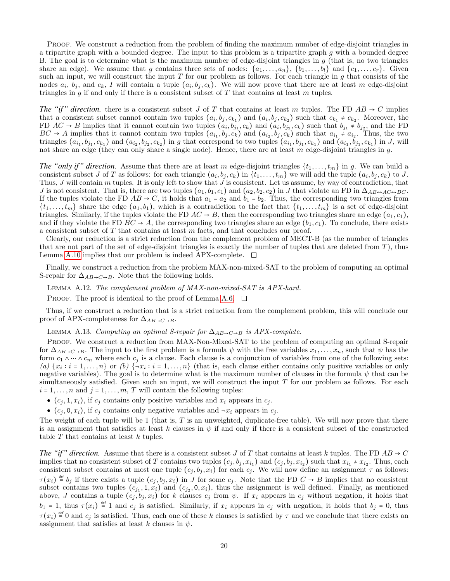Proof. We construct a reduction from the problem of finding the maximum number of edge-disjoint triangles in a tripartite graph with a bounded degree. The input to this problem is a tripartite graph g with a bounded degree B. The goal is to determine what is the maximum number of edge-disjoint triangles in g (that is, no two triangles share an edge). We assume that g contains three sets of nodes:  $\{a_1, \ldots, a_n\}$ ,  $\{b_1, \ldots, b_l\}$  and  $\{c_1, \ldots, c_r\}$ . Given such an input, we will construct the input  $T$  for our problem as follows. For each triangle in  $g$  that consists of the nodes  $a_i$ ,  $b_j$ , and  $c_k$ , I will contain a tuple  $(a_i, b_j, c_k)$ . We will now prove that there are at least m edge-disjoint triangles in g if and only if there is a consistent subset of  $T$  that contains at least  $m$  tuples.

*The "if" direction.* there is a consistent subset J of T that contains at least m tuples. The FD  $AB \rightarrow C$  implies that a consistent subset cannot contain two tuples  $(a_i, b_j, c_{k_1})$  and  $(a_i, b_j, c_{k_2})$  such that  $c_{k_1} \neq c_{k_2}$ . Moreover, the FD  $AC \rightarrow B$  implies that it cannot contain two tuples  $(a_i, b_{j_1}, c_k)$  and  $(a_i, b_{j_2}, c_k)$  such that  $b_{j_1} \neq b_{j_2}$ , and the FD  $BC \to A$  implies that it cannot contain two tuples  $(a_{i_1}, b_j, c_k)$  and  $(a_{i_2}, b_j, c_k)$  such that  $a_{i_1} \neq a_{i_2}$ . Thus, the two triangles  $(a_{i_1}, b_{j_1}, c_{k_1})$  and  $(a_{i_2}, b_{j_2}, c_{k_2})$  in g that correspond to two tuples  $(a_{i_1}, b_{j_1}, c_{k_1})$  and  $(a_{i_1}, b_{j_1}, c_{k_1})$  in J, will not share an edge (they can only share a single node). Hence, there are at least m edge-disjoint triangles in  $q$ .

*The "only if" direction.* Assume that there are at least m edge-disjoint triangles  $\{t_1, \ldots, t_m\}$  in g. We can build a consistent subset J of T as follows: for each triangle  $(a_i, b_j, c_k)$  in  $\{t_1, \ldots, t_m\}$  we will add the tuple  $(a_i, b_j, c_k)$  to J. Thus, J will contain  $m$  tuples. It is only left to show that  $\tilde{J}$  is consistent. Let us assume, by way of contradiction, that J is not consistent. That is, there are two tuples  $(a_1, b_1, c_1)$  and  $(a_2, b_2, c_2)$  in J that violate an FD in  $\Delta_{AB \leftrightarrow AC \leftrightarrow BC}$ . If the tuples violate the FD  $AB \to C$ , it holds that  $a_1 = a_2$  and  $b_1 = b_2$ . Thus, the corresponding two triangles from  $\{t_1, \ldots, t_m\}$  share the edge  $(a_1, b_1)$ , which is a contradiction to the fact that  $\{t_1, \ldots, t_m\}$  is a set of edge-disjoint triangles. Similarly, if the tuples violate the FD  $AC \rightarrow B$ , then the corresponding two triangles share an edge  $(a_1, c_1)$ , and if they violate the FD  $BC \rightarrow A$ , the corresponding two triangles share an edge  $(b_1, c_1)$ . To conclude, there exists a consistent subset of T that contains at least m facts, and that concludes our proof.

Clearly, our reduction is a strict reduction from the complement problem of MECT-B (as the number of triangles that are not part of the set of edge-disjoint triangles is exactly the number of tuples that are deleted from  $T$ ), thus Lemma [A.10](#page-18-4) implies that our problem is indeed APX-complete.  $\square$ 

Finally, we construct a reduction from the problem MAX-non-mixed-SAT to the problem of computing an optimal S-repair for  $\Delta_{AB\to C\to B}$ . Note that the following holds.

Lemma A.12. The complement problem of MAX-non-mixed-SAT is APX-hard.

PROOF. The proof is identical to the proof of Lemma [A.6.](#page-17-2)  $\Box$ 

Thus, if we construct a reduction that is a strict reduction from the complement problem, this will conclude our proof of APX-completeness for  $\Delta_{AB\rightarrow C\rightarrow B}$ .

<span id="page-19-0"></span>LEMMA A.13. Computing an optimal S-repair for  $\Delta_{AB\rightarrow C\rightarrow B}$  is APX-complete.

PROOF. We construct a reduction from MAX-Non-Mixed-SAT to the problem of computing an optimal S-repair for  $\Delta_{AB\to C\to B}$ . The input to the first problem is a formula  $\psi$  with the free variables  $x_1, \ldots, x_n$ , such that  $\psi$  has the form  $c_1 \wedge \cdots \wedge c_m$  where each  $c_j$  is a clause. Each clause is a conjunction of variables from one of the following sets: (a)  $\{x_i : i = 1, \ldots, n\}$  or (b)  $\{\neg x_i : i = 1, \ldots, n\}$  (that is, each clause either contains only positive variables or only negative variables). The goal is to determine what is the maximum number of clauses in the formula  $\psi$  that can be simultaneously satisfied. Given such an input, we will construct the input  $T$  for our problem as follows. For each  $i = 1, \ldots, n$  and  $j = 1, \ldots, m, T$  will contain the following tuples:

- $(c_j, 1, x_i)$ , if  $c_j$  contains only positive variables and  $x_i$  appears in  $c_j$ .
- $(c_j, 0, x_i)$ , if  $c_j$  contains only negative variables and  $\neg x_i$  appears in  $c_j$ .

The weight of each tuple will be 1 (that is,  $T$  is an unweighted, duplicate-free table). We will now prove that there is an assignment that satisfies at least k clauses in  $\psi$  if and only if there is a consistent subset of the constructed table  $T$  that contains at least  $k$  tuples.

*The "if" direction.* Assume that there is a consistent subset J of T that contains at least k tuples. The FD  $AB \rightarrow C$ implies that no consistent subset of T contains two tuples  $(c_j, b_j, x_{i_1})$  and  $(c_j, b_j, x_{i_2})$  such that  $x_{i_1} \neq x_{i_2}$ . Thus, each consistent subset contains at most one tuple  $(c_j, b_j, x_i)$  for each  $c_j$ . We will now define an assignment  $\tau$  as follows:  $\tau(x_i) \stackrel{\text{def}}{=} b_j$  if there exists a tuple  $(c_j, b_j, x_i)$  in J for some  $c_j$ . Note that the FD  $C \to B$  implies that no consistent subset contains two tuples  $(c_{j_1}, 1, x_i)$  and  $(c_{j_2}, 0, x_i)$ , thus the assignment is well defined. Finally, as mentioned above, J contains a tuple  $(c_j, b_j, x_i)$  for k clauses  $c_j$  from  $\psi$ . If  $x_i$  appears in  $c_j$  without negation, it holds that  $b_1 = 1$ , thus  $\tau(x_i) \stackrel{\text{def}}{=} 1$  and  $c_j$  is satisfied. Similarly, if  $x_i$  appears in  $c_j$  with negation, it holds that  $b_j = 0$ , thus  $\tau(x_i) \stackrel{\text{def}}{=} 0$  and  $c_j$  is satisfied. Thus, each one of these k clauses is satisfied by  $\tau$  and we conclude that there exists an assignment that satisfies at least k clauses in  $\psi$ .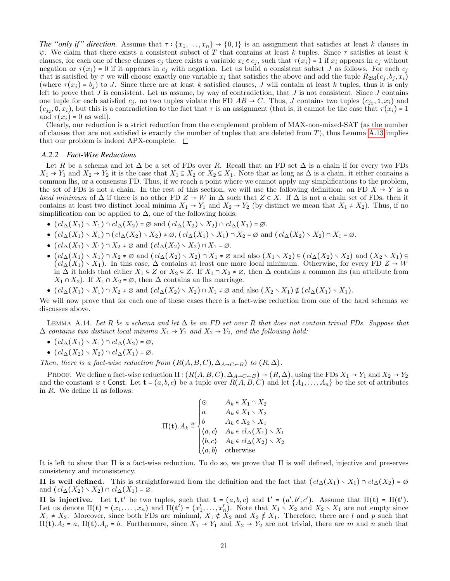*The "only if" direction.* Assume that  $\tau : \{x_1, \ldots, x_n\} \to \{0, 1\}$  is an assignment that satisfies at least k clauses in  $\psi$ . We claim that there exists a consistent subset of T that contains at least k tuples. Since  $\tau$  satisfies at least k clauses, for each one of these clauses  $c_j$  there exists a variable  $x_i \in c_j$ , such that  $\tau(x_i) = 1$  if  $x_i$  appears in  $c_j$  without negation or  $\tau(x_i) = 0$  if it appears in  $c_j$  with negation. Let us build a consistent subset J as follows. For each  $c_j$ that is satisfied by  $\tau$  we will choose exactly one variable  $x_i$  that satisfies the above and add the tuple  $R_{2fd}(c_i, b_i, x_i)$ (where  $\tau(x_i) = b_j$ ) to J. Since there are at least k satisfied clauses, J will contain at least k tuples, thus it is only left to prove that  $J$  is consistent. Let us assume, by way of contradiction, that  $J$  is not consistent. Since  $J$  contains one tuple for each satisfied  $c_j$ , no two tuples violate the FD  $AB \to C$ . Thus, J contains two tuples  $(c_{j_1}, 1, x_i)$  and  $(c_{j_2}, 0, x_i)$ , but this is a contradiction to the fact that  $\tau$  is an assignment (that is, it cannot be the case that  $\tau(x_i) = 1$ and  $\tau(x_i) = 0$  as well).

Clearly, our reduction is a strict reduction from the complement problem of MAX-non-mixed-SAT (as the number of clauses that are not satisfied is exactly the number of tuples that are deleted from  $T$ ), thus Lemma [A.13](#page-19-0) implies that our problem is indeed APX-complete.  $\square$ 

#### *A.2.2 Fact-Wise Reductions*

Let R be a schema and let  $\Delta$  be a set of FDs over R. Recall that an FD set  $\Delta$  is a chain if for every two FDs  $X_1 \to Y_1$  and  $X_2 \to Y_2$  it is the case that  $X_1 \subseteq X_2$  or  $X_2 \subseteq X_1$ . Note that as long as  $\Delta$  is a chain, it either contains a common lhs, or a consensus FD. Thus, if we reach a point where we cannot apply any simplifications to the problem, the set of FDs is not a chain. In the rest of this section, we will use the following definition: an FD  $X \to Y$  is a local minimum of  $\Delta$  if there is no other FD  $Z \to W$  in  $\Delta$  such that  $Z \subset X$ . If  $\Delta$  is not a chain set of FDs, then it contains at least two distinct local minima  $X_1 \rightarrow Y_1$  and  $X_2 \rightarrow Y_2$  (by distinct we mean that  $X_1 \neq X_2$ ). Thus, if no simplification can be applied to  $\Delta$ , one of the following holds:

- $(cl_{\Delta}(X_1) \setminus X_1) \cap cl_{\Delta}(X_2) = \emptyset$  and  $(cl_{\Delta}(X_2) \setminus X_2) \cap cl_{\Delta}(X_1) = \emptyset$ .
- $(cl_\Delta(X_1) \setminus X_1) \cap (cl_\Delta(X_2) \setminus X_2) \neq \emptyset$ ,  $(cl_\Delta(X_1) \setminus X_1) \cap X_2 = \emptyset$  and  $(cl_\Delta(X_2) \setminus X_2) \cap X_1 = \emptyset$ .
- $(cl_{\Delta}(X_1) \setminus X_1) \cap X_2 \neq \emptyset$  and  $(cl_{\Delta}(X_2) \setminus X_2) \cap X_1 = \emptyset$ .
- $(cl_{\Delta}(X_1) \setminus X_1) \cap X_2 \neq \emptyset$  and  $(cl_{\Delta}(X_2) \setminus X_2) \cap X_1 \neq \emptyset$  and also  $(X_1 \setminus X_2) \subseteq (cl_{\Delta}(X_2) \setminus X_2)$  and  $(X_2 \setminus X_1) \subseteq$  $(cl<sub>\Delta</sub>(X<sub>1</sub>) \setminus X<sub>1</sub>)$ . In this case,  $\Delta$  contains at least one more local minimum. Otherwise, for every FD  $Z \to W$ in  $\Delta$  it holds that either  $X_1 \subseteq Z$  or  $X_2 \subseteq Z$ . If  $X_1 \cap X_2 \neq \emptyset$ , then  $\Delta$  contains a common lhs (an attribute from  $X_1 \cap X_2$ ). If  $X_1 \cap X_2 = \emptyset$ , then  $\Delta$  contains an lhs marriage.
- $(cl_\Delta(X_1) \setminus X_1) \cap X_2 \neq \emptyset$  and  $(cl_\Delta(X_2) \setminus X_2) \cap X_1 \neq \emptyset$  and also  $(X_2 \setminus X_1) \notin (cl_\Delta(X_1) \setminus X_1)$ .

We will now prove that for each one of these cases there is a fact-wise reduction from one of the hard schemas we discusses above.

<span id="page-20-0"></span>LEMMA A.14. Let R be a schema and let  $\Delta$  be an FD set over R that does not contain trivial FDs. Suppose that  $\Delta$  contains two distinct local minima  $X_1 \rightarrow Y_1$  and  $X_2 \rightarrow Y_2$ , and the following hold:

- $\bullet$  (cl<sub>△</sub>(X<sub>1</sub>) \ X<sub>1</sub>)  $\cap$  cl<sub>△</sub>(X<sub>2</sub>) =  $\emptyset$ ,
- $\bullet$  (cl<sub>△</sub>(X<sub>2</sub>) ∖ X<sub>2</sub>) ∩ cl<sub>△</sub>(X<sub>1</sub>) = ∅.

Then, there is a fact-wise reduction from  $(R(A, B, C), \Delta_{A \to C \leftarrow B})$  to  $(R, \Delta)$ .

PROOF. We define a fact-wise reduction  $\Pi : (R(A, B, C), \Delta_{A \to C \leftarrow B}) \to (R, \Delta)$ , using the FDs  $X_1 \to Y_1$  and  $X_2 \to Y_2$ and the constant  $\odot \in \text{Const.}$  Let  $\mathbf{t} = (a, b, c)$  be a tuple over  $R(A, B, C)$  and let  $\{A_1, \ldots, A_n\}$  be the set of attributes in R. We define  $\Pi$  as follows:

$$
\Pi(\mathbf{t}).A_k \stackrel{\text{def}}{=} \begin{cases} \odot & A_k \in X_1 \cap X_2 \\ a & A_k \in X_1 \setminus X_2 \\ b & A_k \in X_2 \setminus X_1 \\ \langle a, c \rangle & A_k \in cl_{\Delta}(X_1) \setminus X_1 \\ \langle b, c \rangle & A_k \in cl_{\Delta}(X_2) \setminus X_2 \\ \langle a, b \rangle & \text{otherwise} \end{cases}
$$

It is left to show that Π is a fact-wise reduction. To do so, we prove that Π is well defined, injective and preserves consistency and inconsistency.

Π is well defined. This is straightforward from the definition and the fact that (cl∆(X1) ∖ X1) ∩ cl∆(X2) = ∅ and  $(cl_{\Delta}(X_2) \setminus X_2) \cap cl_{\Delta}(X_1) = \emptyset$ .

**Π** is injective. Let  $t, t'$  be two tuples, such that  $t = (a, b, c)$  and  $t' = (a', b', c')$ . Assume that  $\Pi(t) = \Pi(t')$ . Let us denote  $\Pi(\mathbf{t}) = (x_1, \ldots, x_n)$  and  $\Pi(\mathbf{t}') = (x'_1, \ldots, x'_n)$ . Note that  $X_1 \setminus X_2$  and  $X_2 \setminus X_1$  are not empty since  $X_1 \neq X_2$ . Moreover, since both FDs are minimal,  $X_1 \notin X_2$  and  $X_2 \notin X_1$ . Therefore, there are l and p such that  $\Pi(\mathbf{t}).A_l = a$ ,  $\Pi(\mathbf{t}).A_p = b$ . Furthermore, since  $X_1 \to Y_1$  and  $X_2 \to Y_2$  are not trivial, there are m and n such that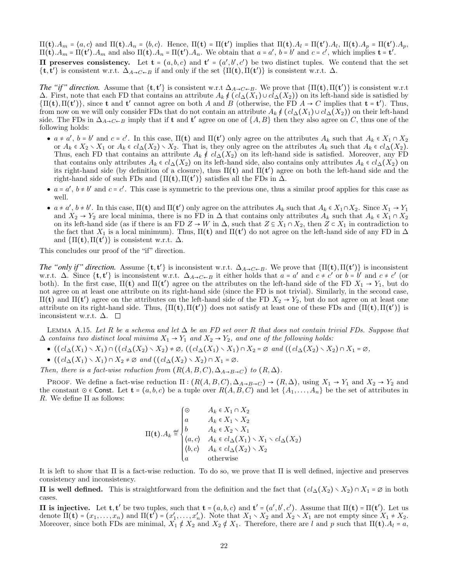$\Pi(\mathbf{t}).A_m = \langle a, c \rangle$  and  $\Pi(\mathbf{t}).A_n = \langle b, c \rangle$ . Hence,  $\Pi(\mathbf{t}) = \Pi(\mathbf{t}')$  implies that  $\Pi(\mathbf{t}).A_l = \Pi(\mathbf{t}').A_l$ ,  $\Pi(\mathbf{t}).A_p = \Pi(\mathbf{t}').A_p$  $\Pi(\mathbf{t}).A_m = \Pi(\mathbf{t}').A_m$  and also  $\Pi(\mathbf{t}).A_n = \Pi(\mathbf{t}').A_n$ . We obtain that  $a = a', b = b'$  and  $c = c'$ , which implies  $\mathbf{t} = \mathbf{t}'$ . **Π** preserves consistency. Let  $t = (a, b, c)$  and  $t' = (a', b', c')$  be two distinct tuples. We contend that the set

 $\{\mathbf{t}, \mathbf{t}'\}$  is consistent w.r.t.  $\Delta_{A\to C\leftarrow B}$  if and only if the set  $\{\Pi(\mathbf{t}), \Pi(\mathbf{t}')\}$  is consistent w.r.t.  $\Delta$ .

*The "if" direction.* Assume that  $\{t, t'\}$  is consistent w.r.t  $\Delta_{A\to C\leftarrow B}$ . We prove that  $\{\Pi(t), \Pi(t')\}$  is consistent w.r.t  $\Delta$ . First, note that each FD that contains an attribute  $A_k \notin (cl_\Delta(X_1) \cup cl_\Delta(X_2))$  on its left-hand side is satisfied by  ${\Pi(t), \Pi(t')}$ , since t and t' cannot agree on both A and B (otherwise, the FD  $A \to C$  implies that  $t = t'$ ). Thus, from now on we will only consider FDs that do not contain an attribute  $A_k \notin (cl_\Delta(X_1) \cup cl_\Delta(X_2))$  on their left-hand side. The FDs in  $\Delta_{A\to C\leftarrow B}$  imply that if t and t' agree on one of  $\{A, B\}$  then they also agree on C, thus one of the following holds:

- $a \neq a'$ ,  $b = b'$  and  $c = c'$ . In this case,  $\Pi(\mathbf{t})$  and  $\Pi(\mathbf{t'})$  only agree on the attributes  $A_k$  such that  $A_k \in X_1 \cap X_2$ or  $A_k \in X_2 \setminus X_1$  or  $A_k \in cl_\Delta(X_2) \setminus X_2$ . That is, they only agree on the attributes  $A_k$  such that  $A_k \in cl_\Delta(X_2)$ . Thus, each FD that contains an attribute  $A_k \notin cl_\Delta(X_2)$  on its left-hand side is satisfied. Moreover, any FD that contains only attributes  $A_k \in cl_\Delta(X_2)$  on its left-hand side, also contains only attributes  $A_k \in cl_\Delta(X_2)$  on its right-hand side (by definition of a closure), thus  $\Pi(\mathbf{t})$  and  $\Pi(\mathbf{t}')$  agree on both the left-hand side and the right-hand side of such FDs and  $\{\Pi(t), \Pi(t')\}$  satisfies all the FDs in  $\Delta$ .
- $a = a', b \neq b'$  and  $c = c'$ . This case is symmetric to the previous one, thus a similar proof applies for this case as well.
- $a \neq a', b \neq b'$ . In this case,  $\Pi(\mathbf{t})$  and  $\Pi(\mathbf{t}')$  only agree on the attributes  $A_k$  such that  $A_k \in X_1 \cap X_2$ . Since  $X_1 \to Y_1$ and  $X_2 \to Y_2$  are local minima, there is no FD in  $\Delta$  that contains only attributes  $A_k$  such that  $A_k \in X_1 \cap X_2$ on its left-hand side (as if there is an FD  $Z \to W$  in  $\Delta$ , such that  $Z \subseteq X_1 \cap X_2$ , then  $Z \subset X_1$  in contradiction to the fact that  $X_1$  is a local minimum). Thus,  $\Pi(\mathbf{t})$  and  $\Pi(\mathbf{t}')$  do not agree on the left-hand side of any FD in  $\Delta$ and  ${\{\Pi(\mathbf{t}), \Pi(\mathbf{t}')\}}$  is consistent w.r.t.  $\Delta$ .

This concludes our proof of the "if" direction.

The "only if" direction. Assume  $\{t, t'\}$  is inconsistent w.r.t.  $\Delta_{A\to C\leftarrow B}$ . We prove that  $\{\Pi(t), \Pi(t')\}$  is inconsistent w.r.t.  $\Delta$ . Since  $\{\mathbf{t}, \mathbf{t}'\}$  is inconsistent w.r.t.  $\Delta_{A\to C\leftarrow B}$  it either holds that  $a = a'$  and  $c \neq c'$  or  $b = b'$  and  $c \neq c'$  (or both). In the first case,  $\Pi(\mathbf{t})$  and  $\Pi(\mathbf{t}')$  agree on the attributes on the left-hand side of the FD  $X_1 \rightarrow Y_1$ , but do not agree on at least one attribute on its right-hand side (since the FD is not trivial). Similarly, in the second case,  $\Pi(t)$  and  $\Pi(t')$  agree on the attributes on the left-hand side of the FD  $X_2 \to Y_2$ , but do not agree on at least one attribute on its right-hand side. Thus,  ${\Pi(t), \Pi(t')}$  does not satisfy at least one of these FDs and  ${\Pi(t), \Pi(t')}$  is inconsistent w.r.t.  $\Delta$ .  $\square$ 

<span id="page-21-0"></span>LEMMA A.15. Let R be a schema and let  $\Delta$  be an FD set over R that does not contain trivial FDs. Suppose that  $\Delta$  contains two distinct local minima  $X_1 \rightarrow Y_1$  and  $X_2 \rightarrow Y_2$ , and one of the following holds:

- $\bullet$  ((cl<sub>△</sub>(X<sub>1</sub>) ∖ X<sub>1</sub>) ∩ ((cl<sub>△</sub>(X<sub>2</sub>) ∖ X<sub>2</sub>) ≠ ∅, ((cl<sub>△</sub>(X<sub>1</sub>) ∖ X<sub>1</sub>) ∩ X<sub>2</sub> = ∅ and ((cl<sub>△</sub>(X<sub>2</sub>) ∖ X<sub>2</sub>) ∩ X<sub>1</sub> = ∅,
- $((cl_{\Delta}(X_1) \setminus X_1) \cap X_2 \neq \emptyset$  and  $((cl_{\Delta}(X_2) \setminus X_2) \cap X_1 = \emptyset$ .

Then, there is a fact-wise reduction from  $(R(A, B, C), \Delta_{A\rightarrow B\rightarrow C})$  to  $(R, \Delta)$ .

PROOF. We define a fact-wise reduction  $\Pi : (R(A, B, C), \Delta_{A \to B \to C}) \to (R, \Delta)$ , using  $X_1 \to Y_1$  and  $X_2 \to Y_2$  and the constant ⊙  $\in$  Const. Let  $\mathbf{t} = (a, b, c)$  be a tuple over  $R(A, B, C)$  and let  $\{A_1, \ldots, A_n\}$  be the set of attributes in R. We define  $\Pi$  as follows:

$$
\Pi(\mathbf{t}).A_k \stackrel{\text{def}}{=} \begin{cases} \odot & A_k \in X_1 \cap X_2 \\ a & A_k \in X_1 \smallsetminus X_2 \\ b & A_k \in X_2 \smallsetminus X_1 \\ \langle a, c \rangle & A_k \in cl_{\Delta}(X_1) \smallsetminus X_1 \smallsetminus cl_{\Delta}(X_2) \\ \langle b, c \rangle & A_k \in cl_{\Delta}(X_2) \smallsetminus X_2 \\ a & \text{otherwise} \end{cases}
$$

It is left to show that Π is a fact-wise reduction. To do so, we prove that Π is well defined, injective and preserves consistency and inconsistency.

**Π** is well defined. This is straightforward from the definition and the fact that  $\left(\frac{cl_0(X_2) \cdot X_2}{X_1} \right) \cap X_1 = \emptyset$  in both cases.

**Π** is injective. Let **t**, **t'** be two tuples, such that **t** =  $(a, b, c)$  and **t'** =  $(a', b', c')$ . Assume that  $\Pi(\mathbf{t}) = \Pi(\mathbf{t}')$ . Let us denote  $\Pi(\mathbf{t}) = (x_1, \ldots, x_n)$  and  $\Pi(\mathbf{t}') = (x'_1, \ldots, x'_n)$ . Note that  $X_1 \setminus X_2$  and  $X_2 \setminus X_1$  are not empty since  $X_1 \neq X_2$ . Moreover, since both FDs are minimal,  $X_1 \notin X_2$  and  $X_2 \notin X_1$ . Therefore, there are l and p such that  $\Pi(\mathbf{t}) \cdot A_l = a$ ,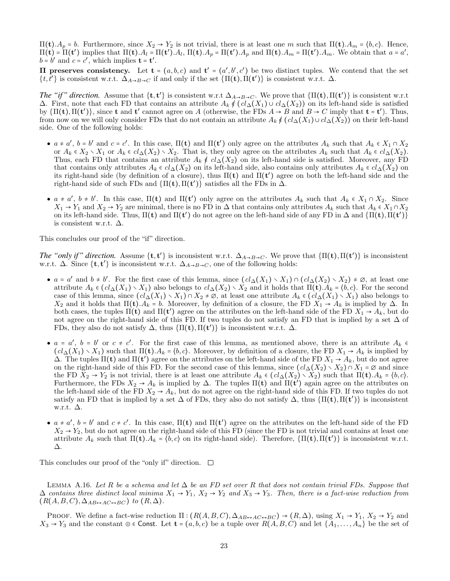$\Pi(t)$ . A<sub>p</sub> = b. Furthermore, since  $X_2 \to Y_2$  is not trivial, there is at least one m such that  $\Pi(t)$ . A<sub>m</sub> =  $\langle b, c \rangle$ . Hence,  $\Pi(\mathbf{t}) = \Pi(\mathbf{t}')$  implies that  $\Pi(\mathbf{t}).A_l = \Pi(\mathbf{t}').A_l$ ,  $\Pi(\mathbf{t}).A_p = \Pi(\mathbf{t}').A_p$  and  $\Pi(\mathbf{t}).A_m = \Pi(\mathbf{t}').A_m$ . We obtain that  $a = a'$ ,  $b = b'$  and  $c = c'$ , which implies  $\mathbf{t} = \mathbf{t}'$ .

**Π** preserves consistency. Let  $t = (a, b, c)$  and  $t' = (a', b', c')$  be two distinct tuples. We contend that the set  $\{t, t'\}$  is consistent w.r.t.  $\Delta_{A\to B\to C}$  if and only if the set  $\{\Pi(t), \Pi(t')\}$  is consistent w.r.t.  $\Delta$ .

The "if" direction. Assume that  $\{t, t'\}$  is consistent w.r.t  $\Delta_{A\to B\to C}$ . We prove that  $\{\Pi(t), \Pi(t')\}$  is consistent w.r.t  $\Delta$ . First, note that each FD that contains an attribute  $A_k \notin (cl_\Delta(X_1) \cup cl_\Delta(X_2))$  on its left-hand side is satisfied by  ${\{\Pi(\mathbf{t}),\Pi(\mathbf{t'})\}}$ , since **t** and **t'** cannot agree on A (otherwise, the FDs  $A \to B$  and  $B \to C$  imply that **t** = **t'**). Thus, from now on we will only consider FDs that do not contain an attribute  $A_k \notin (cl_\Delta(X_1) \cup cl_\Delta(X_2))$  on their left-hand side. One of the following holds:

- $a \neq a'$ ,  $b = b'$  and  $c = c'$ . In this case,  $\Pi(\mathbf{t})$  and  $\Pi(\mathbf{t'})$  only agree on the attributes  $A_k$  such that  $A_k \in X_1 \cap X_2$ or  $A_k \in X_2 \setminus X_1$  or  $A_k \in cl_\Delta(X_2) \setminus X_2$ . That is, they only agree on the attributes  $A_k$  such that  $A_k \in cl_\Delta(X_2)$ . Thus, each FD that contains an attribute  $A_k \notin cl_\Delta(X_2)$  on its left-hand side is satisfied. Moreover, any FD that contains only attributes  $A_k \in cl_\Delta(X_2)$  on its left-hand side, also contains only attributes  $A_k \in cl_\Delta(X_2)$  on its right-hand side (by definition of a closure), thus  $\Pi(\mathbf{t})$  and  $\Pi(\mathbf{t}')$  agree on both the left-hand side and the right-hand side of such FDs and  $\{\Pi(t), \Pi(t')\}$  satisfies all the FDs in  $\Delta$ .
- $a \neq a'$ ,  $b \neq b'$ . In this case,  $\Pi(\mathbf{t})$  and  $\Pi(\mathbf{t}')$  only agree on the attributes  $A_k$  such that  $A_k \in X_1 \cap X_2$ . Since  $X_1 \to Y_1$  and  $X_2 \to Y_2$  are minimal, there is no FD in  $\Delta$  that contains only attributes  $A_k$  such that  $A_k \in X_1 \cap X_2$ on its left-hand side. Thus,  $\Pi(\mathbf{t})$  and  $\Pi(\mathbf{t}')$  do not agree on the left-hand side of any FD in  $\Delta$  and  $\{\Pi(\mathbf{t}),\Pi(\mathbf{t}')\}$ is consistent w.r.t.  $\Delta$ .

This concludes our proof of the "if" direction.

The "only if" direction. Assume  $\{t, t'\}$  is inconsistent w.r.t.  $\Delta_{A\to B\to C}$ . We prove that  $\{\Pi(t), \Pi(t')\}$  is inconsistent w.r.t.  $\Delta$ . Since  $\{t, t'\}$  is inconsistent w.r.t.  $\Delta_{A\rightarrow B\rightarrow C}$ , one of the following holds:

- $a = a'$  and  $b \neq b'$ . For the first case of this lemma, since  $(cl_\Delta(X_1) \setminus X_1) \cap (cl_\Delta(X_2) \setminus X_2) \neq \emptyset$ , at least one attribute  $A_k \in (cl_\Delta(X_1) \setminus X_1)$  also belongs to  $cl_\Delta(X_2) \setminus X_2$  and it holds that  $\Pi(\mathbf{t}).A_k = \langle b, c \rangle$ . For the second case of this lemma, since  $(cl_\Delta(X_1) \setminus X_1) \cap X_2 \neq \emptyset$ , at least one attribute  $A_k \in (cl_\Delta(X_1) \setminus X_1)$  also belongs to X<sub>2</sub> and it holds that  $\Pi(t)$ . A<sub>k</sub> = b. Moreover, by definition of a closure, the FD  $X_1 \rightarrow A_k$  is implied by Δ. In both cases, the tuples  $\Pi(t)$  and  $\Pi(t')$  agree on the attributes on the left-hand side of the FD  $X_1 \to A_k$ , but do not agree on the right-hand side of this FD. If two tuples do not satisfy an FD that is implied by a set  $\Delta$  of FDs, they also do not satisfy  $\Delta$ , thus  $\{\Pi(t), \Pi(t')\}$  is inconsistent w.r.t.  $\Delta$ .
- $a = a'$ ,  $b = b'$  or  $c \neq c'$ . For the first case of this lemma, as mentioned above, there is an attribute  $A_k \in$  $(cl<sub>\Delta</sub>(X<sub>1</sub>) \setminus X<sub>1</sub>)$  such that  $\Pi(t) A<sub>k</sub> = (b, c)$ . Moreover, by definition of a closure, the FD  $X<sub>1</sub> \rightarrow A<sub>k</sub>$  is implied by  $\Delta$ . The tuples  $\Pi(\mathbf{t})$  and  $\Pi(\mathbf{t}')$  agree on the attributes on the left-hand side of the FD  $X_1 \to A_k$ , but do not agree on the right-hand side of this FD. For the second case of this lemma, since  $(cl_\Delta(X_2) \setminus X_2) \cap X_1 = \emptyset$  and since the FD  $X_2 \to Y_2$  is not trivial, there is at least one attribute  $A_k \in (cl_{\Delta}(X_2) \setminus X_2)$  such that  $\Pi(\mathbf{t}).A_k = \langle b, c \rangle$ . Furthermore, the FDs  $X_2 \to A_k$  is implied by  $\Delta$ . The tuples  $\Pi(\mathbf{t})$  and  $\Pi(\mathbf{t}')$  again agree on the attributes on the left-hand side of the FD  $X_2 \rightarrow A_k$ , but do not agree on the right-hand side of this FD. If two tuples do not satisfy an FD that is implied by a set  $\Delta$  of FDs, they also do not satisfy  $\Delta$ , thus  $\{\Pi(t), \Pi(t')\}$  is inconsistent w.r.t. ∆.
- $a \neq a'$ ,  $b = b'$  and  $c \neq c'$ . In this case,  $\Pi(\mathbf{t})$  and  $\Pi(\mathbf{t}')$  agree on the attributes on the left-hand side of the FD  $X_2 \rightarrow Y_2$ , but do not agree on the right-hand side of this FD (since the FD is not trivial and contains at least one attribute  $A_k$  such that  $\Pi(\mathbf{t}) \cdot A_k = \langle b, c \rangle$  on its right-hand side). Therefore,  $\{\Pi(\mathbf{t}), \Pi(\mathbf{t}')\}$  is inconsistent w.r.t. ∆.

This concludes our proof of the "only if" direction.  $\Box$ 

<span id="page-22-0"></span>LEMMA A.16. Let R be a schema and let  $\Delta$  be an FD set over R that does not contain trivial FDs. Suppose that  $\Delta$  contains three distinct local minima  $X_1 \to Y_1$ ,  $X_2 \to Y_2$  and  $X_3 \to Y_3$ . Then, there is a fact-wise reduction from  $(R(A, B, C), \Delta_{AB \leftrightarrow AC \leftrightarrow BC})$  to  $(R, \Delta)$ .

PROOF. We define a fact-wise reduction  $\Pi : (R(A, B, C), \Delta_{AB \leftrightarrow AC \leftrightarrow BC}) \rightarrow (R, \Delta)$ , using  $X_1 \rightarrow Y_1$ ,  $X_2 \rightarrow Y_2$  and  $X_3 \to Y_3$  and the constant ⊙  $\epsilon$  Const. Let  $\mathbf{t} = (a, b, c)$  be a tuple over  $R(A, B, C)$  and let  $\{A_1, \ldots, A_n\}$  be the set of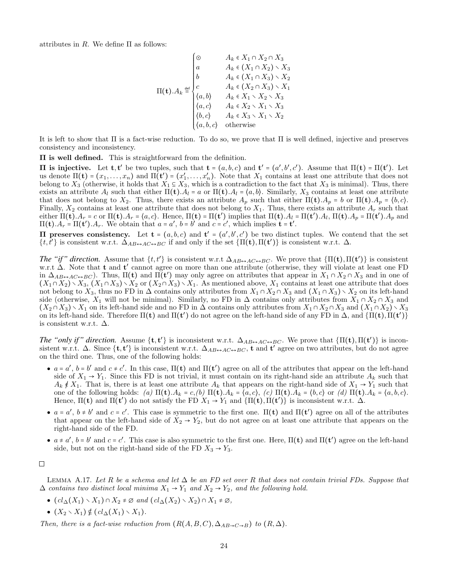attributes in  $R$ . We define  $\Pi$  as follows:

$$
\Pi(\mathbf{t}).A_k \stackrel{\text{def}}{=} \begin{cases} \odot & A_k \in X_1 \cap X_2 \cap X_3 \\ a & A_k \in (X_1 \cap X_2) \setminus X_3 \\ b & A_k \in (X_1 \cap X_3) \setminus X_2 \\ c & A_k \in (X_2 \cap X_3) \setminus X_1 \\ \langle a, b \rangle & A_k \in X_1 \setminus X_2 \setminus X_3 \\ \langle a, c \rangle & A_k \in X_2 \setminus X_1 \setminus X_3 \\ \langle b, c \rangle & A_k \in X_3 \setminus X_1 \setminus X_2 \\ \langle a, b, c \rangle & \text{otherwise} \end{cases}
$$

It is left to show that Π is a fact-wise reduction. To do so, we prove that Π is well defined, injective and preserves consistency and inconsistency.

Π is well defined. This is straightforward from the definition.

**Π** is injective. Let t, t' be two tuples, such that  $\mathbf{t} = (a, b, c)$  and  $\mathbf{t}' = (a', b', c')$ . Assume that  $\Pi(\mathbf{t}) = \Pi(\mathbf{t}')$ . Let us denote  $\Pi(\mathbf{t}) = (x_1, \ldots, x_n)$  and  $\Pi(\mathbf{t}') = (x'_1, \ldots, x'_n)$ . Note that  $X_1$  contains at least one attribute that does not belong to  $X_3$  (otherwise, it holds that  $X_1 \subseteq X_3$ , which is a contradiction to the fact that  $X_3$  is minimal). Thus, there exists an attribute  $A_l$  such that either  $\Pi(t) \cdot A_l = a$  or  $\Pi(t) \cdot A_l = \langle a, b \rangle$ . Similarly,  $X_3$  contains at least one attribute that does not belong to  $X_2$ . Thus, there exists an attribute  $A_p$  such that either  $\Pi(\mathbf{t}) \cdot A_p = b$  or  $\Pi(\mathbf{t}) \cdot A_p = \langle b, c \rangle$ . Finally,  $X_2$  contains at least one attribute that does not belong to  $X_1$ . Thus, there exists an attribute  $A_r$  such that either  $\Pi(\mathbf{t}).A_r = c$  or  $\Pi(\mathbf{t}).A_r = \langle a, c \rangle$ . Hence,  $\Pi(\mathbf{t}) = \Pi(\mathbf{t}')$  implies that  $\Pi(\mathbf{t}).A_l = \Pi(\mathbf{t}').A_l$ ,  $\Pi(\mathbf{t}).A_p = \Pi(\mathbf{t}').A_p$  and  $\Pi(\mathbf{t}).A_r = \Pi(\mathbf{t}').A_r$ . We obtain that  $a = a', b = b'$  and  $c = c'$ , which implies  $\mathbf{t} = \mathbf{t}'$ .

**Π** preserves consistency. Let  $t = (a, b, c)$  and  $t' = (a', b', c')$  be two distinct tuples. We contend that the set  $\{t, t'\}$  is consistent w.r.t.  $\Delta_{AB \leftrightarrow AC \leftrightarrow BC}$  if and only if the set  $\{\Pi(t), \Pi(t')\}$  is consistent w.r.t.  $\Delta$ .

*The "if" direction.* Assume that  $\{t, t'\}$  is consistent w.r.t  $\Delta_{AB \leftrightarrow AC \leftrightarrow BC}$ . We prove that  $\{\Pi(t), \Pi(t')\}$  is consistent w.r.t  $\Delta$ . Note that t and t' cannot agree on more than one attribute (otherwise, they will violate at least one FD in  $\Delta_{AB\leftrightarrow AC\leftrightarrow BC}$ ). Thus,  $\Pi(\mathbf{t})$  and  $\Pi(\mathbf{t}')$  may only agree on attributes that appear in  $X_1 \cap X_2 \cap X_3$  and in one of  $(X_1 \cap X_2) \setminus X_3$ ,  $(X_1 \cap X_3) \setminus X_2$  or  $(X_2 \cap X_3) \setminus X_1$ . As mentioned above,  $X_1$  contains at least one attribute that does not belong to  $X_3$ , thus no FD in  $\Delta$  contains only attributes from  $X_1 \cap X_2 \cap X_3$  and  $(X_1 \cap X_3) \setminus X_2$  on its left-hand side (otherwise,  $X_1$  will not be minimal). Similarly, no FD in  $\Delta$  contains only attributes from  $X_1 \cap X_2 \cap X_3$  and  $(X_2 \cap X_3) \setminus X_1$  on its left-hand side and no FD in  $\Delta$  contains only attributes from  $X_1 \cap X_2 \cap X_3$  and  $(X_1 \cap X_2) \setminus X_3$ on its left-hand side. Therefore  $\Pi(\mathbf{t})$  and  $\Pi(\mathbf{t}')$  do not agree on the left-hand side of any FD in  $\Delta$ , and  $\{\Pi(\mathbf{t}), \Pi(\mathbf{t}')\}$ is consistent w.r.t. ∆.

The "only if" direction. Assume  $\{t, t'\}$  is inconsistent w.r.t.  $\Delta_{AB \leftrightarrow AC \leftrightarrow BC}$ . We prove that  $\{\Pi(t), \Pi(t')\}$  is inconsistent w.r.t.  $\Delta$ . Since  $\{\mathbf{t}, \mathbf{t}'\}$  is inconsistent w.r.t.  $\Delta_{AB \leftrightarrow AC \leftrightarrow BC}$ , **t** and **t'** agree on two attributes, but do not agree on the third one. Thus, one of the following holds:

- $a = a'$ ,  $b = b'$  and  $c \neq c'$ . In this case,  $\Pi(t)$  and  $\Pi(t')$  agree on all of the attributes that appear on the left-hand side of  $X_1 \rightarrow Y_1$ . Since this FD is not trivial, it must contain on its right-hand side an attribute  $A_k$  such that  $A_k \notin X_1$ . That is, there is at least one attribute  $A_k$  that appears on the right-hand side of  $X_1 \to Y_1$  such that one of the following holds: (a)  $\Pi(\mathbf{t}) \cdot A_k = c_1(b) \Pi(\mathbf{t}) \cdot A_k = \langle a, c \rangle$ , (c)  $\Pi(\mathbf{t}) \cdot A_k = \langle b, c \rangle$  or (d)  $\Pi(\mathbf{t}) \cdot A_k = \langle a, b, c \rangle$ . Hence,  $\Pi(\mathbf{t})$  and  $\Pi(\mathbf{t}')$  do not satisfy the FD  $X_1 \to Y_1$  and  $\{\Pi(\mathbf{t}), \Pi(\mathbf{t}')\}$  is inconsistent w.r.t.  $\Delta$ .
- $a = a', b \neq b'$  and  $c = c'$ . This case is symmetric to the first one.  $\Pi(\mathbf{t})$  and  $\Pi(\mathbf{t'})$  agree on all of the attributes that appear on the left-hand side of  $X_2 \rightarrow Y_2$ , but do not agree on at least one attribute that appears on the right-hand side of the FD.
- $a \neq a'$ ,  $b = b'$  and  $c = c'$ . This case is also symmetric to the first one. Here,  $\Pi(\mathbf{t})$  and  $\Pi(\mathbf{t'})$  agree on the left-hand side, but not on the right-hand side of the FD  $X_3 \rightarrow Y_3$ .

 $\Box$ 

<span id="page-23-0"></span>LEMMA A.17. Let R be a schema and let  $\Delta$  be an FD set over R that does not contain trivial FDs. Suppose that  $\Delta$  contains two distinct local minima  $X_1 \rightarrow Y_1$  and  $X_2 \rightarrow Y_2$ , and the following hold.

- $\bullet$  (cl<sub>△</sub>(X<sub>1</sub>) ∖ X<sub>1</sub>) ∩ X<sub>2</sub> ≠ ∅ and (cl<sub>△</sub>(X<sub>2</sub>)  $\setminus$  X<sub>2</sub>) ∩ X<sub>1</sub> ≠ ∅,
- $\bullet$   $(X_2 \setminus X_1) \notin (cl_{\Delta}(X_1) \setminus X_1).$

Then, there is a fact-wise reduction from  $(R(A, B, C), \Delta_{AB \to C \to B})$  to  $(R, \Delta)$ .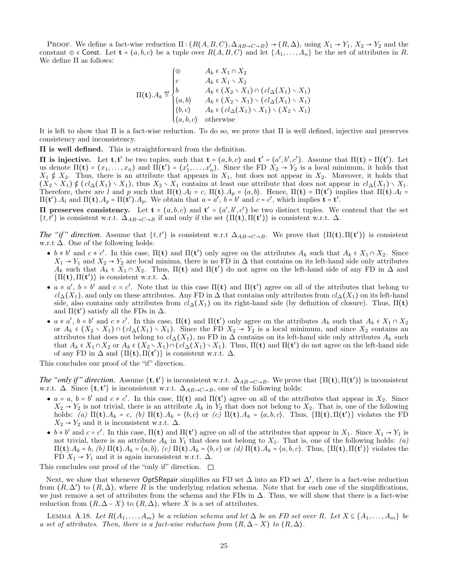PROOF. We define a fact-wise reduction  $\Pi : (R(A, B, C), \Delta_{AB\to C\to B}) \to (R, \Delta)$ , using  $X_1 \to Y_1$ ,  $X_2 \to Y_2$  and the constant ⊙  $\in$  Const. Let  $\mathbf{t} = (a, b, c)$  be a tuple over  $R(A, B, C)$  and let  $\{A_1, \ldots, A_n\}$  be the set of attributes in R. We define  $\Pi$  as follows:

$$
\Pi(\mathbf{t}).A_k \stackrel{\text{def}}{=} \begin{cases} \odot & A_k \in X_1 \cap X_2 \\ c & A_k \in X_1 \setminus X_2 \\ b & A_k \in (X_2 \setminus X_1) \cap (cl_{\Delta}(X_1) \setminus X_1) \\ \langle a, b \rangle & A_k \in (X_2 \setminus X_1) \setminus (cl_{\Delta}(X_1) \setminus X_1) \\ \langle b, c \rangle & A_k \in (cl_{\Delta}(X_1) \setminus X_1) \setminus (X_2 \setminus X_1) \\ \langle a, b, c \rangle & \text{otherwise} \end{cases}
$$

It is left to show that Π is a fact-wise reduction. To do so, we prove that Π is well defined, injective and preserves consistency and inconsistency.

Π is well defined. This is straightforward from the definition.

**Π** is injective. Let t, t' be two tuples, such that  $\mathbf{t} = (a, b, c)$  and  $\mathbf{t}' = (a', b', c')$ . Assume that  $\Pi(\mathbf{t}) = \Pi(\mathbf{t}')$ . Let us denote  $\Pi(\mathbf{t}) = (x_1, \ldots, x_n)$  and  $\Pi(\mathbf{t}') = (x'_1, \ldots, x'_n)$ . Since the FD  $X_2 \to Y_2$  is a local minimum, it holds that  $X_1 \notin X_2$ . Thus, there is an attribute that appears in  $X_1$ , but does not appear in  $X_2$ . Moreover, it holds that  $(X_2\setminus X_1)\notin (cl_{\Delta}(X_1)\setminus X_1)$ , thus  $X_2\setminus X_1$  contains at least one attribute that does not appear in  $cl_{\Delta}(X_1)\setminus X_1$ . Therefore, there are l and p such that  $\Pi(\mathbf{t}) \cdot A_l = c$ ,  $\Pi(\mathbf{t}) \cdot A_p = \langle a, b \rangle$ . Hence,  $\Pi(\mathbf{t}) = \Pi(\mathbf{t}')$  implies that  $\Pi(\mathbf{t}) \cdot A_l =$  $\Pi(\mathbf{t}') \cdot A_l$  and  $\Pi(\mathbf{t}) \cdot A_p = \Pi(\mathbf{t}') \cdot A_p$ . We obtain that  $a = a'$ ,  $b = b'$  and  $c = c'$ , which implies  $\mathbf{t} = \mathbf{t}'$ .

**Π** preserves consistency. Let  $t = (a, b, c)$  and  $t' = (a', b', c')$  be two distinct tuples. We contend that the set  $\{t, t'\}$  is consistent w.r.t.  $\Delta_{AB \to C \to B}$  if and only if the set  $\{\Pi(t), \Pi(t')\}$  is consistent w.r.t.  $\Delta$ .

The "if" direction. Assume that  $\{t, t'\}$  is consistent w.r.t  $\Delta_{AB\to C\to B}$ . We prove that  $\{\Pi(t), \Pi(t')\}$  is consistent w.r.t  $\Delta$ . One of the following holds:

- $b \neq b'$  and  $c \neq c'$ . In this case,  $\Pi(\mathbf{t})$  and  $\Pi(\mathbf{t'})$  only agree on the attributes  $A_k$  such that  $A_k \in X_1 \cap X_2$ . Since  $X_1 \to Y_1$  and  $X_2 \to Y_2$  are local minima, there is no FD in  $\Delta$  that contains on its left-hand side only attributes  $A_k$  such that  $A_k \in X_1 \cap X_2$ . Thus,  $\Pi(\mathbf{t})$  and  $\Pi(\mathbf{t}')$  do not agree on the left-hand side of any FD in  $\Delta$  and  ${\Pi(\mathbf{t}), \Pi(\mathbf{t}')}$  is consistent w.r.t.  $\Delta$ .
- $a \neq a'$ ,  $b = b'$  and  $c = c'$ . Note that in this case  $\Pi(t)$  and  $\Pi(t')$  agree on all of the attributes that belong to  $cl_{\Delta}(X_1)$ , and only on these attributes. Any FD in  $\Delta$  that contains only attributes from  $cl_{\Delta}(X_1)$  on its left-hand side, also contains only attributes from  $cl_{\Delta}(X_1)$  on its right-hand side (by definition of closure). Thus,  $\Pi(t)$ and  $\Pi(\mathbf{t}')$  satisfy all the FDs in  $\Delta$ .
- $a \neq a'$ ,  $b = b'$  and  $c \neq c'$ . In this case,  $\Pi(\mathbf{t})$  and  $\Pi(\mathbf{t'})$  only agree on the attributes  $A_k$  such that  $A_k \in X_1 \cap X_2$ or  $A_k \in (X_2 \setminus X_1) \cap (cl_{\Delta}(X_1) \setminus X_1)$ . Since the FD  $X_2 \to Y_2$  is a local minimum, and since  $X_2$  contains an attributes that does not belong to  $cl_{\Delta}(X_1)$ , no FD in  $\Delta$  contains on its left-hand side only attributes  $A_k$  such that  $A_k \in X_1 \cap X_2$  or  $A_k \in (X_2 \setminus X_1) \cap (cl_{\Delta}(X_1) \setminus X_1)$ . Thus,  $\Pi(\mathbf{t})$  and  $\Pi(\mathbf{t}')$  do not agree on the left-hand side of any FD in  $\Delta$  and  $\{\Pi(t), \Pi(t')\}$  is consistent w.r.t.  $\Delta$ .

This concludes our proof of the "if" direction.

The "only if" direction. Assume  $\{t, t'\}$  is inconsistent w.r.t.  $\Delta_{AB\to C\to B}$ . We prove that  $\{\Pi(t), \Pi(t')\}$  is inconsistent w.r.t.  $\Delta$ . Since  $\{t, t'\}$  is inconsistent w.r.t.  $\Delta_{AB \to C \to B}$ , one of the following holds:

- $a = a, b = b'$  and  $c \neq c'$ . In this case,  $\Pi(t)$  and  $\Pi(t')$  agree on all of the attributes that appear in  $X_2$ . Since  $X_2 \to Y_2$  is not trivial, there is an attribute  $A_k$  in  $Y_2$  that does not belong to  $X_2$ . That is, one of the following holds: (a)  $\Pi(\mathbf{t}) \cdot A_k = c$ , (b)  $\Pi(\mathbf{t}) \cdot A_k = \langle b, c \rangle$  or (c)  $\Pi(\mathbf{t}) \cdot A_k = \langle a, b, c \rangle$ . Thus,  $\{\Pi(\mathbf{t}), \Pi(\mathbf{t}')\}$  violates the FD  $X_2 \rightarrow Y_2$  and it is inconsistent w.r.t.  $\Delta$ .
- $b \neq b'$  and  $c = c'$ . In this case,  $\Pi(\mathbf{t})$  and  $\Pi(\mathbf{t}')$  agree on all of the attributes that appear in  $X_1$ . Since  $X_1 \to Y_1$  is not trivial, there is an attribute  $A_k$  in  $Y_1$  that does not belong to  $X_1$ . That is, one of the following holds: (a)  $\Pi(\mathbf{t}).A_k = b, (b) \Pi(\mathbf{t}).A_k = \langle a, b \rangle, (c) \Pi(\mathbf{t}).A_k = \langle b, c \rangle$  or  $(d) \Pi(\mathbf{t}).A_k = \langle a, b, c \rangle$ . Thus,  $\{\Pi(\mathbf{t}), \Pi(\mathbf{t}')\}$  violates the FD  $X_1 \rightarrow Y_1$  and it is again inconsistent w.r.t.  $\Delta$ .

This concludes our proof of the "only if" direction.  $\Box$ 

Next, we show that whenever OptSRepair simplifies an FD set  $\Delta$  into an FD set  $\Delta'$ , there is a fact-wise reduction from  $(R, \Delta')$  to  $(R, \Delta)$ , where R is the underlying relation schema. Note that for each one of the simplifications, we just remove a set of attributes from the schema and the FDs in  $\Delta$ . Thus, we will show that there is a fact-wise reduction from  $(R, \Delta - X)$  to  $(R, \Delta)$ , where X is a set of attributes.

<span id="page-24-0"></span>LEMMA A.18. Let  $R(A_1, \ldots, A_m)$  be a relation schema and let  $\Delta$  be an FD set over R. Let  $X \subseteq \{A_1, \ldots, A_m\}$  be a set of attributes. Then, there is a fact-wise reduction from  $(R, \Delta - X)$  to  $(R, \Delta)$ .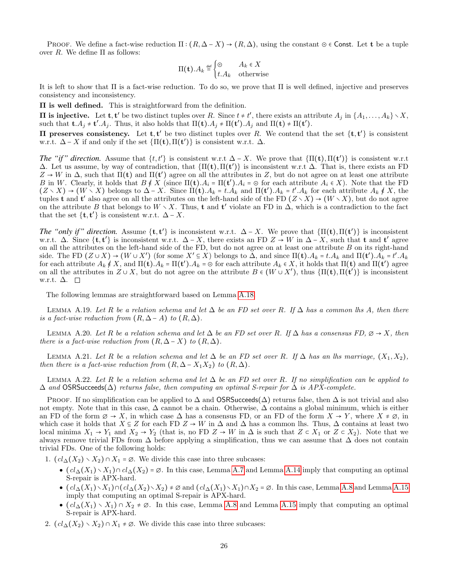PROOF. We define a fact-wise reduction  $\Pi : (R, \Delta - X) \to (R, \Delta)$ , using the constant  $\odot \in \mathsf{Const.}$  Let t be a tuple over  $R$ . We define  $\Pi$  as follows:

$$
\Pi(\mathbf{t}).A_k \stackrel{\text{def}}{=} \begin{cases} \odot & A_k \in X \\ t.A_k & \text{otherwise} \end{cases}
$$

It is left to show that Π is a fact-wise reduction. To do so, we prove that Π is well defined, injective and preserves consistency and inconsistency.

Π is well defined. This is straightforward from the definition.

 $\Pi$  **is injective.** Let  $\mathbf{t}, \mathbf{t}'$  be two distinct tuples over R. Since  $t \neq t'$ , there exists an attribute  $A_j$  in  $\{A_1, \ldots, A_k\} \setminus X$ , such that  $\mathbf{t} \cdot A_j \neq \mathbf{t}' \cdot A_j$ . Thus, it also holds that  $\Pi(\mathbf{t}) \cdot A_j \neq \Pi(\mathbf{t}') \cdot A_j$  and  $\Pi(\mathbf{t}) \neq \Pi(\mathbf{t}')$ .

 $\Pi$  preserves consistency. Let  $t, t'$  be two distinct tuples over R. We contend that the set  $\{t, t'\}$  is consistent w.r.t.  $\Delta$  – X if and only if the set  $\{\Pi(t), \Pi(t')\}$  is consistent w.r.t.  $\Delta$ .

*The "if" direction.* Assume that  $\{t, t'\}$  is consistent w.r.t  $\Delta - X$ . We prove that  $\{\Pi(t), \Pi(t')\}$  is consistent w.r.t  $\Delta$ . Let us assume, by way of contradiction, that  $\{\Pi(t), \Pi(t')\}$  is inconsistent w.r.t  $\Delta$ . That is, there exists an FD  $Z \to W$  in  $\Delta$ , such that  $\Pi(\mathbf{t})$  and  $\Pi(\mathbf{t}')$  agree on all the attributes in Z, but do not agree on at least one attribute B in W. Clearly, it holds that  $B \notin X$  (since  $\Pi(t) \cdot A_i = \Pi(t') \cdot A_i = \emptyset$  for each attribute  $A_i \in X$ ). Note that the FD  $(Z \setminus X) \to (W \setminus X)$  belongs to  $\Delta - X$ . Since  $\Pi(t) A_k = t \cdot A_k$  and  $\Pi(t') A_k = t' A_k$  for each attribute  $A_k \notin X$ , the tuples **t** and **t'** also agree on all the attributes on the left-hand side of the FD  $(Z \setminus X) \to (W \setminus X)$ , but do not agree on the attribute B that belongs to  $W \setminus X$ . Thus, t and t' violate an FD in  $\Delta$ , which is a contradiction to the fact that the set  $\{t, t'\}$  is consistent w.r.t.  $\Delta - X$ .

The "only if" direction. Assume  $\{t, t'\}$  is inconsistent w.r.t.  $\Delta - X$ . We prove that  $\{\Pi(t), \Pi(t')\}$  is inconsistent w.r.t.  $\Delta$ . Since  $\{\mathbf{t}, \mathbf{t}'\}$  is inconsistent w.r.t.  $\Delta - X$ , there exists an FD  $Z \to W$  in  $\Delta - X$ , such that **t** and **t'** agree on all the attributes on the left-hand side of the FD, but do not agree on at least one attribute  $B$  on its right-hand side. The FD  $(Z \cup X) \to (W \cup X')$  (for some  $X' \subseteq X$ ) belongs to  $\Delta$ , and since  $\Pi(\mathbf{t}) \cdot A_k = t \cdot A_k$  and  $\Pi(\mathbf{t}') \cdot A_k = t' \cdot A_k$ for each attribute  $A_k \notin X$ , and  $\Pi(\mathbf{t}) \cdot A_k = \Pi(\mathbf{t}') \cdot A_k = \odot$  for each attribute  $A_k \in X$ , it holds that  $\Pi(\mathbf{t})$  and  $\Pi(\mathbf{t}')$  agree on all the attributes in  $Z \cup X$ , but do not agree on the attribute  $B \in (W \cup X')$ , thus  $\{\Pi(t), \Pi(t')\}$  is inconsistent w.r.t.  $\Delta$ .  $\Box$ 

<span id="page-25-1"></span>The following lemmas are straightforward based on Lemma [A.18.](#page-24-0)

LEMMA A.19. Let R be a relation schema and let  $\Delta$  be an FD set over R. If  $\Delta$  has a common lhs A, then there is a fact-wise reduction from  $(R, \Delta - A)$  to  $(R, \Delta)$ .

<span id="page-25-2"></span>LEMMA A.20. Let R be a relation schema and let  $\Delta$  be an FD set over R. If  $\Delta$  has a consensus FD,  $\emptyset \to X$ , then there is a fact-wise reduction from  $(R, \Delta - X)$  to  $(R, \Delta)$ .

<span id="page-25-0"></span>LEMMA A.21. Let R be a relation schema and let  $\Delta$  be an FD set over R. If  $\Delta$  has an lhs marriage,  $(X_1, X_2)$ , then there is a fact-wise reduction from  $(R, \Delta - X_1 X_2)$  to  $(R, \Delta)$ .

<span id="page-25-3"></span>LEMMA A.22. Let R be a relation schema and let  $\Delta$  be an FD set over R. If no simplification can be applied to  $\Delta$  and OSRSucceeds( $\Delta$ ) returns false, then computing an optimal S-repair for  $\Delta$  is APX-complete.

PROOF. If no simplification can be applied to  $\Delta$  and OSRSucceeds( $\Delta$ ) returns false, then  $\Delta$  is not trivial and also not empty. Note that in this case, ∆ cannot be a chain. Otherwise, ∆ contains a global minimum, which is either an FD of the form  $\emptyset \to X$ , in which case  $\Delta$  has a consensus FD, or an FD of the form  $X \to Y$ , where  $X \neq \emptyset$ , in which case it holds that  $X \subseteq Z$  for each FD  $Z \to W$  in  $\Delta$  and  $\Delta$  has a common lhs. Thus,  $\Delta$  contains at least two local minima  $X_1 \to Y_1$  and  $X_2 \to Y_2$  (that is, no FD  $Z \to W$  in  $\Delta$  is such that  $Z \subset X_1$  or  $Z \subset X_2$ ). Note that we always remove trivial FDs from  $\Delta$  before applying a simplification, thus we can assume that  $\Delta$  does not contain trivial FDs. One of the following holds:

1.  $(cl_{\Delta}(X_2) \setminus X_2) \cap X_1 = \emptyset$ . We divide this case into three subcases:

- $(cl_\Delta(X_1)\setminus X_1)\cap cl_\Delta(X_2) = \emptyset$ . In this case, Lemma [A.7](#page-17-1) and Lemma [A.14](#page-20-0) imply that computing an optimal S-repair is APX-hard.
- $(cl_\Delta(X_1)\setminus X_1)\cap (cl_\Delta(X_2)\setminus X_2)\neq\emptyset$  and  $(cl_\Delta(X_1)\setminus X_1)\cap X_2=\emptyset$ . In this case, Lemma [A.8](#page-18-1) and Lemma [A.15](#page-21-0) imply that computing an optimal S-repair is APX-hard.
- $(cl<sub>\Delta</sub>(X<sub>1</sub>) \setminus X<sub>1</sub>) \cap X<sub>2</sub> \neq \emptyset$ . In this case, Lemma [A.8](#page-18-1) and Lemma [A.15](#page-21-0) imply that computing an optimal S-repair is APX-hard.

2.  $(cl_{\Delta}(X_2) \setminus X_2) \cap X_1 \neq \emptyset$ . We divide this case into three subcases: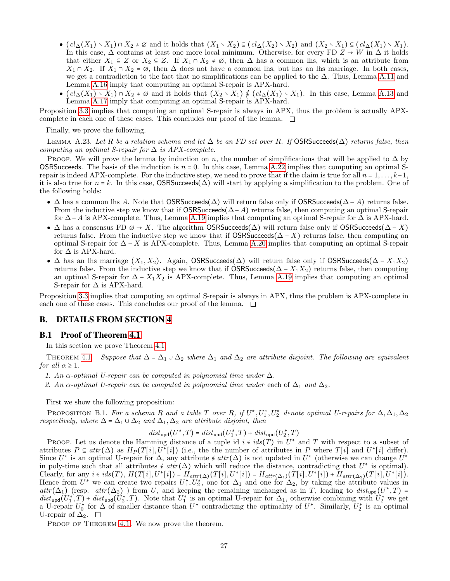- $\bullet$  (cl<sub>△</sub>(X<sub>1</sub>)  $\setminus$  X<sub>1</sub>) ∩ X<sub>2</sub> ≠ ∅ and it holds that  $(X_1 \setminus X_2) \subseteq (c l_1(X_2) \setminus X_2)$  and  $(X_2 \setminus X_1) \subseteq (c l_1(X_1) \setminus X_1)$ . In this case,  $\Delta$  contains at least one more local minimum. Otherwise, for every FD  $Z \to W$  in  $\Delta$  it holds that either  $X_1 \subseteq Z$  or  $X_2 \subseteq Z$ . If  $X_1 \cap X_2 \neq \emptyset$ , then  $\Delta$  has a common lhs, which is an attribute from  $X_1 \cap X_2$ . If  $X_1 \cap X_2 = \emptyset$ , then  $\Delta$  does not have a common lhs, but has an lhs marriage. In both cases, we get a contradiction to the fact that no simplifications can be applied to the ∆. Thus, Lemma [A.11](#page-18-0) and Lemma [A.16](#page-22-0) imply that computing an optimal S-repair is APX-hard.
- $(cl_\Delta(X_1) \setminus X_1) \cap X_2 \neq \emptyset$  and it holds that  $(X_2 \setminus X_1) \notin (cl_\Delta(X_1) \setminus X_1)$ . In this case, Lemma [A.13](#page-19-0) and Lemma [A.17](#page-23-0) imply that computing an optimal S-repair is APX-hard.

Proposition [3.3](#page-5-2) implies that computing an optimal S-repair is always in APX, thus the problem is actually APXcomplete in each one of these cases. This concludes our proof of the lemma.  $\square$ 

Finally, we prove the following.

LEMMA A.23. Let R be a relation schema and let  $\Delta$  be an FD set over R. If OSRSucceeds( $\Delta$ ) returns false, then computing an optimal S-repair for  $\Delta$  is APX-complete.

PROOF. We will prove the lemma by induction on n, the number of simplifications that will be applied to  $\Delta$  by **OSRSucceeds.** The basis of the induction is  $n = 0$ . In this case, Lemma [A.22](#page-25-3) implies that computing an optimal Srepair is indeed APX-complete. For the inductive step, we need to prove that if the claim is true for all  $n = 1, \ldots, k-1$ , it is also true for  $n = k$ . In this case, OSRSucceeds( $\Delta$ ) will start by applying a simplification to the problem. One of the following holds:

- $\Delta$  has a common lhs A. Note that OSRSucceeds( $\Delta$ ) will return false only if OSRSucceeds( $\Delta A$ ) returns false. From the inductive step we know that if  $OSRS$ ucceeds $(\Delta - A)$  returns false, then computing an optimal S-repair for ∆−A is APX-complete. Thus, Lemma [A.19](#page-25-1) implies that computing an optimal S-repair for ∆ is APX-hard.
- $\Delta$  has a consensus FD  $\emptyset \to X$ . The algorithm OSRSucceeds( $\Delta$ ) will return false only if OSRSucceeds( $\Delta X$ ) returns false. From the inductive step we know that if  $OSRS$ ucceeds( $\Delta - X$ ) returns false, then computing an optimal S-repair for  $\Delta$  – X is APX-complete. Thus, Lemma [A.20](#page-25-2) implies that computing an optimal S-repair for  $\Delta$  is APX-hard.
- $\Delta$  has an lhs marriage  $(X_1, X_2)$ . Again, OSRSucceeds( $\Delta$ ) will return false only if OSRSucceeds( $\Delta X_1X_2$ ) returns false. From the inductive step we know that if OSRSucceeds( $\Delta - X_1X_2$ ) returns false, then computing an optimal S-repair for  $\Delta$  –  $X_1X_2$  is APX-complete. Thus, Lemma [A.19](#page-25-1) implies that computing an optimal S-repair for  $\Delta$  is APX-hard.

Proposition [3.3](#page-5-2) implies that computing an optimal S-repair is always in APX, thus the problem is APX-complete in each one of these cases. This concludes our proof of the lemma.  $\square$ 

#### B. DETAILS FROM SECTION [4](#page-8-4)

#### <span id="page-26-0"></span>B.1 Proof of Theorem [4.1](#page-8-2)

In this section we prove Theorem [4.1.](#page-8-2)

THEOREM [4.1.](#page-8-2) Suppose that  $\Delta = \Delta_1 \cup \Delta_2$  where  $\Delta_1$  and  $\Delta_2$  are attribute disjoint. The following are equivalent for all  $\alpha \geq 1$ .

1. An  $\alpha$ -optimal U-repair can be computed in polynomial time under  $\Delta$ .

2. An  $\alpha$ -optimal U-repair can be computed in polynomial time under each of  $\Delta_1$  and  $\Delta_2$ .

First we show the following proposition:

PROPOSITION B.1. For a schema R and a table T over R, if  $U^*, U_1^*, U_2^*$  denote optimal U-repairs for  $\Delta, \Delta_1, \Delta_2$ respectively, where  $\Delta = \Delta_1 \cup \Delta_2$  and  $\Delta_1, \Delta_2$  are attribute disjoint, then

<span id="page-26-1"></span>
$$
dist_{\mathsf{upd}}(U^*,T) = dist_{\mathsf{upd}}(U^*_1,T) + dist_{\mathsf{upd}}(U^*_2,T)
$$

PROOF. Let us denote the Hamming distance of a tuple id  $i \in ids(T)$  in  $U^*$  and T with respect to a subset of attributes  $P \subseteq \text{attr}(\Delta)$  as  $H_P(T[i], U^*[i])$  (i.e., the the number of attributes in P where  $T[i]$  and  $U^*[i]$  differ). Since  $U^*$  is an optimal U-repair for  $\Delta$ , any attribute  $\notin$  attr $(\Delta)$  is not updated in  $U^*$  (otherwise we can change  $U^*$ in poly-time such that all attributes  $\notin \text{attr}(\Delta)$  which will reduce the distance, contradicting that  $U^*$  is optimal). Clearly, for any  $i \in ids(T)$ ,  $H(T[i], U^*[i]) = H_{attr(\Delta)}(T[i], U^*[i]) = H_{attr(\Delta_1)}(T[i], U^*[i]) + H_{attr(\Delta_2)}(T[i], U^*[i])$ . Hence from  $U^*$  we can create two repairs  $U_1^*, U_2^*$ , one for  $\Delta_1$  and one for  $\Delta_2$ , by taking the attribute values in  $attr(\Delta_1)$  (resp.  $attr(\Delta_2)$ ) from U, and keeping the remaining unchanged as in T, leading to  $dist_{\text{upd}}(U^*,T)$  =  $dist_{\text{upd}}(U_1^*,T) + dist_{\text{upd}}(U_2^*,T)$ . Note that  $U_1^*$  is an optimal U-repair for  $\Delta_1$ , otherwise combining with  $U_2^*$  we get a U-repair  $U_0^*$  for  $\Delta$  of smaller distance than  $U^*$  contradicting the optimality of  $U^*$ . Similarly,  $U_2^*$  is an optimal U-repair of  $\Delta_2$ .  $\Box$ 

PROOF OF THEOREM [4.1.](#page-8-2) We now prove the theorem.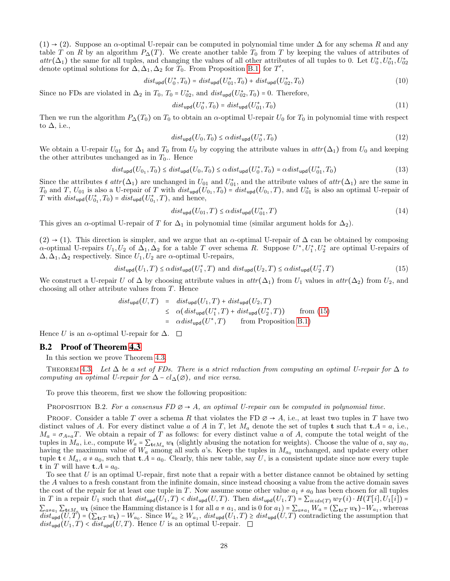(1) → (2)*.* Suppose an α-optimal U-repair can be computed in polynomial time under ∆ for any schema R and any table T on R by an algorithm  $P_{\Delta}(T)$ . We create another table  $T_0$  from T by keeping the values of attributes of  $attr(\Delta_1)$  the same for all tuples, and changing the values of all other attributes of all tuples to 0. Let  $U_0^*, U_{01}^*, U_{02}^*$ denote optimal solutions for  $\Delta, \Delta_1, \Delta_2$  for  $T_0$ . From Proposition [B.1,](#page-26-1) for T',

$$
dist_{\text{upd}}(U_0^*, T_0) = dist_{\text{upd}}(U_{01}^*, T_0) + dist_{\text{upd}}(U_{02}^*, T_0)
$$
\n(10)

Since no FDs are violated in  $\Delta_2$  in  $T_0$ ,  $T_0 = U_{02}^*$ , and  $dist_{\text{upd}}(U_{02}^*, T_0) = 0$ . Therefore,

$$
dist_{\text{upd}}(U_0^*, T_0) = dist_{\text{upd}}(U_{01}^*, T_0) \tag{11}
$$

Then we run the algorithm  $P_{\Delta}(T_0)$  on  $T_0$  to obtain an  $\alpha$ -optimal U-repair  $U_0$  for  $T_0$  in polynomial time with respect to  $\Delta$ , i.e.,

$$
dist_{\text{upd}}(U_0, T_0) \leq \alpha \, dist_{\text{upd}}(U_0^*, T_0) \tag{12}
$$

We obtain a U-repair  $U_{01}$  for  $\Delta_1$  and  $T_0$  from  $U_0$  by copying the attribute values in  $attr(\Delta_1)$  from  $U_0$  and keeping the other attributes unchanged as in  $T_0$ .. Hence

$$
dist_{\text{upd}}(U_{0_1}, T_0) \leq dist_{\text{upd}}(U_0, T_0) \leq \alpha dist_{\text{upd}}(U_0^*, T_0) = \alpha dist_{\text{upd}}(U_{01}^*, T_0)
$$
\n
$$
\tag{13}
$$

Since the attributes  $\notin attr(\Delta_1)$  are unchanged in  $U_{01}$  and  $U_{01}^*$ , and the attribute values of  $attr(\Delta_1)$  are the same in  $T_0$  and T,  $U_{01}$  is also a U-repair of T with  $dist_{\text{upd}}(U_{0_1}, T_0) = dist_{\text{upd}}(U_{0_1}, T)$ , and  $U_{01}^*$  is also an optimal U-repair of T with  $dist_{\text{upd}}(U_{0_1}^*, T_0) = dist_{\text{upd}}(U_{0_1}^*, T)$ , and hence,

$$
dist_{\text{upd}}(U_{01}, T) \leq \alpha dist_{\text{upd}}(U_{01}^*, T) \tag{14}
$$

This gives an  $\alpha$ -optimal U-repair of T for  $\Delta_1$  in polynomial time (similar argument holds for  $\Delta_2$ ).

(2)  $\rightarrow$  (1). This direction is simpler, and we argue that an  $\alpha$ -optimal U-repair of  $\Delta$  can be obtained by composing  $\alpha$ -optimal U-repairs  $U_1, U_2$  of  $\overline{\Delta}_1, \overline{\Delta}_2$  for a table T over schema R. Suppose  $U^*, U_1^*, U_2^*$  are optimal U-repairs of  $\Delta, \Delta_1, \Delta_2$  respectively. Since  $U_1, U_2$  are  $\alpha$ -optimal U-repairs,

<span id="page-27-0"></span>
$$
dist_{\text{upd}}(U_1, T) \le \alpha \, dist_{\text{upd}}(U_1^*, T) \text{ and } dist_{\text{upd}}(U_2, T) \le \alpha \, dist_{\text{upd}}(U_2^*, T) \tag{15}
$$

We construct a U-repair U of  $\Delta$  by choosing attribute values in  $attr(\Delta_1)$  from  $U_1$  values in  $attr(\Delta_2)$  from  $U_2$ , and choosing all other attribute values from T. Hence

$$
dist_{\text{upd}}(U, T) = dist_{\text{upd}}(U_1, T) + dist_{\text{upd}}(U_2, T)
$$
  
\n
$$
\leq \alpha \left( dist_{\text{upd}}(U_1^*, T) + dist_{\text{upd}}(U_2^*, T) \right) \qquad \text{from (15)}
$$
  
\n
$$
= \alpha dist_{\text{upd}}(U^*, T) \qquad \text{from Proposition B.1}
$$

Hence U is an  $\alpha$ -optimal U-repair for  $\Delta$ .  $\Box$ 

#### B.2 Proof of Theorem [4.3](#page-9-0)

In this section we prove Theorem [4.3.](#page-9-0)

THEOREM [4.3.](#page-9-0) Let  $\Delta$  be a set of FDs. There is a strict reduction from computing an optimal U-repair for  $\Delta$  to computing an optimal U-repair for  $\Delta - cl_{\Delta}(\emptyset)$ , and vice versa.

<span id="page-27-1"></span>To prove this theorem, first we show the following proposition:

PROPOSITION B.2. For a consensus  $FD \oslash A$ , an optimal U-repair can be computed in polynomial time.

PROOF. Consider a table T over a schema R that violates the FD  $\emptyset \to A$ , i.e., at least two tuples in T have two distinct values of A. For every distinct value a of A in T, let  $M_a$  denote the set of tuples **t** such that **t**. A = a, i.e.,  $M_a = \sigma_{A=a}T$ . We obtain a repair of T as follows: for every distinct value a of A, compute the total weight of the tuples in  $M_a$ , i.e., compute  $W_a = \sum_{\mathbf{t} \in M_a} w_{\mathbf{t}}$  (slightly abusing the notation for weights). Choose the value of a, say  $a_0$ , having the maximum value of  $W_a$  among all such a's. Keep the tuples in  $M_{a_0}$  unchanged, and update every other tuple  $\mathbf{t} \in M_a$ ,  $a \neq a_0$ , such that  $\mathbf{t} \cdot A = a_0$ . Clearly, this new table, say U, is a consistent update since now every tuple **t** in T will have **t**.  $A = a_0$ .

To see that  $U$  is an optimal U-repair, first note that a repair with a better distance cannot be obtained by setting the A values to a fresh constant from the infinite domain, since instead choosing a value from the active domain saves the cost of the repair for at least one tuple in T. Now assume some other value  $a_1 \neq a_0$  has been chosen for all tuples in T in a repair  $U_1$  such that  $dist_{\text{upd}}(U_1, T) < dist_{\text{upd}}(U, T)$ . Then  $dist_{\text{upd}}(U_1, T) = \sum_{i \in ids(T)} w_T(i) \cdot H(T[i], U_1[i]) =$  $\sum_{a \neq a_1} \sum_{\mathbf{t} \in M_a} w_{\mathbf{t}}$  (since the Hamming distance is 1 for all  $a \neq a_1$ , and is 0 for  $a_1$ ) =  $\sum_{a \neq a_1} W_a$  =  $(\sum_{\mathbf{t} \in T} w_{\mathbf{t}}) - W_{a_1}$ , whereas  $dist_{\text{upd}}(U, T) = (\sum_{\mathbf{t} \in T} w_{\mathbf{t}}) - W_{a_0}$ . Since  $W_{a_0} \geq W_{a_1}$ ,  $dist_{\text{upd}}(U, T) \geq dist_{\text{upd}}(U, T)$  contradicting the assumption that  $dist_{\text{upd}}(U_1, T) < dist_{\text{upd}}(U, T)$ . Hence U is an optimal U-repair.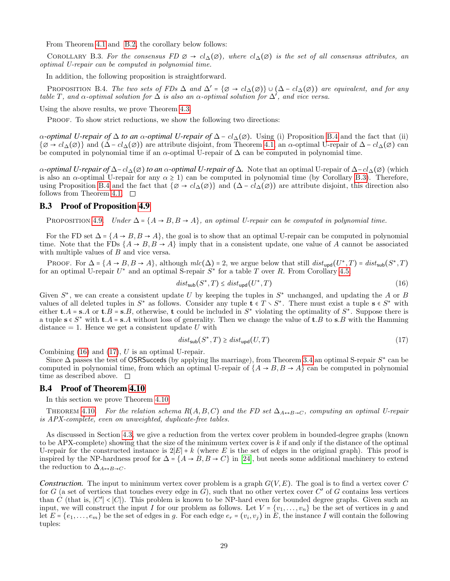<span id="page-28-1"></span>From Theorem [4.1](#page-8-2) and [B.2,](#page-27-1) the corollary below follows:

COROLLARY B.3. For the consensus FD  $\emptyset \to cl_{\Delta}(\emptyset)$ , where  $cl_{\Delta}(\emptyset)$  is the set of all consensus attributes, an optimal U-repair can be computed in polynomial time.

<span id="page-28-0"></span>In addition, the following proposition is straightforward.

PROPOSITION B.4. The two sets of FDs  $\Delta$  and  $\Delta' = {\emptyset \rightarrow cl_{\Delta}(\emptyset)} \cup (\Delta - cl_{\Delta}(\emptyset))$  are equivalent, and for any table T, and  $\alpha$ -optimal solution for  $\Delta$  is also an  $\alpha$ -optimal solution for  $\Delta'$ , and vice versa.

Using the above results, we prove Theorem [4.3.](#page-9-0)

PROOF. To show strict reductions, we show the following two directions:

 $\alpha$ -optimal U-repair of  $\Delta$  *to an*  $\alpha$ -optimal U-repair of  $\Delta - cl_{\Delta}(\emptyset)$ . Using (i) Proposition [B.4](#page-28-0) and the fact that (ii)  $\{\varnothing \to cl_{\Delta}(\varnothing)\}\$ and  $(\Delta - cl_{\Delta}(\varnothing))$  are attribute disjoint, from Theorem [4.1,](#page-8-2) an  $\alpha$ -optimal U-repair of  $\Delta - cl_{\Delta}(\varnothing)$  can be computed in polynomial time if an  $\alpha$ -optimal U-repair of  $\Delta$  can be computed in polynomial time.

α*-optimal U-repair of* ∆−cl∆(∅) *to an* α*-optimal U-repair of* ∆*.* Note that an optimal U-repair of ∆−cl∆(∅) (which is also an  $\alpha$ -optimal U-repair for any  $\alpha \geq 1$ ) can be computed in polynomial time (by Corollary [B.3\)](#page-28-1). Therefore, using Proposition [B.4](#page-28-0) and the fact that  $\{\varnothing \to cl_\Delta(\varnothing)\}$  and  $(\Delta - cl_\Delta(\varnothing))$  are attribute disjoint, this direction also follows from Theorem [4.1.](#page-8-2)  $\Box$ 

#### B.3 Proof of Proposition [4.9](#page-10-5)

PROPOSITION [4.9.](#page-10-5) Under  $\Delta = \{A \rightarrow B, B \rightarrow A\}$ , an optimal U-repair can be computed in polynomial time.

For the FD set  $\Delta = \{A \rightarrow B, B \rightarrow A\}$ , the goal is to show that an optimal U-repair can be computed in polynomial time. Note that the FDs  $\{A \rightarrow B, B \rightarrow A\}$  imply that in a consistent update, one value of A cannot be associated with multiple values of B and vice versa.

PROOF. For  $\Delta = \{A \rightarrow B, B \rightarrow A\}$ , although  $mlc(\Delta) = 2$ , we argue below that still  $dist_{\text{upd}}(U^*, T) = dist_{\text{sub}}(S^*, T)$ for an optimal U-repair  $U^*$  and an optimal S-repair  $S^*$  for a table T over R. From Corollary [4.5,](#page-9-3)

<span id="page-28-2"></span>
$$
dist_{\text{sub}}(S^*, T) \leq dist_{\text{upd}}(U^*, T) \tag{16}
$$

Given  $S^*$ , we can create a consistent update U by keeping the tuples in  $S^*$  unchanged, and updating the A or B values of all deleted tuples in  $S^*$  as follows. Consider any tuple  $\mathbf{t} \in T \setminus S^*$ . There must exist a tuple  $\mathbf{s} \in S^*$  with either  $t.A = s.A$  or  $t.B = s.B$ , otherwise, t could be included in  $S^*$  violating the optimality of  $S^*$ . Suppose there is a tuple  $s \in S^*$  with  $t.A = s.A$  without loss of generality. Then we change the value of  $t.B$  to  $s.B$  with the Hamming distance  $= 1$ . Hence we get a consistent update U with

<span id="page-28-3"></span>
$$
dist_{\text{sub}}(S^*, T) \geq dist_{\text{upd}}(U, T) \tag{17}
$$

Combining  $(16)$  and  $(17)$ , U is an optimal U-repair.

Since  $\Delta$  passes the test of OSRSucceds (by applying lhs marriage), from Theorem [3.4](#page-6-0) an optimal S-repair  $S^*$  can be computed in polynomial time, from which an optimal U-repair of  $\{A \rightarrow B, B \rightarrow A\}$  can be computed in polynomial time as described above.  $\square$ 

#### B.4 Proof of Theorem [4.10](#page-10-2)

In this section we prove Theorem [4.10.](#page-10-2)

THEOREM [4.10.](#page-10-2) For the relation schema  $R(A, B, C)$  and the FD set  $\Delta_{A \leftrightarrow B \to C}$ , computing an optimal U-repair is APX-complete, even on unweighted, duplicate-free tables.

As discussed in Section [4.3,](#page-10-6) we give a reduction from the vertex cover problem in bounded-degree graphs (known to be APX-complete) showing that the size of the minimum vertex cover is k if and only if the distance of the optimal U-repair for the constructed instance is  $2|E| + k$  (where E is the set of edges in the original graph). This proof is inspired by the NP-hardness proof for  $\Delta = \{A \rightarrow B, B \rightarrow C\}$  in [\[24\]](#page-12-6), but needs some additional machinery to extend the reduction to  $\Delta_{A\leftrightarrow B\to C}$ .

*Construction.* The input to minimum vertex cover problem is a graph  $G(V, E)$ . The goal is to find a vertex cover C for G (a set of vertices that touches every edge in  $\tilde{G}$ ), such that no other vertex cover C' of G contains less vertices than C (that is,  $|C'| < |C|$ ). This problem is known to be NP-hard even for bounded degree graphs. Given such an input, we will construct the input I for our problem as follows. Let  $V = \{v_1, \ldots, v_n\}$  be the set of vertices in g and let  $E = \{e_1, \ldots, e_m\}$  be the set of edges in g. For each edge  $e_r = (v_i, v_j)$  in E, the instance I will contain the following tuples: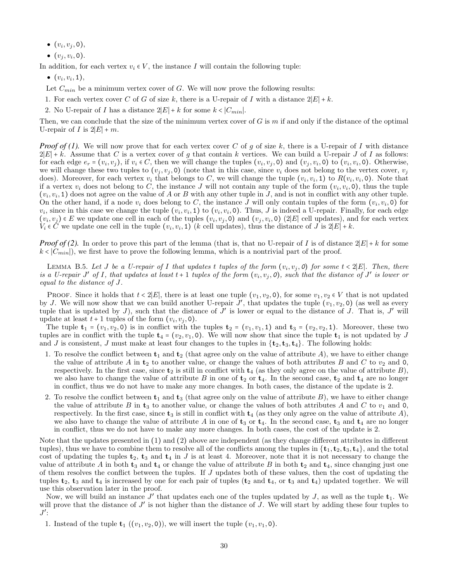- $\bullet$   $(v_i, v_j, 0),$
- $(v_j, v_i, 0)$ .

In addition, for each vertex  $v_i \in V$ , the instance I will contain the following tuple:

 $\bullet$   $(v_i, v_i, 1),$ 

Let  $C_{min}$  be a minimum vertex cover of G. We will now prove the following results:

- 1. For each vertex cover C of G of size k, there is a U-repair of I with a distance  $2|E| + k$ .
- 2. No U-repair of I has a distance  $2|E| + k$  for some  $k < |C_{min}|$ .

Then, we can conclude that the size of the minimum vertex cover of  $G$  is  $m$  if and only if the distance of the optimal U-repair of I is  $2|E| + m$ .

*Proof of (1).* We will now prove that for each vertex cover C of g of size k, there is a U-repair of I with distance  $2|E| + k$ . Assume that C is a vertex cover of g that contain k vertices. We can build a U-repair J of I as follows: for each edge  $e_r = (v_i, v_j)$ , if  $v_i \in C$ , then we will change the tuples  $(v_i, v_j, 0)$  and  $(v_j, v_i, 0)$  to  $(v_i, v_i, 0)$ . Otherwise, we will change these two tuples to  $(v_j, v_j, 0)$  (note that in this case, since  $v_i$  does not belong to the vertex cover,  $v_j$ does). Moreover, for each vertex  $v_i$  that belongs to C, we will change the tuple  $(v_i, v_i, 1)$  to  $R(v_i, v_i, 0)$ . Note that if a vertex  $v_i$  does not belong to C, the instance J will not contain any tuple of the form  $(v_i, v_i, 0)$ , thus the tuple  $(v_i, v_i, 1)$  does not agree on the value of A or B with any other tuple in J, and is not in conflict with any other tuple. On the other hand, if a node  $v_i$  does belong to C, the instance J will only contain tuples of the form  $(v_i, v_i, 0)$  for  $v_i$ , since in this case we change the tuple  $(v_i, v_i, 1)$  to  $(v_i, v_i, 0)$ . Thus, J is indeed a U-repair. Finally, for each edge  $(v_i, v_j) \in E$  we update one cell in each of the tuples  $(v_i, v_j, 0)$  and  $(v_j, v_i, 0)$  (2|E| cell updates), and for each vertex  $V_i \in C$  we update one cell in the tuple  $(v_i, v_i, 1)$  (k cell updates), thus the distance of J is  $2|E| + k$ .

*Proof of (2).* In order to prove this part of the lemma (that is, that no U-repair of I is of distance  $2|E| + k$  for some  $k < |C_{min}|$ , we first have to prove the following lemma, which is a nontrivial part of the proof.

<span id="page-29-0"></span>LEMMA B.5. Let J be a U-repair of I that updates t tuples of the form  $(v_i, v_j, 0)$  for some  $t < 2|E|$ . Then, there is a U-repair J' of I, that updates at least  $t+1$  tuples of the form  $(v_i, v_j, 0)$ , such that the distance of J' is lower or equal to the distance of J.

PROOF. Since it holds that  $t < 2|E|$ , there is at least one tuple  $(v_1, v_2, 0)$ , for some  $v_1, v_2 \in V$  that is not updated by J. We will now show that we can build another U-repair  $J'$ , that updates the tuple  $(v_1, v_2, 0)$  (as well as every tuple that is updated by J), such that the distance of  $J'$  is lower or equal to the distance of  $J$ . That is,  $J'$  will update at least  $t+1$  tuples of the form  $(v_i, v_j, 0)$ .

The tuple  $\mathbf{t}_1 = (v_1, v_2, 0)$  is in conflict with the tuples  $\mathbf{t}_2 = (v_1, v_1, 1)$  and  $\mathbf{t}_3 = (v_2, v_2, 1)$ . Moreover, these two tuples are in conflict with the tuple  $t_4 = (v_2, v_1, 0)$ . We will now show that since the tuple  $t_1$  is not updated by J and J is consistent, J must make at least four changes to the tuples in  $\{t_2, t_3, t_4\}$ . The following holds:

- 1. To resolve the conflict between  $t_1$  and  $t_2$  (that agree only on the value of attribute A), we have to either change the value of attribute A in  $t_2$  to another value, or change the values of both attributes B and C to  $v_2$  and 0, respectively. In the first case, since  $t_2$  is still in conflict with  $t_4$  (as they only agree on the value of attribute  $B$ ), we also have to change the value of attribute B in one of  $t_2$  or  $t_4$ . In the second case,  $t_2$  and  $t_4$  are no longer in conflict, thus we do not have to make any more changes. In both cases, the distance of the update is 2.
- 2. To resolve the conflict between  $t_1$  and  $t_3$  (that agree only on the value of attribute B), we have to either change the value of attribute  $B$  in  $t_3$  to another value, or change the values of both attributes  $A$  and  $C$  to  $v_1$  and  $0$ , respectively. In the first case, since  $t_3$  is still in conflict with  $t_4$  (as they only agree on the value of attribute A), we also have to change the value of attribute A in one of  $t_3$  or  $t_4$ . In the second case,  $t_3$  and  $t_4$  are no longer in conflict, thus we do not have to make any more changes. In both cases, the cost of the update is 2.

Note that the updates presented in (1) and (2) above are independent (as they change different attributes in different tuples), thus we have to combine them to resolve all of the conflicts among the tuples in  $\{t_1, t_2, t_3, t_4\}$ , and the total cost of updating the tuples  $t_2$ ,  $t_3$  and  $t_4$  in J is at least 4. Moreover, note that it is not necessary to change the value of attribute A in both  $t_3$  and  $t_4$  or change the value of attribute B in both  $t_2$  and  $t_4$ , since changing just one of them resolves the conflict between the tuples. If J updates both of these values, then the cost of updating the tuples  $t_2$ ,  $t_3$  and  $t_4$  is increased by one for each pair of tuples ( $t_2$  and  $t_4$ , or  $t_3$  and  $t_4$ ) updated together. We will use this observation later in the proof.

Now, we will build an instance  $J'$  that updates each one of the tuples updated by  $J$ , as well as the tuple  $t_1$ . We will prove that the distance of  $J'$  is not higher than the distance of  $J$ . We will start by adding these four tuples to  $J'$ :

1. Instead of the tuple  $\mathbf{t}_1$   $((v_1, v_2, 0))$ , we will insert the tuple  $(v_1, v_1, 0)$ .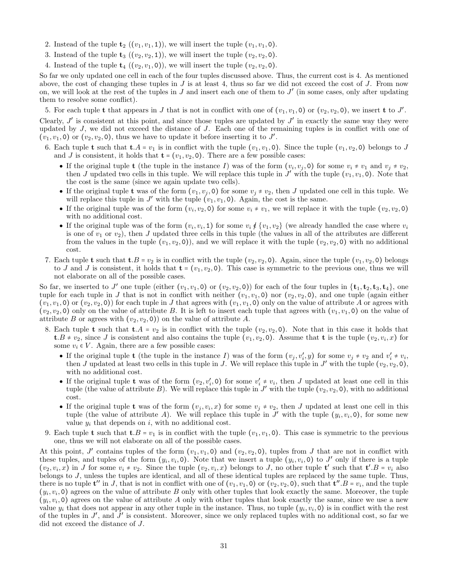- 2. Instead of the tuple  $\mathbf{t}_2$   $((v_1, v_1, 1))$ , we will insert the tuple  $(v_1, v_1, 0)$ .
- 3. Instead of the tuple  $\mathbf{t}_3$   $((v_2, v_2, 1))$ , we will insert the tuple  $(v_2, v_2, 0)$ .
- 4. Instead of the tuple  $t_4$   $((v_2, v_1, 0))$ , we will insert the tuple  $(v_2, v_2, 0)$ .

So far we only updated one cell in each of the four tuples discussed above. Thus, the current cost is 4. As mentioned above, the cost of changing these tuples in  $J$  is at least 4, thus so far we did not exceed the cost of  $J$ . From now on, we will look at the rest of the tuples in  $J$  and insert each one of them to  $J'$  (in some cases, only after updating them to resolve some conflict).

5. For each tuple **t** that appears in J that is not in conflict with one of  $(v_1, v_1, 0)$  or  $(v_2, v_2, 0)$ , we insert **t** to J'.

Clearly,  $J'$  is consistent at this point, and since those tuples are updated by  $J'$  in exactly the same way they were updated by  $J$ , we did not exceed the distance of  $J$ . Each one of the remaining tuples is in conflict with one of  $(v_1, v_1, 0)$  or  $(v_2, v_2, 0)$ , thus we have to update it before inserting it to J'.

- 6. Each tuple **t** such that  $t.A = v_1$  is in conflict with the tuple  $(v_1, v_1, 0)$ . Since the tuple  $(v_1, v_2, 0)$  belongs to J and J is consistent, it holds that  $\mathbf{t} = (v_1, v_2, 0)$ . There are a few possible cases:
	- If the original tuple **t** (the tuple in the instance I) was of the form  $(v_i, v_j, 0)$  for some  $v_i \neq v_1$  and  $v_j \neq v_2$ , then J updated two cells in this tuple. We will replace this tuple in  $J'$  with the tuple  $(v_1, v_1, 0)$ . Note that the cost is the same (since we again update two cells).
	- If the original tuple **t** was of the form  $(v_1, v_j, 0)$  for some  $v_j \neq v_2$ , then J updated one cell in this tuple. We will replace this tuple in J' with the tuple  $(v_1, v_1, 0)$ . Again, the cost is the same.
	- If the original tuple was of the form  $(v_i, v_2, 0)$  for some  $v_i \neq v_1$ , we will replace it with the tuple  $(v_2, v_2, 0)$ with no additional cost.
	- If the original tuple was of the form  $(v_i, v_i, 1)$  for some  $v_i \notin \{v_1, v_2\}$  (we already handled the case where  $v_i$ is one of  $v_1$  or  $v_2$ ), then J updated three cells in this tuple (the values in all of the attributes are different from the values in the tuple  $(v_1, v_2, 0)$ , and we will replace it with the tuple  $(v_2, v_2, 0)$  with no additional cost.
- 7. Each tuple **t** such that  $t.B = v_2$  is in conflict with the tuple  $(v_2, v_2, 0)$ . Again, since the tuple  $(v_1, v_2, 0)$  belongs to J and J is consistent, it holds that  $\mathbf{t} = (v_1, v_2, 0)$ . This case is symmetric to the previous one, thus we will not elaborate on all of the possible cases.

So far, we inserted to J' one tuple (either  $(v_1, v_1, 0)$  or  $(v_2, v_2, 0)$ ) for each of the four tuples in  $\{\mathbf{t}_1, \mathbf{t}_2, \mathbf{t}_3, \mathbf{t}_4\}$ , one tuple for each tuple in J that is not in conflict with neither  $(v_1, v_1, 0)$  nor  $(v_2, v_2, 0)$ , and one tuple (again either  $(v_1, v_1, 0)$  or  $(v_2, v_2, 0)$  for each tuple in J that agrees with  $(v_1, v_1, 0)$  only on the value of attribute A or agrees with  $(v_2, v_2, 0)$  only on the value of attribute B. It is left to insert each tuple that agrees with  $(v_1, v_1, 0)$  on the value of attribute B or agrees with  $(v_2, v_2, 0)$  on the value of attribute A.

- 8. Each tuple t such that  $t.A = v_2$  is in conflict with the tuple  $(v_2, v_2, 0)$ . Note that in this case it holds that  $t.B \neq v_2$ , since J is consistent and also contains the tuple  $(v_1, v_2, 0)$ . Assume that t is the tuple  $(v_2, v_i, x)$  for some  $v_i \in V$ . Again, there are a few possible cases:
	- If the original tuple **t** (the tuple in the instance I) was of the form  $(v_j, v'_i, y)$  for some  $v_j \neq v_2$  and  $v'_i \neq v_i$ , then J updated at least two cells in this tuple in J. We will replace this tuple in J' with the tuple  $(v_2, v_2, 0)$ , with no additional cost.
	- If the original tuple **t** was of the form  $(v_2, v'_i, 0)$  for some  $v'_i \neq v_i$ , then J updated at least one cell in this tuple (the value of attribute B). We will replace this tuple in  $J'$  with the tuple  $(v_2, v_2, 0)$ , with no additional cost.
	- If the original tuple **t** was of the form  $(v_j, v_i, x)$  for some  $v_j \neq v_2$ , then J updated at least one cell in this tuple (the value of attribute A). We will replace this tuple in  $J'$  with the tuple  $(y_i, v_i, 0)$ , for some new value  $y_i$  that depends on  $i$ , with no additional cost.
- 9. Each tuple t such that  $t.B = v_1$  is in conflict with the tuple  $(v_1, v_1, 0)$ . This case is symmetric to the previous one, thus we will not elaborate on all of the possible cases.

At this point, J' contains tuples of the form  $(v_1, v_1, 0)$  and  $(v_2, v_2, 0)$ , tuples from J that are not in conflict with these tuples, and tuples of the form  $(y_i, v_i, 0)$ . Note that we insert a tuple  $(y_i, v_i, 0)$  to J' only if there is a tuple  $(v_2, v_i, x)$  in J for some  $v_i \neq v_2$ . Since the tuple  $(v_2, v_i, x)$  belongs to J, no other tuple t' such that  $t'.B = v_i$  also belongs to J, unless the tuples are identical, and all of these identical tuples are replaced by the same tuple. Thus, there is no tuple  $t''$  in J, that is not in conflict with one of  $(v_1, v_1, 0)$  or  $(v_2, v_2, 0)$ , such that  $t''.B = v_i$ , and the tuple  $(y_i, v_i, 0)$  agrees on the value of attribute B only with other tuples that look exactly the same. Moreover, the tuple  $(y_i, v_i, 0)$  agrees on the value of attribute A only with other tuples that look exactly the same, since we use a new value  $y_i$  that does not appear in any other tuple in the instance. Thus, no tuple  $(y_i, v_i, 0)$  is in conflict with the rest of the tuples in  $J'$ , and  $J'$  is consistent. Moreover, since we only replaced tuples with no additional cost, so far we did not exceed the distance of J.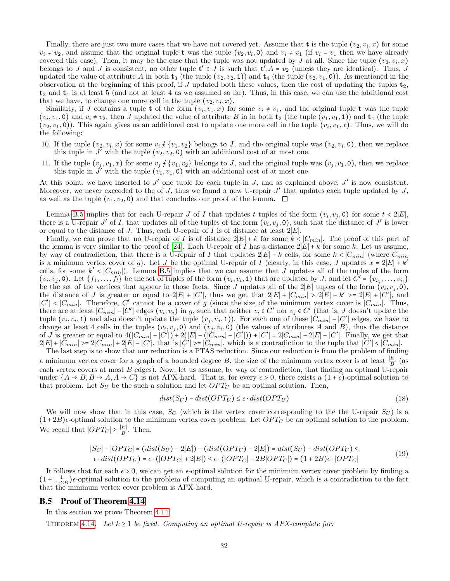Finally, there are just two more cases that we have not covered yet. Assume that **t** is the tuple  $(v_2, v_i, x)$  for some  $v_i \neq v_2$ , and assume that the original tuple **t** was the tuple  $(v_2, v_i, 0)$  and  $v_i \neq v_1$  (if  $v_i = v_1$  then we have already covered this case). Then, it may be the case that the tuple was not updated by J at all. Since the tuple  $(v_2, v_i, x)$ belongs to J and J is consistent, no other tuple  $\mathbf{t}' \in J$  is such that  $\mathbf{t}' \cdot A = v_2$  (unless they are identical). Thus, J updated the value of attribute A in both  $t_3$  (the tuple  $(v_2, v_2, 1)$ ) and  $t_4$  (the tuple  $(v_2, v_1, 0)$ ). As mentioned in the observation at the beginning of this proof, if J updated both these values, then the cost of updating the tuples  $t_2$ ,  $t_3$  and  $t_4$  is at least 5 (and not at least 4 as we assumed so far). Thus, in this case, we can use the additional cost that we have, to change one more cell in the tuple  $(v_2, v_i, x)$ .

Similarly, if J contains a tuple **t** of the form  $(v_i, v_1, x)$  for some  $v_i \neq v_1$ , and the original tuple **t** was the tuple  $(v_i, v_1, 0)$  and  $v_i \neq v_2$ , then J updated the value of attribute B in in both  $\mathbf{t}_2$  (the tuple  $(v_1, v_1, 1)$ ) and  $\mathbf{t}_4$  (the tuple  $(v_2, v_1, 0)$ . This again gives us an additional cost to update one more cell in the tuple  $(v_i, v_1, x)$ . Thus, we will do the following:

- 10. If the tuple  $(v_2, v_i, x)$  for some  $v_i \notin \{v_1, v_2\}$  belongs to J, and the original tuple was  $(v_2, v_i, 0)$ , then we replace this tuple in  $J'$  with the tuple  $(v_2, v_2, 0)$  with an additional cost of at most one.
- 11. If the tuple  $(v_i, v_1, x)$  for some  $v_j \notin \{v_1, v_2\}$  belongs to J, and the original tuple was  $(v_i, v_1, 0)$ , then we replace this tuple in  $J'$  with the tuple  $(v_1, v_1, 0)$  with an additional cost of at most one.

At this point, we have inserted to  $J'$  one tuple for each tuple in  $J$ , and as explained above,  $J'$  is now consistent. Moreover, we never exceeded to the of  $J$ , thus we found a new U-repair  $J'$  that updates each tuple updated by  $J$ , as well as the tuple  $(v_1, v_2, 0)$  and that concludes our proof of the lemma.  $\square$ 

Lemma [B.5](#page-29-0) implies that for each U-repair J of I that updates t tuples of the form  $(v_i, v_j, 0)$  for some  $t < 2|E|$ , there is a U-repair J' of I, that updates all of the tuples of the form  $(v_i, v_j, 0)$ , such that the distance of J' is lower or equal to the distance of J. Thus, each U-repair of I is of distance at least 2∣E∣.

Finally, we can prove that no U-repair of I is of distance  $2|E| + k$  for some  $k < |C_{min}|$ . The proof of this part of the lemma is very similar to the proof of [\[24\]](#page-12-6). Each U-repair of I has a distance  $2|E| + k$  for some k. Let us assume, by way of contradiction, that there is a U-repair of I that updates  $2|E| + k$  cells, for some  $k < |C_{min}|$  (where  $C_{min}$ ) is a minimum vertex cover of g). Let J be the optimal U-repair of I (clearly, in this case, J updates  $x = 2|E| + k'$ cells, for some  $k' < |C_{min}|$ ). Lemma [B.5](#page-29-0) implies that we can assume that J updates all of the tuples of the form  $(v_i, v_j, 0)$ . Let  $\{f_1, \ldots, f_l\}$  be the set of tuples of the form  $(v_i, v_i, 1)$  that are updated by J, and let  $C' = \{v_{i_1}, \ldots, v_{i_l}\}$ be the set of the vertices that appear in those facts. Since J updates all of the 2|E| tuples of the form  $(v_i, v_j, 0)$ , the distance of J is greater or equal to  $2|E| + |C'|$ , thus we get that  $2|E| + |C_{min}| > 2|E| + k' > = 2|E| + |C'|$ , and  $|C'| < |C_{min}|$ . Therefore, C' cannot be a cover of g (since the size of the minimum vertex cover is  $|C_{min}|$ . Thus, there are at least  $|C_{min}| - |C'|$  edges  $(v_i, v_j)$  in g, such that neither  $v_i \in C'$  nor  $v_j \in C'$  (that is, J doesn't update the tuple  $(v_i, v_i, 1)$  and also doesn't update the tuple  $(v_j, v_j, 1)$ ). For each one of these  $|C_{min}| - |C'|$  edges, we have to change at least 4 cells in the tuples  $(v_i, v_j, 0)$  and  $(v_j, v_i, 0)$  (the values of attributes A and B), thus the distance of *J* is greater or equal to  $4(|C_{min}| - |C'|)^2 + 2(|E| - (|\tilde{C}_{min}| - |C'|)) + |C'| = 2|C_{min}| + 2|E| - |C'|$ . Finally, we get that  $2|E| + |\tilde{C}_{min}| > 2|\tilde{C}_{min}| + 2|\tilde{E}| - |C'|$ , that is  $|\tilde{C}'| > |\tilde{C}_{min}|$ , which is a contradiction to the tuple that  $|\tilde{C}'| < |\tilde{C}_{min}|$ .

The last step is to show that our reduction is a PTAS reduction. Since our reduction is from the problem of finding a minimum vertex cover for a graph of a bounded degree B, the size of the minimum vertex cover is at least  $\frac{|E|}{B}$  (as each vertex covers at most B edges). Now, let us assume, by way of contradiction, that finding an optimal U-repair under  $\{A \rightarrow B, B \rightarrow A, A \rightarrow C\}$  is not APX-hard. That is, for every  $\epsilon > 0$ , there exists a  $(1 + \epsilon)$ -optimal solution to that problem. Let  $S_U$  be the such a solution and let  $OPT_U$  be an optimal solution. Then,

$$
dist(S_U) - dist(OPT_U) \le \epsilon \cdot dist(OPT_U)
$$
\n<sup>(18)</sup>

We will now show that in this case,  $S_C$  (which is the vertex cover corresponding to the the U-repair  $S_U$ ) is a  $(1+2B)\epsilon$ -optimal solution to the minimum vertex cover problem. Let  $OPT_C$  be an optimal solution to the problem. We recall that  $|OPT_C| \geq \frac{|E|}{B}$  $\frac{E}{B}$ . Then,

$$
|S_C| - |OPT_C| = (dist(S_U) - 2|E|) - (dist(OPT_U) - 2|E|) = dist(S_U) - dist(OPT_U) \le
$$
  

$$
\epsilon \cdot dist(OPT_U) = \epsilon \cdot (|OPT_C| + 2|E|) \le \epsilon \cdot (|OPT_C| + 2B|OPT_C|) = (1 + 2B)\epsilon \cdot |OPT_C|
$$
 (19)

It follows that for each  $\epsilon > 0$ , we can get an  $\epsilon$ -optimal solution for the minimum vertex cover problem by finding a  $(1 + \frac{1}{1+2B})\epsilon$ -optimal solution to the problem of computing an optimal U-repair, which is a contradiction to the fact that the minimum vertex cover problem is APX-hard.

## B.5 Proof of Theorem [4.14](#page-11-1)

In this section we prove Theorem [4.14.](#page-11-1)

THEOREM [4.14.](#page-11-1) Let  $k \geq 1$  be fixed. Computing an optimal U-repair is APX-complete for: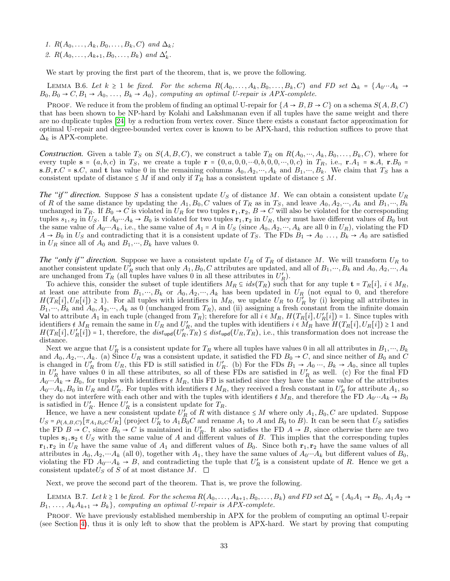1.  $R(A_0, \ldots, A_k, B_0, \ldots, B_k, C)$  and  $\Delta_k$ ; 2.  $R(A_0, ..., A_{k+1}, B_0, ..., B_k)$  and  $\Delta'_k$ .

We start by proving the first part of the theorem, that is, we prove the following.

LEMMA B.6. Let  $k \ge 1$  be fixed. For the schema  $R(A_0, \ldots, A_k, B_0, \ldots, B_k, C)$  and FD set  $\Delta_k = \{A_0 \cdots A_k \rightarrow A_k\}$  $B_0, B_0 \to C, B_1 \to A_0, \ldots, B_k \to A_0$ , computing an optimal U-repair is APX-complete.

PROOF. We reduce it from the problem of finding an optimal U-repair for  $\{A \to B, B \to C\}$  on a schema  $S(A, B, C)$ that has been shown to be NP-hard by Kolahi and Lakshmanan even if all tuples have the same weight and there are no duplicate tuples [\[24\]](#page-12-6) by a reduction from vertex cover. Since there exists a constant factor approximation for optimal U-repair and degree-bounded vertex cover is known to be APX-hard, this reduction suffices to prove that  $\Delta_k$  is APX-complete.

*Construction.* Given a table  $T_S$  on  $S(A, B, C)$ , we construct a table  $T_R$  on  $R(A_0, ..., A_k, B_0, ..., B_k, C)$ , where for every tuple  $s = (a, b, c)$  in  $T_s$ , we create a tuple  $r = (0, a, 0, 0, \dots, 0, b, 0, 0, \dots, 0, c)$  in  $T_R$ , i.e.,  $r.A_1 = s.A$ ,  $r.B_0 = s$ s.B, r.C = s.C, and t has value 0 in the remaining columns  $A_0, A_2, ..., A_k$  and  $B_1, ..., B_k$ . We claim that  $T_S$  has a consistent update of distance  $\leq M$  if and only if  $T_R$  has a consistent update of distance  $\leq M$ .

*The "if" direction.* Suppose S has a consistent update  $U<sub>S</sub>$  of distance M. We can obtain a consistent update  $U<sub>R</sub>$ of R of the same distance by updating the  $A_1, B_0, C$  values of  $T_R$  as in  $T_S$ , and leave  $A_0, A_2, \dots, A_k$  and  $B_1, \dots, B_k$ unchanged in  $T_R$ . If  $B_0 \to C$  is violated in  $U_R$  for two tuples  $\mathbf{r}_1, \mathbf{r}_2, B \to C$  will also be violated for the corresponding tuples  $s_1, s_2$  in  $U_S$ . If  $A_0 \cdots A_k \to B_0$  is violated for two tuples  $r_1, r_2$  in  $U_R$ , they must have different values of  $B_0$  but the same value of  $A_0 \cdots A_k$ , i.e., the same value of  $A_1 = A$  in  $U_s$  (since  $A_0, A_2, \cdots, A_k$  are all 0 in  $U_R$ ), violating the FD  $A \rightarrow B_0$  in  $U_S$  and contradicting that it is a consistent update of  $T_S$ . The FDs  $B_1 \rightarrow A_0 \ldots, B_k \rightarrow A_0$  are satisfied in  $U_R$  since all of  $A_0$  and  $B_1, \dots, B_k$  have values 0.

*The "only if" direction.* Suppose we have a consistent update  $U_R$  of  $T_R$  of distance M. We will transform  $U_R$  to another consistent update  $U'_R$  such that only  $A_1, B_0, C$  attributes are updated, and all of  $B_1, \dots, B_k$  and  $A_0, A_2, \dots, A_k$ are unchanged from  $T_R$  (all tuples have values 0 in all these attributes in  $U_R$ ).

To achieve this, consider the subset of tuple identifiers  $M_R \subseteq i ds(T_R)$  such that for any tuple  $\mathbf{t} = T_R[i], i \in M_R$ , at least one attribute from  $B_1, \dots, B_k$  or  $A_0, A_2, \dots, A_k$  has been updated in  $U_R$  (not equal to 0, and therefore  $H(T_R[i], U_R[i]) \geq 1$ . For all tuples with identifiers in  $M_R$ , we update  $U_R$  to  $U'_R$  by (i) keeping all attributes in  $B_1, \dots, B_k$  and  $A_0, A_2, \dots, A_k$  as 0 (unchanged from  $T_R$ ), and (ii) assigning a fresh constant from the infinite domain Val to attribute  $A_1$  in each tuple (changed from  $T_R$ ); therefore for all  $i \in M_R$ ,  $H(T_R[i], U_R'[i]) = 1$ . Since tuples with identifiers  $\notin M_R$  remain the same in  $U_R$  and  $U_R'$ , and the tuples with identifiers  $i \in M_R$  have  $H(T_R[i], U_R[i]) \geq 1$  and  $H(T_R[i], U_R'[i]) = 1$ , therefore, the  $dist_{\text{upd}}(U_R', T_R) \leq dist_{\text{upd}}(U_R, T_R)$ , i.e., this transformation does not increase the distance.

Next we argue that  $U'_R$  is a consistent update for  $T_R$  where all tuples have values 0 in all all attributes in  $B_1, ..., B_k$ and  $A_0, A_2, \dots, A_k$ . (a) Since  $U_R$  was a consistent update, it satisfied the FD  $B_0 \rightarrow C$ , and since neither of  $B_0$  and C is changed in  $U'_R$  from  $U_R$ , this FD is still satisfied in  $U'_R$ . (b) For the FDs  $B_1 \to A_0 \cdots, B_k \to A_0$ , since all tuples in  $U'_R$  have values 0 in all these attributes, so all of these FDs are satisfied in  $U'_R$  as well. (c) For the final FD  $A_0 \cdots A_k \to B_0$ , for tuples with identifiers  $\notin M_R$ , this FD is satisfied since they have the same value of the attributes  $A_0 \cdots A_k$ ,  $B_0$  in  $U_R$  and  $U_R'$ . For tuples with identifiers  $\notin M_R$ , they received a fresh constant in  $U_R'$  for attribute  $A_1$ , so they do not interfere with each other and with the tuples with identifiers  $\notin M_R$ , and therefore the FD  $A_0 \cdots A_k \to B_0$ is satisfied in  $U'_R$ . Hence  $U'_R$  is a consistent update for  $T_R$ .

Hence, we have a new consistent update  $U'_R$  of R with distance  $\leq M$  where only  $A_1, B_0, C$  are updated. Suppose  $U_S = \rho_{(A,B,C)}[\pi_{A_1B_0C}U_R]$  (project  $U'_R$  to  $A_1\ddot{B_0}C$  and rename  $A_1$  to  $A$  and  $B_0$  to  $B$ ). It can be seen that  $U_S$  satisfies the FD  $B \to C$ , since  $B_0 \to C$  is maintained in  $U'_R$ . It also satisfies the FD  $A \to B$ , since otherwise there are two tuples  $s_1, s_2 \in U_S$  with the same value of A and different values of B. This implies that the corresponding tuples  $r_1, r_2$  in  $U_R$  have the same value of  $A_1$  and different values of  $B_0$ . Since both  $r_1, r_2$  have the same values of all attributes in  $A_0, A_2, \dots, A_k$  (all 0), together with  $A_1$ , they have the same values of  $A_0, \dots, A_k$  but different values of  $B_0$ , violating the FD  $A_0 \cdots A_k \to B$ , and contradicting the tuple that  $U'_R$  is a consistent update of R. Hence we get a consistent update $U_S$  of S of at most distance M.  $\Box$ 

Next, we prove the second part of the theorem. That is, we prove the following.

LEMMA B.7. Let  $k \geq 1$  be fixed. For the schema  $R(A_0, \ldots, A_{k+1}, B_0, \ldots, B_k)$  and FD set  $\Delta'_k = \{A_0A_1 \rightarrow B_0, A_1A_2 \rightarrow B_1, A_2A_3 \}$  $B_1, \ldots, A_k A_{k+1} \rightarrow B_k$ , computing an optimal U-repair is APX-complete.

PROOF. We have previously established membership in APX for the problem of computing an optimal U-repair (see Section [4\)](#page-8-4), thus it is only left to show that the problem is APX-hard. We start by proving that computing